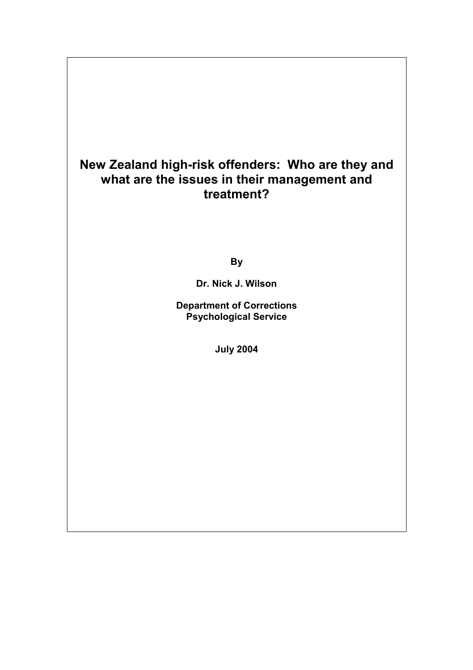# **New Zealand high-risk offenders: Who are they and what are the issues in their management and treatment?**

**By** 

**Dr. Nick J. Wilson** 

**Department of Corrections Psychological Service** 

**July 2004**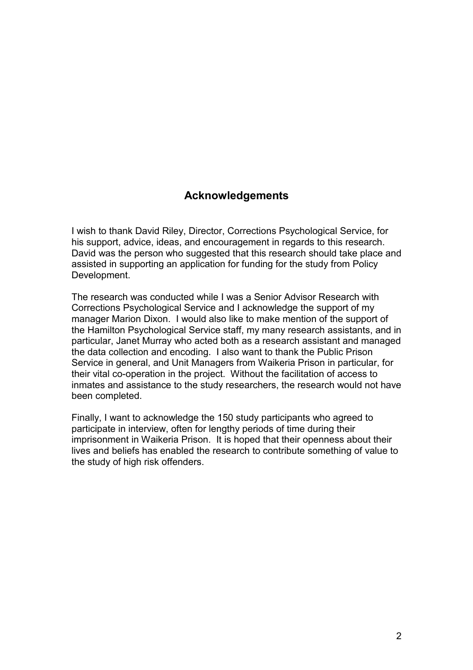## **Acknowledgements**

I wish to thank David Riley, Director, Corrections Psychological Service, for his support, advice, ideas, and encouragement in regards to this research. David was the person who suggested that this research should take place and assisted in supporting an application for funding for the study from Policy Development.

The research was conducted while I was a Senior Advisor Research with Corrections Psychological Service and I acknowledge the support of my manager Marion Dixon. I would also like to make mention of the support of the Hamilton Psychological Service staff, my many research assistants, and in particular, Janet Murray who acted both as a research assistant and managed the data collection and encoding. I also want to thank the Public Prison Service in general, and Unit Managers from Waikeria Prison in particular, for their vital co-operation in the project. Without the facilitation of access to inmates and assistance to the study researchers, the research would not have been completed.

Finally, I want to acknowledge the 150 study participants who agreed to participate in interview, often for lengthy periods of time during their imprisonment in Waikeria Prison. It is hoped that their openness about their lives and beliefs has enabled the research to contribute something of value to the study of high risk offenders.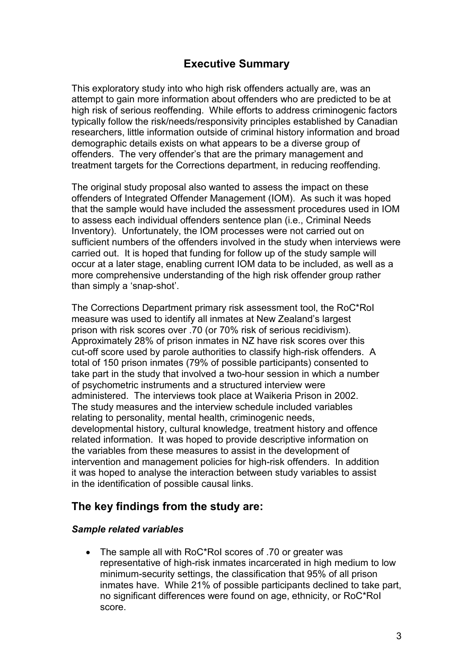## **Executive Summary**

This exploratory study into who high risk offenders actually are, was an attempt to gain more information about offenders who are predicted to be at high risk of serious reoffending. While efforts to address criminogenic factors typically follow the risk/needs/responsivity principles established by Canadian researchers, little information outside of criminal history information and broad demographic details exists on what appears to be a diverse group of offenders. The very offender's that are the primary management and treatment targets for the Corrections department, in reducing reoffending.

The original study proposal also wanted to assess the impact on these offenders of Integrated Offender Management (IOM). As such it was hoped that the sample would have included the assessment procedures used in IOM to assess each individual offenders sentence plan (i.e., Criminal Needs Inventory). Unfortunately, the IOM processes were not carried out on sufficient numbers of the offenders involved in the study when interviews were carried out. It is hoped that funding for follow up of the study sample will occur at a later stage, enabling current IOM data to be included, as well as a more comprehensive understanding of the high risk offender group rather than simply a 'snap-shot'.

The Corrections Department primary risk assessment tool, the RoC\*RoI measure was used to identify all inmates at New Zealand's largest prison with risk scores over .70 (or 70% risk of serious recidivism). Approximately 28% of prison inmates in NZ have risk scores over this cut-off score used by parole authorities to classify high-risk offenders. A total of 150 prison inmates (79% of possible participants) consented to take part in the study that involved a two-hour session in which a number of psychometric instruments and a structured interview were administered. The interviews took place at Waikeria Prison in 2002. The study measures and the interview schedule included variables relating to personality, mental health, criminogenic needs, developmental history, cultural knowledge, treatment history and offence related information. It was hoped to provide descriptive information on the variables from these measures to assist in the development of intervention and management policies for high-risk offenders. In addition it was hoped to analyse the interaction between study variables to assist in the identification of possible causal links.

## **The key findings from the study are:**

#### *Sample related variables*

• The sample all with RoC\*RoI scores of .70 or greater was representative of high-risk inmates incarcerated in high medium to low minimum-security settings, the classification that 95% of all prison inmates have. While 21% of possible participants declined to take part, no significant differences were found on age, ethnicity, or RoC\*RoI score.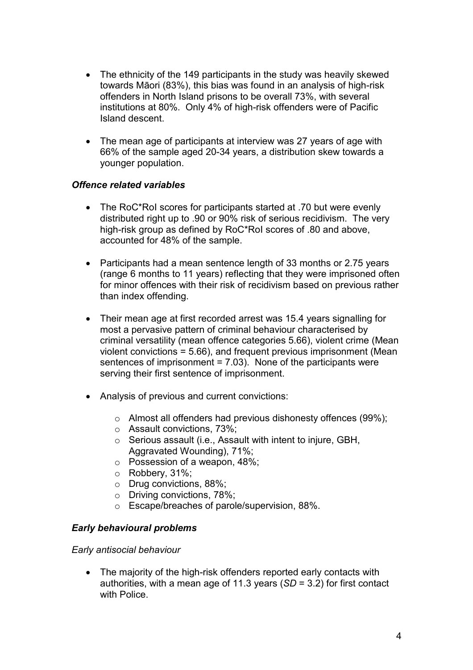- The ethnicity of the 149 participants in the study was heavily skewed towards Māori (83%), this bias was found in an analysis of high-risk offenders in North Island prisons to be overall 73%, with several institutions at 80%. Only 4% of high-risk offenders were of Pacific Island descent.
- The mean age of participants at interview was 27 years of age with 66% of the sample aged 20-34 years, a distribution skew towards a younger population.

## *Offence related variables*

- The RoC\*RoI scores for participants started at .70 but were evenly distributed right up to .90 or 90% risk of serious recidivism. The very high-risk group as defined by RoC\*RoI scores of .80 and above, accounted for 48% of the sample.
- Participants had a mean sentence length of 33 months or 2.75 years (range 6 months to 11 years) reflecting that they were imprisoned often for minor offences with their risk of recidivism based on previous rather than index offending.
- Their mean age at first recorded arrest was 15.4 years signalling for most a pervasive pattern of criminal behaviour characterised by criminal versatility (mean offence categories 5.66), violent crime (Mean violent convictions = 5.66), and frequent previous imprisonment (Mean sentences of imprisonment = 7.03). None of the participants were serving their first sentence of imprisonment.
- Analysis of previous and current convictions:
	- o Almost all offenders had previous dishonesty offences (99%);
	- o Assault convictions, 73%;
	- o Serious assault (i.e., Assault with intent to injure, GBH, Aggravated Wounding), 71%;
	- o Possession of a weapon, 48%;
	- o Robbery, 31%;
	- o Drug convictions, 88%;
	- o Driving convictions, 78%;
	- o Escape/breaches of parole/supervision, 88%.

## *Early behavioural problems*

## *Early antisocial behaviour*

• The majority of the high-risk offenders reported early contacts with authorities, with a mean age of 11.3 years (*SD* = 3.2) for first contact with Police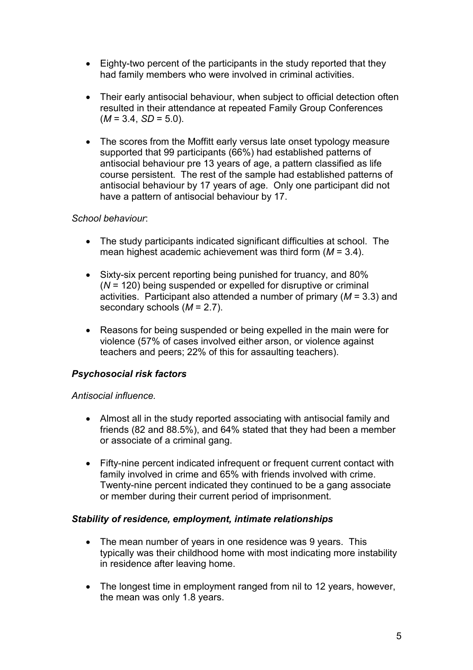- Eighty-two percent of the participants in the study reported that they had family members who were involved in criminal activities.
- Their early antisocial behaviour, when subject to official detection often resulted in their attendance at repeated Family Group Conferences  $(M = 3.4, SD = 5.0).$
- The scores from the Moffitt early versus late onset typology measure supported that 99 participants (66%) had established patterns of antisocial behaviour pre 13 years of age, a pattern classified as life course persistent. The rest of the sample had established patterns of antisocial behaviour by 17 years of age. Only one participant did not have a pattern of antisocial behaviour by 17.

## *School behaviour*:

- The study participants indicated significant difficulties at school. The mean highest academic achievement was third form (*M* = 3.4).
- Sixty-six percent reporting being punished for truancy, and 80% (*N* = 120) being suspended or expelled for disruptive or criminal activities. Participant also attended a number of primary (*M* = 3.3) and secondary schools (*M* = 2.7).
- Reasons for being suspended or being expelled in the main were for violence (57% of cases involved either arson, or violence against teachers and peers; 22% of this for assaulting teachers).

## *Psychosocial risk factors*

## *Antisocial influence.*

- Almost all in the study reported associating with antisocial family and friends (82 and 88.5%), and 64% stated that they had been a member or associate of a criminal gang.
- Fifty-nine percent indicated infrequent or frequent current contact with family involved in crime and 65% with friends involved with crime. Twenty-nine percent indicated they continued to be a gang associate or member during their current period of imprisonment.

## *Stability of residence, employment, intimate relationships*

- The mean number of years in one residence was 9 years. This typically was their childhood home with most indicating more instability in residence after leaving home.
- The longest time in employment ranged from nil to 12 years, however, the mean was only 1.8 years.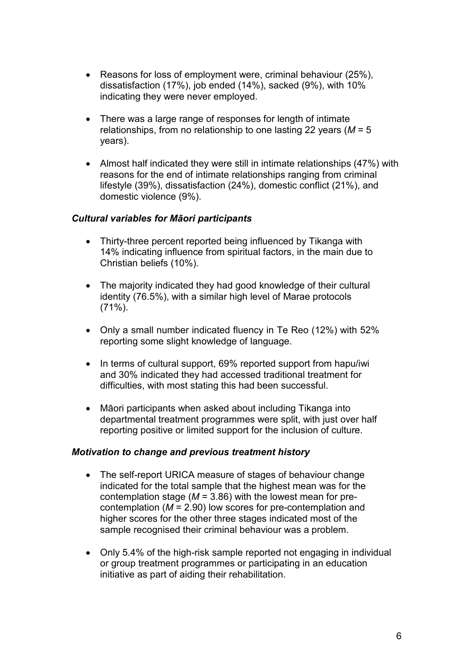- Reasons for loss of employment were, criminal behaviour (25%), dissatisfaction (17%), job ended (14%), sacked (9%), with 10% indicating they were never employed.
- There was a large range of responses for length of intimate relationships, from no relationship to one lasting 22 years (*M* = 5 years).
- Almost half indicated they were still in intimate relationships (47%) with reasons for the end of intimate relationships ranging from criminal lifestyle (39%), dissatisfaction (24%), domestic conflict (21%), and domestic violence (9%).

## *Cultural variables for Māori participants*

- Thirty-three percent reported being influenced by Tikanga with 14% indicating influence from spiritual factors, in the main due to Christian beliefs (10%).
- The majority indicated they had good knowledge of their cultural identity (76.5%), with a similar high level of Marae protocols  $(71\%)$ .
- Only a small number indicated fluency in Te Reo (12%) with 52% reporting some slight knowledge of language.
- In terms of cultural support, 69% reported support from hapu/iwi and 30% indicated they had accessed traditional treatment for difficulties, with most stating this had been successful.
- Māori participants when asked about including Tikanga into departmental treatment programmes were split, with just over half reporting positive or limited support for the inclusion of culture.

## *Motivation to change and previous treatment history*

- The self-report URICA measure of stages of behaviour change indicated for the total sample that the highest mean was for the contemplation stage (*M* = 3.86) with the lowest mean for precontemplation (*M* = 2.90) low scores for pre-contemplation and higher scores for the other three stages indicated most of the sample recognised their criminal behaviour was a problem.
- Only 5.4% of the high-risk sample reported not engaging in individual or group treatment programmes or participating in an education initiative as part of aiding their rehabilitation.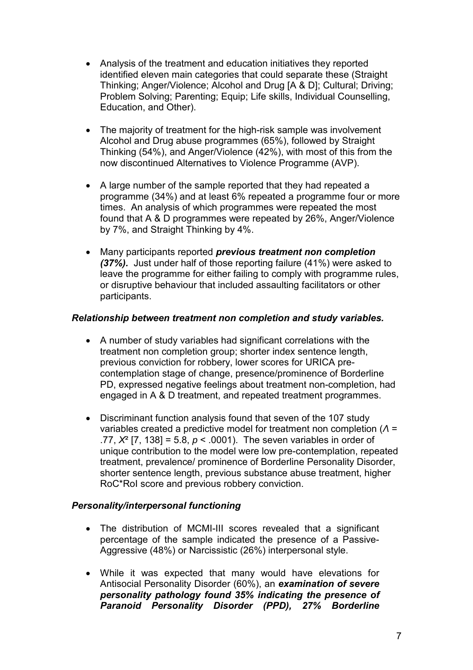- Analysis of the treatment and education initiatives they reported identified eleven main categories that could separate these (Straight Thinking; Anger/Violence; Alcohol and Drug [A & D]; Cultural; Driving; Problem Solving; Parenting; Equip; Life skills, Individual Counselling, Education, and Other).
- The majority of treatment for the high-risk sample was involvement Alcohol and Drug abuse programmes (65%), followed by Straight Thinking (54%), and Anger/Violence (42%), with most of this from the now discontinued Alternatives to Violence Programme (AVP).
- A large number of the sample reported that they had repeated a programme (34%) and at least 6% repeated a programme four or more times. An analysis of which programmes were repeated the most found that A & D programmes were repeated by 26%, Anger/Violence by 7%, and Straight Thinking by 4%.
- Many participants reported *previous treatment non completion (37%).* Just under half of those reporting failure (41%) were asked to leave the programme for either failing to comply with programme rules, or disruptive behaviour that included assaulting facilitators or other participants.

## *Relationship between treatment non completion and study variables.*

- A number of study variables had significant correlations with the treatment non completion group; shorter index sentence length, previous conviction for robbery, lower scores for URICA precontemplation stage of change, presence/prominence of Borderline PD, expressed negative feelings about treatment non-completion, had engaged in A & D treatment, and repeated treatment programmes.
- Discriminant function analysis found that seven of the 107 study variables created a predictive model for treatment non completion (*Λ* = .77, *X*² [7, 138] = 5.8, *p* < .0001). The seven variables in order of unique contribution to the model were low pre-contemplation, repeated treatment, prevalence/ prominence of Borderline Personality Disorder, shorter sentence length, previous substance abuse treatment, higher RoC\*RoI score and previous robbery conviction.

## *Personality/interpersonal functioning*

- The distribution of MCMI-III scores revealed that a significant percentage of the sample indicated the presence of a Passive-Aggressive (48%) or Narcissistic (26%) interpersonal style.
- While it was expected that many would have elevations for Antisocial Personality Disorder (60%), an *examination of severe personality pathology found 35% indicating the presence of Paranoid Personality Disorder (PPD), 27% Borderline*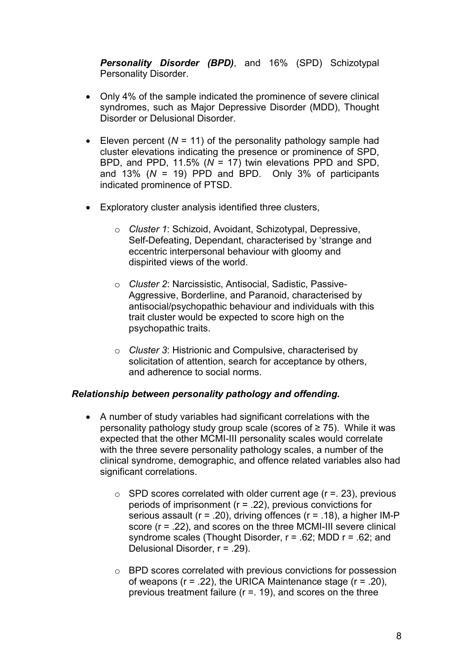*Personality Disorder (BPD)*, and 16% (SPD) Schizotypal Personality Disorder.

- Only 4% of the sample indicated the prominence of severe clinical syndromes, such as Major Depressive Disorder (MDD), Thought Disorder or Delusional Disorder.
- Eleven percent  $(N = 11)$  of the personality pathology sample had cluster elevations indicating the presence or prominence of SPD, BPD, and PPD, 11.5% (*N* = 17) twin elevations PPD and SPD, and 13% (*N* = 19) PPD and BPD. Only 3% of participants indicated prominence of PTSD.
- Exploratory cluster analysis identified three clusters,
	- o *Cluster 1*: Schizoid, Avoidant, Schizotypal, Depressive, Self-Defeating, Dependant, characterised by 'strange and eccentric interpersonal behaviour with gloomy and dispirited views of the world.
	- o *Cluster 2*: Narcissistic, Antisocial, Sadistic, Passive-Aggressive, Borderline, and Paranoid, characterised by antisocial/psychopathic behaviour and individuals with this trait cluster would be expected to score high on the psychopathic traits.
	- o *Cluster 3*: Histrionic and Compulsive, characterised by solicitation of attention, search for acceptance by others, and adherence to social norms.

## *Relationship between personality pathology and offending.*

- A number of study variables had significant correlations with the personality pathology study group scale (scores of  $\geq$  75). While it was expected that the other MCMI-III personality scales would correlate with the three severe personality pathology scales, a number of the clinical syndrome, demographic, and offence related variables also had significant correlations.
	- $\circ$  SPD scores correlated with older current age ( $r = 23$ ), previous periods of imprisonment (r = .22), previous convictions for serious assault ( $r = .20$ ), driving offences ( $r = .18$ ), a higher IM-P score (r = .22), and scores on the three MCMI-III severe clinical syndrome scales (Thought Disorder, r = .62; MDD r = .62; and Delusional Disorder, r = .29).
	- o BPD scores correlated with previous convictions for possession of weapons ( $r = 0.22$ ), the URICA Maintenance stage ( $r = 0.20$ ), previous treatment failure ( $r = 19$ ), and scores on the three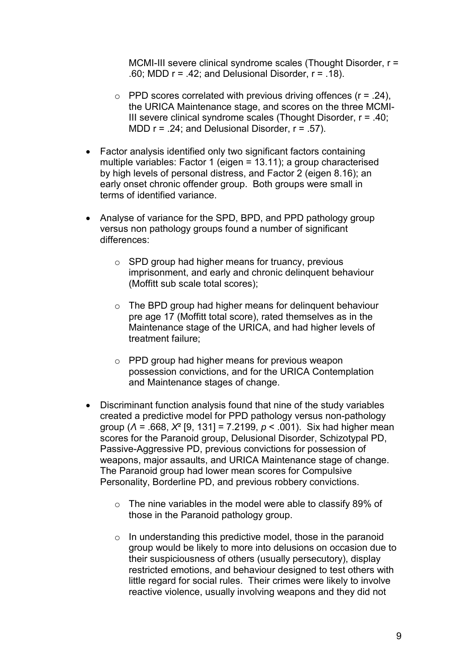MCMI-III severe clinical syndrome scales (Thought Disorder, r = .60; MDD  $r = .42$ ; and Delusional Disorder,  $r = .18$ ).

- $\circ$  PPD scores correlated with previous driving offences ( $r = .24$ ), the URICA Maintenance stage, and scores on the three MCMI-III severe clinical syndrome scales (Thought Disorder, r = .40; MDD  $r = .24$ ; and Delusional Disorder,  $r = .57$ ).
- Factor analysis identified only two significant factors containing multiple variables: Factor 1 (eigen = 13.11); a group characterised by high levels of personal distress, and Factor 2 (eigen 8.16); an early onset chronic offender group. Both groups were small in terms of identified variance.
- Analyse of variance for the SPD, BPD, and PPD pathology group versus non pathology groups found a number of significant differences:
	- o SPD group had higher means for truancy, previous imprisonment, and early and chronic delinquent behaviour (Moffitt sub scale total scores);
	- o The BPD group had higher means for delinquent behaviour pre age 17 (Moffitt total score), rated themselves as in the Maintenance stage of the URICA, and had higher levels of treatment failure;
	- o PPD group had higher means for previous weapon possession convictions, and for the URICA Contemplation and Maintenance stages of change.
- Discriminant function analysis found that nine of the study variables created a predictive model for PPD pathology versus non-pathology group (*Λ* = .668, *X*² [9, 131] = 7.2199, *p* < .001). Six had higher mean scores for the Paranoid group, Delusional Disorder, Schizotypal PD, Passive-Aggressive PD, previous convictions for possession of weapons, major assaults, and URICA Maintenance stage of change. The Paranoid group had lower mean scores for Compulsive Personality, Borderline PD, and previous robbery convictions.
	- o The nine variables in the model were able to classify 89% of those in the Paranoid pathology group.
	- $\circ$  In understanding this predictive model, those in the paranoid group would be likely to more into delusions on occasion due to their suspiciousness of others (usually persecutory), display restricted emotions, and behaviour designed to test others with little regard for social rules. Their crimes were likely to involve reactive violence, usually involving weapons and they did not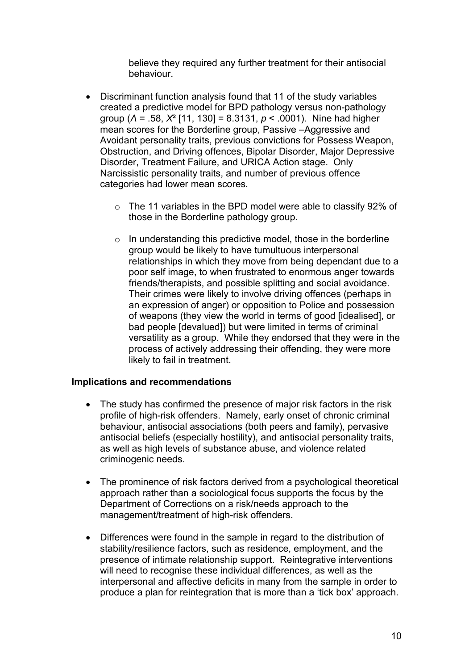believe they required any further treatment for their antisocial behaviour.

- Discriminant function analysis found that 11 of the study variables created a predictive model for BPD pathology versus non-pathology group (*Λ* = .58, *X*² [11, 130] = 8.3131, *p* < .0001). Nine had higher mean scores for the Borderline group, Passive –Aggressive and Avoidant personality traits, previous convictions for Possess Weapon, Obstruction, and Driving offences, Bipolar Disorder, Major Depressive Disorder, Treatment Failure, and URICA Action stage. Only Narcissistic personality traits, and number of previous offence categories had lower mean scores.
	- o The 11 variables in the BPD model were able to classify 92% of those in the Borderline pathology group.
	- $\circ$  In understanding this predictive model, those in the borderline group would be likely to have tumultuous interpersonal relationships in which they move from being dependant due to a poor self image, to when frustrated to enormous anger towards friends/therapists, and possible splitting and social avoidance. Their crimes were likely to involve driving offences (perhaps in an expression of anger) or opposition to Police and possession of weapons (they view the world in terms of good [idealised], or bad people [devalued]) but were limited in terms of criminal versatility as a group. While they endorsed that they were in the process of actively addressing their offending, they were more likely to fail in treatment.

## **Implications and recommendations**

- The study has confirmed the presence of major risk factors in the risk profile of high-risk offenders. Namely, early onset of chronic criminal behaviour, antisocial associations (both peers and family), pervasive antisocial beliefs (especially hostility), and antisocial personality traits, as well as high levels of substance abuse, and violence related criminogenic needs.
- The prominence of risk factors derived from a psychological theoretical approach rather than a sociological focus supports the focus by the Department of Corrections on a risk/needs approach to the management/treatment of high-risk offenders.
- Differences were found in the sample in regard to the distribution of stability/resilience factors, such as residence, employment, and the presence of intimate relationship support. Reintegrative interventions will need to recognise these individual differences, as well as the interpersonal and affective deficits in many from the sample in order to produce a plan for reintegration that is more than a 'tick box' approach.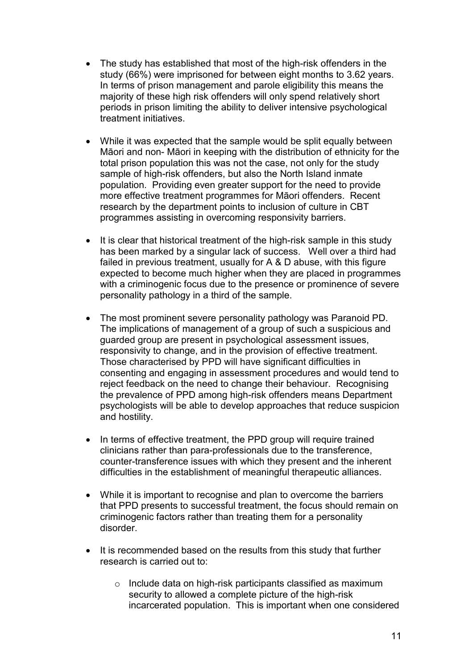- The study has established that most of the high-risk offenders in the study (66%) were imprisoned for between eight months to 3.62 years. In terms of prison management and parole eligibility this means the majority of these high risk offenders will only spend relatively short periods in prison limiting the ability to deliver intensive psychological treatment initiatives.
- While it was expected that the sample would be split equally between Māori and non- Māori in keeping with the distribution of ethnicity for the total prison population this was not the case, not only for the study sample of high-risk offenders, but also the North Island inmate population. Providing even greater support for the need to provide more effective treatment programmes for Māori offenders. Recent research by the department points to inclusion of culture in CBT programmes assisting in overcoming responsivity barriers.
- It is clear that historical treatment of the high-risk sample in this study has been marked by a singular lack of success. Well over a third had failed in previous treatment, usually for A & D abuse, with this figure expected to become much higher when they are placed in programmes with a criminogenic focus due to the presence or prominence of severe personality pathology in a third of the sample.
- The most prominent severe personality pathology was Paranoid PD. The implications of management of a group of such a suspicious and guarded group are present in psychological assessment issues, responsivity to change, and in the provision of effective treatment. Those characterised by PPD will have significant difficulties in consenting and engaging in assessment procedures and would tend to reject feedback on the need to change their behaviour. Recognising the prevalence of PPD among high-risk offenders means Department psychologists will be able to develop approaches that reduce suspicion and hostility.
- In terms of effective treatment, the PPD group will require trained clinicians rather than para-professionals due to the transference, counter-transference issues with which they present and the inherent difficulties in the establishment of meaningful therapeutic alliances.
- While it is important to recognise and plan to overcome the barriers that PPD presents to successful treatment, the focus should remain on criminogenic factors rather than treating them for a personality disorder.
- It is recommended based on the results from this study that further research is carried out to:
	- o Include data on high-risk participants classified as maximum security to allowed a complete picture of the high-risk incarcerated population. This is important when one considered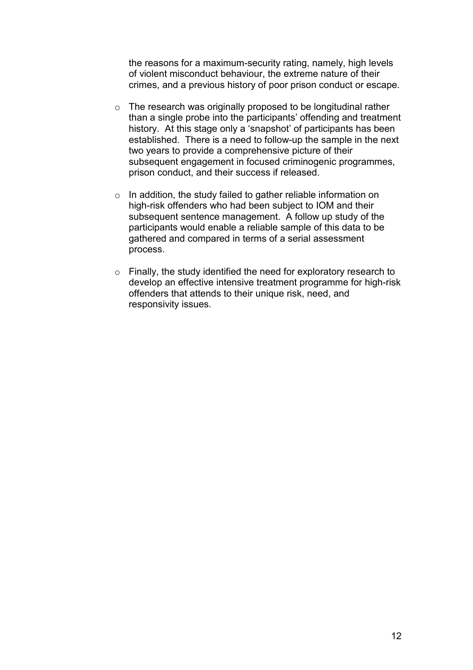the reasons for a maximum-security rating, namely, high levels of violent misconduct behaviour, the extreme nature of their crimes, and a previous history of poor prison conduct or escape.

- $\circ$  The research was originally proposed to be longitudinal rather than a single probe into the participants' offending and treatment history. At this stage only a 'snapshot' of participants has been established. There is a need to follow-up the sample in the next two years to provide a comprehensive picture of their subsequent engagement in focused criminogenic programmes, prison conduct, and their success if released.
- o In addition, the study failed to gather reliable information on high-risk offenders who had been subject to IOM and their subsequent sentence management. A follow up study of the participants would enable a reliable sample of this data to be gathered and compared in terms of a serial assessment process.
- $\circ$  Finally, the study identified the need for exploratory research to develop an effective intensive treatment programme for high-risk offenders that attends to their unique risk, need, and responsivity issues.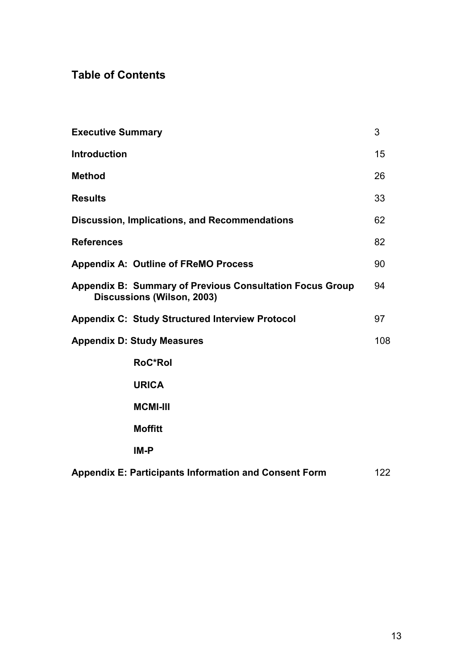# **Table of Contents**

| <b>Executive Summary</b>                                                                      | 3   |
|-----------------------------------------------------------------------------------------------|-----|
| <b>Introduction</b>                                                                           | 15  |
| <b>Method</b>                                                                                 | 26  |
| <b>Results</b>                                                                                | 33  |
| <b>Discussion, Implications, and Recommendations</b>                                          | 62  |
| <b>References</b>                                                                             | 82  |
| <b>Appendix A: Outline of FReMO Process</b>                                                   | 90  |
| <b>Appendix B: Summary of Previous Consultation Focus Group</b><br>Discussions (Wilson, 2003) | 94  |
| <b>Appendix C: Study Structured Interview Protocol</b>                                        | 97  |
| <b>Appendix D: Study Measures</b>                                                             | 108 |
| <b>RoC*Rol</b>                                                                                |     |
| <b>URICA</b>                                                                                  |     |
| <b>MCMI-III</b>                                                                               |     |
| <b>Moffitt</b>                                                                                |     |
| IM-P                                                                                          |     |
| <b>Appendix E: Participants Information and Consent Form</b>                                  | 122 |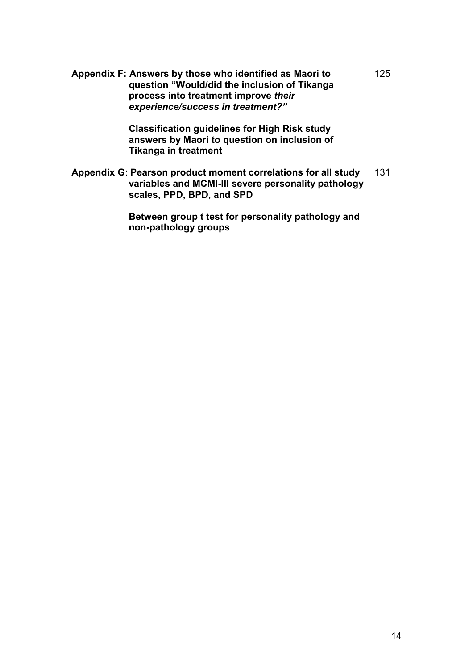**Appendix F: Answers by those who identified as Maori to question "Would/did the inclusion of Tikanga process into treatment improve** *their experience/success in treatment?"* 

> **Classification guidelines for High Risk study answers by Maori to question on inclusion of Tikanga in treatment**

**Appendix G**: **Pearson product moment correlations for all study variables and MCMI-III severe personality pathology scales, PPD, BPD, and SPD**  131

> **Between group t test for personality pathology and non-pathology groups**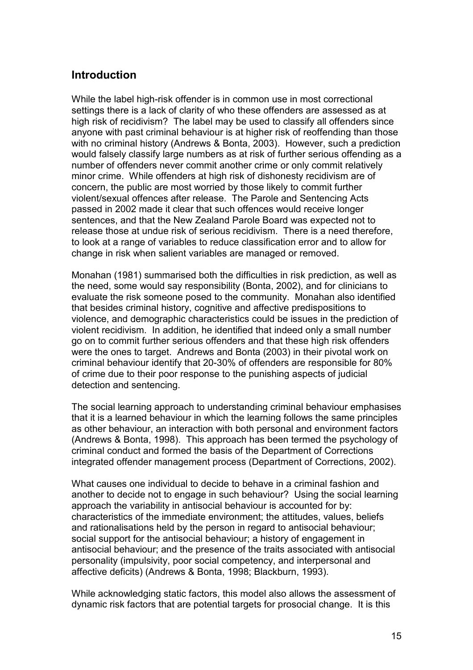## **Introduction**

While the label high-risk offender is in common use in most correctional settings there is a lack of clarity of who these offenders are assessed as at high risk of recidivism? The label may be used to classify all offenders since anyone with past criminal behaviour is at higher risk of reoffending than those with no criminal history (Andrews & Bonta, 2003). However, such a prediction would falsely classify large numbers as at risk of further serious offending as a number of offenders never commit another crime or only commit relatively minor crime. While offenders at high risk of dishonesty recidivism are of concern, the public are most worried by those likely to commit further violent/sexual offences after release. The Parole and Sentencing Acts passed in 2002 made it clear that such offences would receive longer sentences, and that the New Zealand Parole Board was expected not to release those at undue risk of serious recidivism. There is a need therefore, to look at a range of variables to reduce classification error and to allow for change in risk when salient variables are managed or removed.

Monahan (1981) summarised both the difficulties in risk prediction, as well as the need, some would say responsibility (Bonta, 2002), and for clinicians to evaluate the risk someone posed to the community. Monahan also identified that besides criminal history, cognitive and affective predispositions to violence, and demographic characteristics could be issues in the prediction of violent recidivism. In addition, he identified that indeed only a small number go on to commit further serious offenders and that these high risk offenders were the ones to target. Andrews and Bonta (2003) in their pivotal work on criminal behaviour identify that 20-30% of offenders are responsible for 80% of crime due to their poor response to the punishing aspects of judicial detection and sentencing.

The social learning approach to understanding criminal behaviour emphasises that it is a learned behaviour in which the learning follows the same principles as other behaviour, an interaction with both personal and environment factors (Andrews & Bonta, 1998). This approach has been termed the psychology of criminal conduct and formed the basis of the Department of Corrections integrated offender management process (Department of Corrections, 2002).

What causes one individual to decide to behave in a criminal fashion and another to decide not to engage in such behaviour? Using the social learning approach the variability in antisocial behaviour is accounted for by: characteristics of the immediate environment; the attitudes, values, beliefs and rationalisations held by the person in regard to antisocial behaviour; social support for the antisocial behaviour; a history of engagement in antisocial behaviour; and the presence of the traits associated with antisocial personality (impulsivity, poor social competency, and interpersonal and affective deficits) (Andrews & Bonta, 1998; Blackburn, 1993).

While acknowledging static factors, this model also allows the assessment of dynamic risk factors that are potential targets for prosocial change. It is this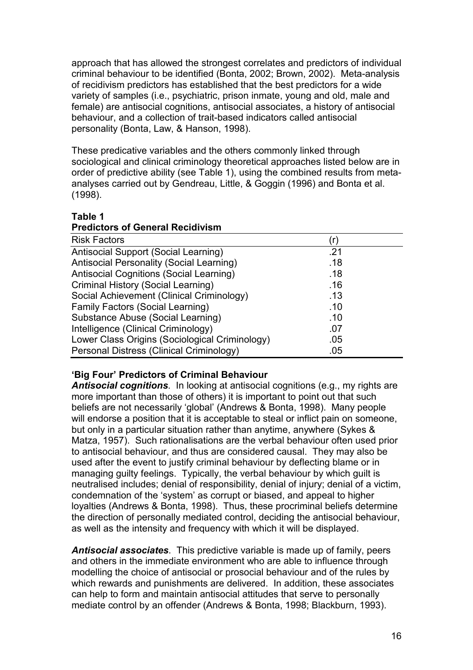approach that has allowed the strongest correlates and predictors of individual criminal behaviour to be identified (Bonta, 2002; Brown, 2002). Meta-analysis of recidivism predictors has established that the best predictors for a wide variety of samples (i.e., psychiatric, prison inmate, young and old, male and female) are antisocial cognitions, antisocial associates, a history of antisocial behaviour, and a collection of trait-based indicators called antisocial personality (Bonta, Law, & Hanson, 1998).

These predicative variables and the others commonly linked through sociological and clinical criminology theoretical approaches listed below are in order of predictive ability (see Table 1), using the combined results from metaanalyses carried out by Gendreau, Little, & Goggin (1996) and Bonta et al. (1998).

## **Table 1 Predictors of General Recidivism**

| <b>Risk Factors</b>                             |     |
|-------------------------------------------------|-----|
| <b>Antisocial Support (Social Learning)</b>     | .21 |
| <b>Antisocial Personality (Social Learning)</b> | .18 |
| <b>Antisocial Cognitions (Social Learning)</b>  | .18 |
| Criminal History (Social Learning)              | .16 |
| Social Achievement (Clinical Criminology)       | .13 |
| <b>Family Factors (Social Learning)</b>         | .10 |
| Substance Abuse (Social Learning)               | .10 |
| Intelligence (Clinical Criminology)             | .07 |
| Lower Class Origins (Sociological Criminology)  | .05 |
| Personal Distress (Clinical Criminology)        | .05 |

## **'Big Four' Predictors of Criminal Behaviour**

*Antisocial cognitions*. In looking at antisocial cognitions (e.g., my rights are more important than those of others) it is important to point out that such beliefs are not necessarily 'global' (Andrews & Bonta, 1998). Many people will endorse a position that it is acceptable to steal or inflict pain on someone, but only in a particular situation rather than anytime, anywhere (Sykes & Matza, 1957). Such rationalisations are the verbal behaviour often used prior to antisocial behaviour, and thus are considered causal. They may also be used after the event to justify criminal behaviour by deflecting blame or in managing guilty feelings. Typically, the verbal behaviour by which guilt is neutralised includes; denial of responsibility, denial of injury; denial of a victim, condemnation of the 'system' as corrupt or biased, and appeal to higher loyalties (Andrews & Bonta, 1998). Thus, these procriminal beliefs determine the direction of personally mediated control, deciding the antisocial behaviour, as well as the intensity and frequency with which it will be displayed.

*Antisocial associates*. This predictive variable is made up of family, peers and others in the immediate environment who are able to influence through modelling the choice of antisocial or prosocial behaviour and of the rules by which rewards and punishments are delivered. In addition, these associates can help to form and maintain antisocial attitudes that serve to personally mediate control by an offender (Andrews & Bonta, 1998; Blackburn, 1993).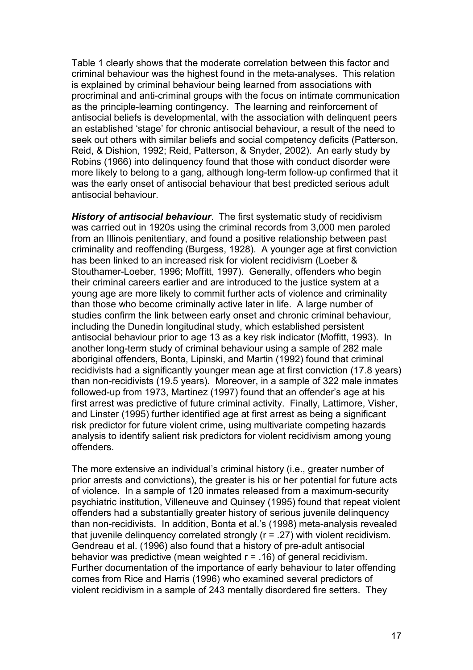Table 1 clearly shows that the moderate correlation between this factor and criminal behaviour was the highest found in the meta-analyses. This relation is explained by criminal behaviour being learned from associations with procriminal and anti-criminal groups with the focus on intimate communication as the principle-learning contingency. The learning and reinforcement of antisocial beliefs is developmental, with the association with delinquent peers an established 'stage' for chronic antisocial behaviour, a result of the need to seek out others with similar beliefs and social competency deficits (Patterson, Reid, & Dishion, 1992; Reid, Patterson, & Snyder, 2002). An early study by Robins (1966) into delinquency found that those with conduct disorder were more likely to belong to a gang, although long-term follow-up confirmed that it was the early onset of antisocial behaviour that best predicted serious adult antisocial behaviour.

*History of antisocial behaviour*. The first systematic study of recidivism was carried out in 1920s using the criminal records from 3,000 men paroled from an Illinois penitentiary, and found a positive relationship between past criminality and reoffending (Burgess, 1928). A younger age at first conviction has been linked to an increased risk for violent recidivism (Loeber & Stouthamer-Loeber, 1996; Moffitt, 1997). Generally, offenders who begin their criminal careers earlier and are introduced to the justice system at a young age are more likely to commit further acts of violence and criminality than those who become criminally active later in life. A large number of studies confirm the link between early onset and chronic criminal behaviour, including the Dunedin longitudinal study, which established persistent antisocial behaviour prior to age 13 as a key risk indicator (Moffitt, 1993). In another long-term study of criminal behaviour using a sample of 282 male aboriginal offenders, Bonta, Lipinski, and Martin (1992) found that criminal recidivists had a significantly younger mean age at first conviction (17.8 years) than non-recidivists (19.5 years). Moreover, in a sample of 322 male inmates followed-up from 1973, Martinez (1997) found that an offender's age at his first arrest was predictive of future criminal activity. Finally, Lattimore, Visher, and Linster (1995) further identified age at first arrest as being a significant risk predictor for future violent crime, using multivariate competing hazards analysis to identify salient risk predictors for violent recidivism among young offenders.

The more extensive an individual's criminal history (i.e., greater number of prior arrests and convictions), the greater is his or her potential for future acts of violence. In a sample of 120 inmates released from a maximum-security psychiatric institution, Villeneuve and Quinsey (1995) found that repeat violent offenders had a substantially greater history of serious juvenile delinquency than non-recidivists. In addition, Bonta et al.'s (1998) meta-analysis revealed that juvenile delinquency correlated strongly (r = .27) with violent recidivism. Gendreau et al. (1996) also found that a history of pre-adult antisocial behavior was predictive (mean weighted  $r = .16$ ) of general recidivism. Further documentation of the importance of early behaviour to later offending comes from Rice and Harris (1996) who examined several predictors of violent recidivism in a sample of 243 mentally disordered fire setters. They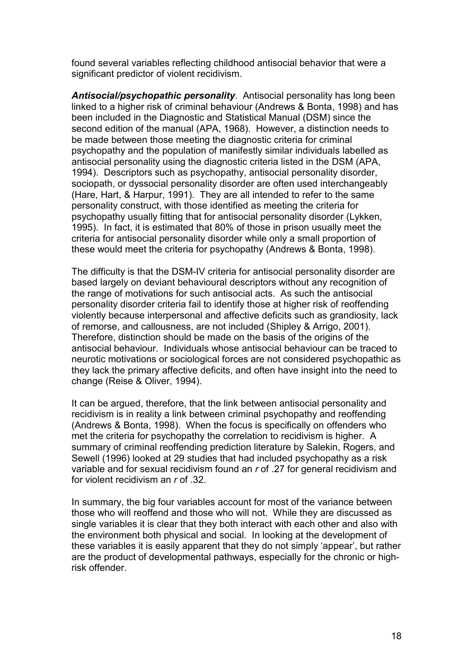found several variables reflecting childhood antisocial behavior that were a significant predictor of violent recidivism.

*Antisocial/psychopathic personality*. Antisocial personality has long been linked to a higher risk of criminal behaviour (Andrews & Bonta, 1998) and has been included in the Diagnostic and Statistical Manual (DSM) since the second edition of the manual (APA, 1968). However, a distinction needs to be made between those meeting the diagnostic criteria for criminal psychopathy and the population of manifestly similar individuals labelled as antisocial personality using the diagnostic criteria listed in the DSM (APA, 1994). Descriptors such as psychopathy, antisocial personality disorder, sociopath, or dyssocial personality disorder are often used interchangeably (Hare, Hart, & Harpur, 1991). They are all intended to refer to the same personality construct, with those identified as meeting the criteria for psychopathy usually fitting that for antisocial personality disorder (Lykken, 1995). In fact, it is estimated that 80% of those in prison usually meet the criteria for antisocial personality disorder while only a small proportion of these would meet the criteria for psychopathy (Andrews & Bonta, 1998).

The difficulty is that the DSM-IV criteria for antisocial personality disorder are based largely on deviant behavioural descriptors without any recognition of the range of motivations for such antisocial acts. As such the antisocial personality disorder criteria fail to identify those at higher risk of reoffending violently because interpersonal and affective deficits such as grandiosity, lack of remorse, and callousness, are not included (Shipley & Arrigo, 2001). Therefore, distinction should be made on the basis of the origins of the antisocial behaviour. Individuals whose antisocial behaviour can be traced to neurotic motivations or sociological forces are not considered psychopathic as they lack the primary affective deficits, and often have insight into the need to change (Reise & Oliver, 1994).

It can be argued, therefore, that the link between antisocial personality and recidivism is in reality a link between criminal psychopathy and reoffending (Andrews & Bonta, 1998). When the focus is specifically on offenders who met the criteria for psychopathy the correlation to recidivism is higher. A summary of criminal reoffending prediction literature by Salekin, Rogers, and Sewell (1996) looked at 29 studies that had included psychopathy as a risk variable and for sexual recidivism found an *r* of .27 for general recidivism and for violent recidivism an *r* of .32.

In summary, the big four variables account for most of the variance between those who will reoffend and those who will not. While they are discussed as single variables it is clear that they both interact with each other and also with the environment both physical and social. In looking at the development of these variables it is easily apparent that they do not simply 'appear', but rather are the product of developmental pathways, especially for the chronic or highrisk offender.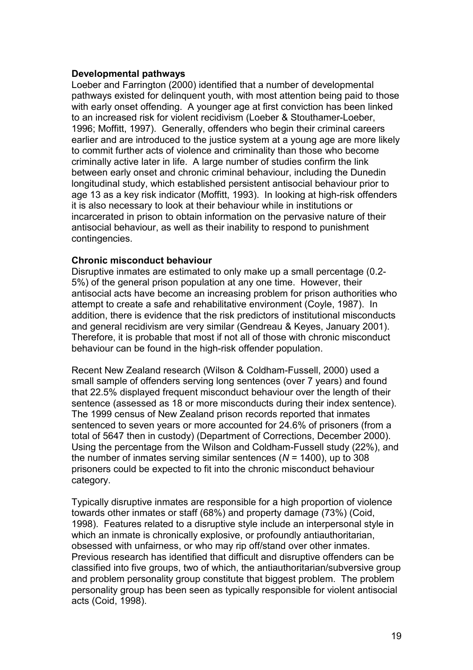#### **Developmental pathways**

Loeber and Farrington (2000) identified that a number of developmental pathways existed for delinquent youth, with most attention being paid to those with early onset offending. A younger age at first conviction has been linked to an increased risk for violent recidivism (Loeber & Stouthamer-Loeber, 1996; Moffitt, 1997). Generally, offenders who begin their criminal careers earlier and are introduced to the justice system at a young age are more likely to commit further acts of violence and criminality than those who become criminally active later in life. A large number of studies confirm the link between early onset and chronic criminal behaviour, including the Dunedin longitudinal study, which established persistent antisocial behaviour prior to age 13 as a key risk indicator (Moffitt, 1993). In looking at high-risk offenders it is also necessary to look at their behaviour while in institutions or incarcerated in prison to obtain information on the pervasive nature of their antisocial behaviour, as well as their inability to respond to punishment contingencies.

## **Chronic misconduct behaviour**

Disruptive inmates are estimated to only make up a small percentage (0.2- 5%) of the general prison population at any one time. However, their antisocial acts have become an increasing problem for prison authorities who attempt to create a safe and rehabilitative environment (Coyle, 1987). In addition, there is evidence that the risk predictors of institutional misconducts and general recidivism are very similar (Gendreau & Keyes, January 2001). Therefore, it is probable that most if not all of those with chronic misconduct behaviour can be found in the high-risk offender population.

Recent New Zealand research (Wilson & Coldham-Fussell, 2000) used a small sample of offenders serving long sentences (over 7 years) and found that 22.5% displayed frequent misconduct behaviour over the length of their sentence (assessed as 18 or more misconducts during their index sentence). The 1999 census of New Zealand prison records reported that inmates sentenced to seven years or more accounted for 24.6% of prisoners (from a total of 5647 then in custody) (Department of Corrections, December 2000). Using the percentage from the Wilson and Coldham-Fussell study (22%), and the number of inmates serving similar sentences (*N* = 1400), up to 308 prisoners could be expected to fit into the chronic misconduct behaviour category.

Typically disruptive inmates are responsible for a high proportion of violence towards other inmates or staff (68%) and property damage (73%) (Coid, 1998). Features related to a disruptive style include an interpersonal style in which an inmate is chronically explosive, or profoundly antiauthoritarian, obsessed with unfairness, or who may rip off/stand over other inmates. Previous research has identified that difficult and disruptive offenders can be classified into five groups, two of which, the antiauthoritarian/subversive group and problem personality group constitute that biggest problem. The problem personality group has been seen as typically responsible for violent antisocial acts (Coid, 1998).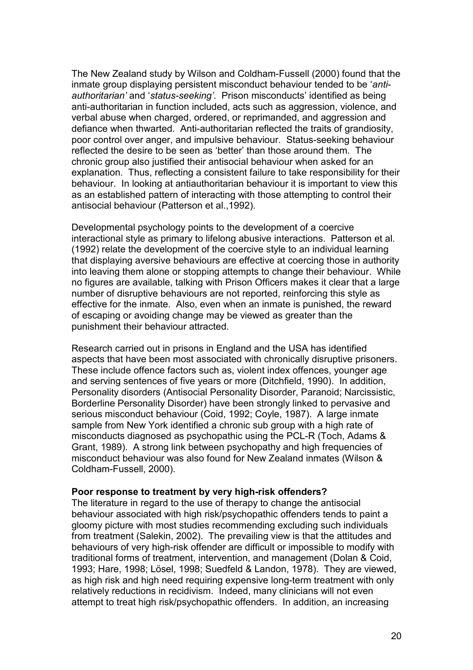The New Zealand study by Wilson and Coldham-Fussell (2000) found that the inmate group displaying persistent misconduct behaviour tended to be '*antiauthoritarian'* and '*status-seeking'*. Prison misconducts' identified as being anti-authoritarian in function included, acts such as aggression, violence, and verbal abuse when charged, ordered, or reprimanded, and aggression and defiance when thwarted. Anti-authoritarian reflected the traits of grandiosity, poor control over anger, and impulsive behaviour. Status-seeking behaviour reflected the desire to be seen as 'better' than those around them. The chronic group also justified their antisocial behaviour when asked for an explanation. Thus, reflecting a consistent failure to take responsibility for their behaviour. In looking at antiauthoritarian behaviour it is important to view this as an established pattern of interacting with those attempting to control their antisocial behaviour (Patterson et al.,1992).

Developmental psychology points to the development of a coercive interactional style as primary to lifelong abusive interactions. Patterson et al. (1992) relate the development of the coercive style to an individual learning that displaying aversive behaviours are effective at coercing those in authority into leaving them alone or stopping attempts to change their behaviour. While no figures are available, talking with Prison Officers makes it clear that a large number of disruptive behaviours are not reported, reinforcing this style as effective for the inmate. Also, even when an inmate is punished, the reward of escaping or avoiding change may be viewed as greater than the punishment their behaviour attracted.

Research carried out in prisons in England and the USA has identified aspects that have been most associated with chronically disruptive prisoners. These include offence factors such as, violent index offences, younger age and serving sentences of five years or more (Ditchfield, 1990). In addition, Personality disorders (Antisocial Personality Disorder, Paranoid; Narcissistic, Borderline Personality Disorder) have been strongly linked to pervasive and serious misconduct behaviour (Coid, 1992; Coyle, 1987). A large inmate sample from New York identified a chronic sub group with a high rate of misconducts diagnosed as psychopathic using the PCL-R (Toch, Adams & Grant, 1989). A strong link between psychopathy and high frequencies of misconduct behaviour was also found for New Zealand inmates (Wilson & Coldham-Fussell, 2000).

#### **Poor response to treatment by very high-risk offenders?**

The literature in regard to the use of therapy to change the antisocial behaviour associated with high risk/psychopathic offenders tends to paint a gloomy picture with most studies recommending excluding such individuals from treatment (Salekin, 2002). The prevailing view is that the attitudes and behaviours of very high-risk offender are difficult or impossible to modify with traditional forms of treatment, intervention, and management (Dolan & Coid, 1993; Hare, 1998; Lösel, 1998; Suedfeld & Landon, 1978). They are viewed, as high risk and high need requiring expensive long-term treatment with only relatively reductions in recidivism. Indeed, many clinicians will not even attempt to treat high risk/psychopathic offenders. In addition, an increasing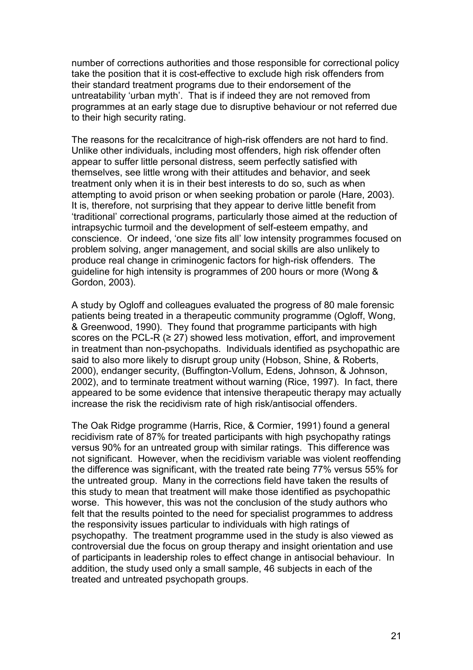number of corrections authorities and those responsible for correctional policy take the position that it is cost-effective to exclude high risk offenders from their standard treatment programs due to their endorsement of the untreatability 'urban myth'. That is if indeed they are not removed from programmes at an early stage due to disruptive behaviour or not referred due to their high security rating.

The reasons for the recalcitrance of high-risk offenders are not hard to find. Unlike other individuals, including most offenders, high risk offender often appear to suffer little personal distress, seem perfectly satisfied with themselves, see little wrong with their attitudes and behavior, and seek treatment only when it is in their best interests to do so, such as when attempting to avoid prison or when seeking probation or parole (Hare, 2003). It is, therefore, not surprising that they appear to derive little benefit from 'traditional' correctional programs, particularly those aimed at the reduction of intrapsychic turmoil and the development of self-esteem empathy, and conscience. Or indeed, 'one size fits all' low intensity programmes focused on problem solving, anger management, and social skills are also unlikely to produce real change in criminogenic factors for high-risk offenders. The guideline for high intensity is programmes of 200 hours or more (Wong & Gordon, 2003).

A study by Ogloff and colleagues evaluated the progress of 80 male forensic patients being treated in a therapeutic community programme (Ogloff, Wong, & Greenwood, 1990). They found that programme participants with high scores on the PCL-R  $(≥ 27)$  showed less motivation, effort, and improvement in treatment than non-psychopaths. Individuals identified as psychopathic are said to also more likely to disrupt group unity (Hobson, Shine, & Roberts, 2000), endanger security, (Buffington-Vollum, Edens, Johnson, & Johnson, 2002), and to terminate treatment without warning (Rice, 1997). In fact, there appeared to be some evidence that intensive therapeutic therapy may actually increase the risk the recidivism rate of high risk/antisocial offenders.

The Oak Ridge programme (Harris, Rice, & Cormier, 1991) found a general recidivism rate of 87% for treated participants with high psychopathy ratings versus 90% for an untreated group with similar ratings. This difference was not significant. However, when the recidivism variable was violent reoffending the difference was significant, with the treated rate being 77% versus 55% for the untreated group. Many in the corrections field have taken the results of this study to mean that treatment will make those identified as psychopathic worse. This however, this was not the conclusion of the study authors who felt that the results pointed to the need for specialist programmes to address the responsivity issues particular to individuals with high ratings of psychopathy. The treatment programme used in the study is also viewed as controversial due the focus on group therapy and insight orientation and use of participants in leadership roles to effect change in antisocial behaviour. In addition, the study used only a small sample, 46 subjects in each of the treated and untreated psychopath groups.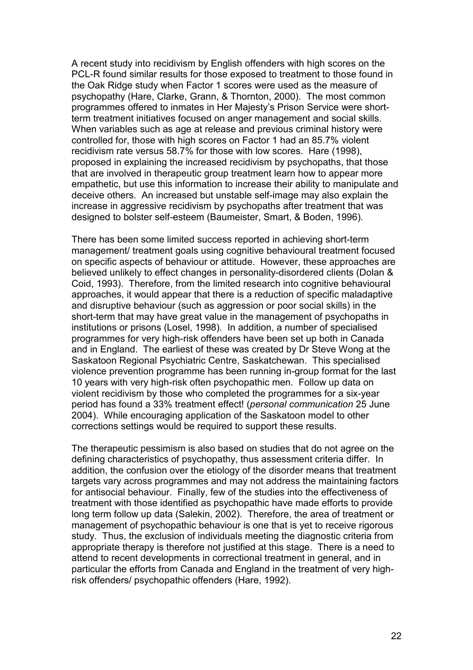A recent study into recidivism by English offenders with high scores on the PCL-R found similar results for those exposed to treatment to those found in the Oak Ridge study when Factor 1 scores were used as the measure of psychopathy (Hare, Clarke, Grann, & Thornton, 2000). The most common programmes offered to inmates in Her Majesty's Prison Service were shortterm treatment initiatives focused on anger management and social skills. When variables such as age at release and previous criminal history were controlled for, those with high scores on Factor 1 had an 85.7% violent recidivism rate versus 58.7% for those with low scores. Hare (1998), proposed in explaining the increased recidivism by psychopaths, that those that are involved in therapeutic group treatment learn how to appear more empathetic, but use this information to increase their ability to manipulate and deceive others. An increased but unstable self-image may also explain the increase in aggressive recidivism by psychopaths after treatment that was designed to bolster self-esteem (Baumeister, Smart, & Boden, 1996).

There has been some limited success reported in achieving short-term management/ treatment goals using cognitive behavioural treatment focused on specific aspects of behaviour or attitude. However, these approaches are believed unlikely to effect changes in personality-disordered clients (Dolan & Coid, 1993). Therefore, from the limited research into cognitive behavioural approaches, it would appear that there is a reduction of specific maladaptive and disruptive behaviour (such as aggression or poor social skills) in the short-term that may have great value in the management of psychopaths in institutions or prisons (Losel, 1998). In addition, a number of specialised programmes for very high-risk offenders have been set up both in Canada and in England. The earliest of these was created by Dr Steve Wong at the Saskatoon Regional Psychiatric Centre, Saskatchewan. This specialised violence prevention programme has been running in-group format for the last 10 years with very high-risk often psychopathic men. Follow up data on violent recidivism by those who completed the programmes for a six-year period has found a 33% treatment effect! (*personal communication* 25 June 2004). While encouraging application of the Saskatoon model to other corrections settings would be required to support these results.

The therapeutic pessimism is also based on studies that do not agree on the defining characteristics of psychopathy, thus assessment criteria differ. In addition, the confusion over the etiology of the disorder means that treatment targets vary across programmes and may not address the maintaining factors for antisocial behaviour. Finally, few of the studies into the effectiveness of treatment with those identified as psychopathic have made efforts to provide long term follow up data (Salekin, 2002). Therefore, the area of treatment or management of psychopathic behaviour is one that is yet to receive rigorous study. Thus, the exclusion of individuals meeting the diagnostic criteria from appropriate therapy is therefore not justified at this stage. There is a need to attend to recent developments in correctional treatment in general, and in particular the efforts from Canada and England in the treatment of very highrisk offenders/ psychopathic offenders (Hare, 1992).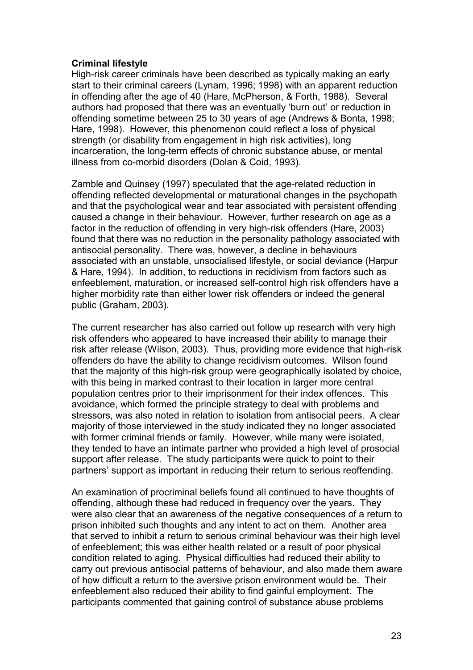## **Criminal lifestyle**

High-risk career criminals have been described as typically making an early start to their criminal careers (Lynam, 1996; 1998) with an apparent reduction in offending after the age of 40 (Hare, McPherson, & Forth, 1988). Several authors had proposed that there was an eventually 'burn out' or reduction in offending sometime between 25 to 30 years of age (Andrews & Bonta, 1998; Hare, 1998). However, this phenomenon could reflect a loss of physical strength (or disability from engagement in high risk activities), long incarceration, the long-term effects of chronic substance abuse, or mental illness from co-morbid disorders (Dolan & Coid, 1993).

Zamble and Quinsey (1997) speculated that the age-related reduction in offending reflected developmental or maturational changes in the psychopath and that the psychological wear and tear associated with persistent offending caused a change in their behaviour. However, further research on age as a factor in the reduction of offending in very high-risk offenders (Hare, 2003) found that there was no reduction in the personality pathology associated with antisocial personality. There was, however, a decline in behaviours associated with an unstable, unsocialised lifestyle, or social deviance (Harpur & Hare, 1994). In addition, to reductions in recidivism from factors such as enfeeblement, maturation, or increased self-control high risk offenders have a higher morbidity rate than either lower risk offenders or indeed the general public (Graham, 2003).

The current researcher has also carried out follow up research with very high risk offenders who appeared to have increased their ability to manage their risk after release (Wilson, 2003). Thus, providing more evidence that high-risk offenders do have the ability to change recidivism outcomes. Wilson found that the majority of this high-risk group were geographically isolated by choice, with this being in marked contrast to their location in larger more central population centres prior to their imprisonment for their index offences. This avoidance, which formed the principle strategy to deal with problems and stressors, was also noted in relation to isolation from antisocial peers. A clear majority of those interviewed in the study indicated they no longer associated with former criminal friends or family. However, while many were isolated, they tended to have an intimate partner who provided a high level of prosocial support after release. The study participants were quick to point to their partners' support as important in reducing their return to serious reoffending.

An examination of procriminal beliefs found all continued to have thoughts of offending, although these had reduced in frequency over the years. They were also clear that an awareness of the negative consequences of a return to prison inhibited such thoughts and any intent to act on them. Another area that served to inhibit a return to serious criminal behaviour was their high level of enfeeblement; this was either health related or a result of poor physical condition related to aging. Physical difficulties had reduced their ability to carry out previous antisocial patterns of behaviour, and also made them aware of how difficult a return to the aversive prison environment would be. Their enfeeblement also reduced their ability to find gainful employment. The participants commented that gaining control of substance abuse problems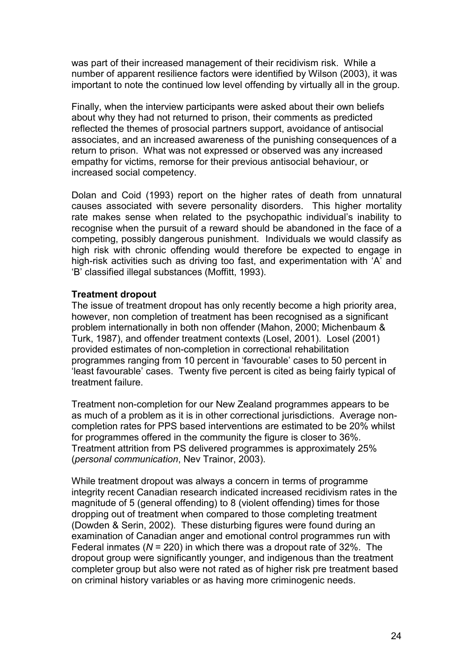was part of their increased management of their recidivism risk. While a number of apparent resilience factors were identified by Wilson (2003), it was important to note the continued low level offending by virtually all in the group.

Finally, when the interview participants were asked about their own beliefs about why they had not returned to prison, their comments as predicted reflected the themes of prosocial partners support, avoidance of antisocial associates, and an increased awareness of the punishing consequences of a return to prison. What was not expressed or observed was any increased empathy for victims, remorse for their previous antisocial behaviour, or increased social competency.

Dolan and Coid (1993) report on the higher rates of death from unnatural causes associated with severe personality disorders. This higher mortality rate makes sense when related to the psychopathic individual's inability to recognise when the pursuit of a reward should be abandoned in the face of a competing, possibly dangerous punishment. Individuals we would classify as high risk with chronic offending would therefore be expected to engage in high-risk activities such as driving too fast, and experimentation with 'A' and 'B' classified illegal substances (Moffitt, 1993).

#### **Treatment dropout**

The issue of treatment dropout has only recently become a high priority area, however, non completion of treatment has been recognised as a significant problem internationally in both non offender (Mahon, 2000; Michenbaum & Turk, 1987), and offender treatment contexts (Losel, 2001). Losel (2001) provided estimates of non-completion in correctional rehabilitation programmes ranging from 10 percent in 'favourable' cases to 50 percent in 'least favourable' cases. Twenty five percent is cited as being fairly typical of treatment failure.

Treatment non-completion for our New Zealand programmes appears to be as much of a problem as it is in other correctional jurisdictions. Average noncompletion rates for PPS based interventions are estimated to be 20% whilst for programmes offered in the community the figure is closer to 36%. Treatment attrition from PS delivered programmes is approximately 25% (*personal communication*, Nev Trainor, 2003).

While treatment dropout was always a concern in terms of programme integrity recent Canadian research indicated increased recidivism rates in the magnitude of 5 (general offending) to 8 (violent offending) times for those dropping out of treatment when compared to those completing treatment (Dowden & Serin, 2002). These disturbing figures were found during an examination of Canadian anger and emotional control programmes run with Federal inmates (*N* = 220) in which there was a dropout rate of 32%. The dropout group were significantly younger, and indigenous than the treatment completer group but also were not rated as of higher risk pre treatment based on criminal history variables or as having more criminogenic needs.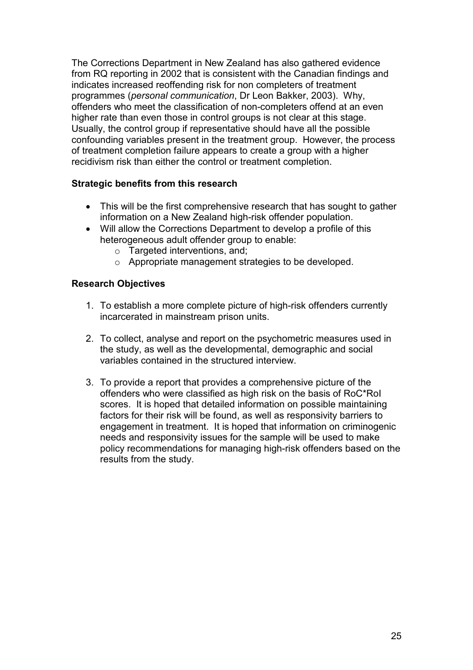The Corrections Department in New Zealand has also gathered evidence from RQ reporting in 2002 that is consistent with the Canadian findings and indicates increased reoffending risk for non completers of treatment programmes (*personal communication*, Dr Leon Bakker, 2003). Why, offenders who meet the classification of non-completers offend at an even higher rate than even those in control groups is not clear at this stage. Usually, the control group if representative should have all the possible confounding variables present in the treatment group. However, the process of treatment completion failure appears to create a group with a higher recidivism risk than either the control or treatment completion.

## **Strategic benefits from this research**

- This will be the first comprehensive research that has sought to gather information on a New Zealand high-risk offender population.
- Will allow the Corrections Department to develop a profile of this heterogeneous adult offender group to enable:
	- o Targeted interventions, and;
	- o Appropriate management strategies to be developed.

## **Research Objectives**

- 1. To establish a more complete picture of high-risk offenders currently incarcerated in mainstream prison units.
- 2. To collect, analyse and report on the psychometric measures used in the study, as well as the developmental, demographic and social variables contained in the structured interview.
- 3. To provide a report that provides a comprehensive picture of the offenders who were classified as high risk on the basis of RoC\*RoI scores. It is hoped that detailed information on possible maintaining factors for their risk will be found, as well as responsivity barriers to engagement in treatment. It is hoped that information on criminogenic needs and responsivity issues for the sample will be used to make policy recommendations for managing high-risk offenders based on the results from the study.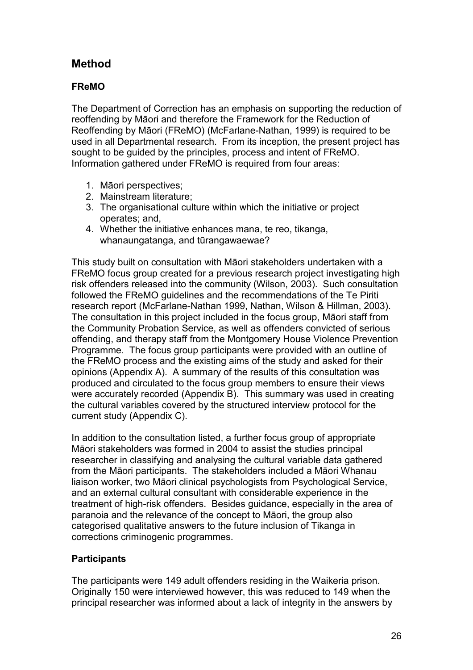# **Method**

## **FReMO**

The Department of Correction has an emphasis on supporting the reduction of reoffending by Māori and therefore the Framework for the Reduction of Reoffending by Māori (FReMO) (McFarlane-Nathan, 1999) is required to be used in all Departmental research. From its inception, the present project has sought to be guided by the principles, process and intent of FReMO. Information gathered under FReMO is required from four areas:

- 1. Māori perspectives;
- 2. Mainstream literature;
- 3. The organisational culture within which the initiative or project operates; and,
- 4. Whether the initiative enhances mana, te reo, tikanga, whanaungatanga, and tūrangawaewae?

This study built on consultation with Māori stakeholders undertaken with a FReMO focus group created for a previous research project investigating high risk offenders released into the community (Wilson, 2003). Such consultation followed the FReMO guidelines and the recommendations of the Te Piriti research report (McFarlane-Nathan 1999, Nathan, Wilson & Hillman, 2003). The consultation in this project included in the focus group, Māori staff from the Community Probation Service, as well as offenders convicted of serious offending, and therapy staff from the Montgomery House Violence Prevention Programme. The focus group participants were provided with an outline of the FReMO process and the existing aims of the study and asked for their opinions (Appendix A). A summary of the results of this consultation was produced and circulated to the focus group members to ensure their views were accurately recorded (Appendix B). This summary was used in creating the cultural variables covered by the structured interview protocol for the current study (Appendix C).

In addition to the consultation listed, a further focus group of appropriate Māori stakeholders was formed in 2004 to assist the studies principal researcher in classifying and analysing the cultural variable data gathered from the Māori participants. The stakeholders included a Māori Whanau liaison worker, two Māori clinical psychologists from Psychological Service, and an external cultural consultant with considerable experience in the treatment of high-risk offenders. Besides guidance, especially in the area of paranoia and the relevance of the concept to Māori, the group also categorised qualitative answers to the future inclusion of Tikanga in corrections criminogenic programmes.

## **Participants**

The participants were 149 adult offenders residing in the Waikeria prison. Originally 150 were interviewed however, this was reduced to 149 when the principal researcher was informed about a lack of integrity in the answers by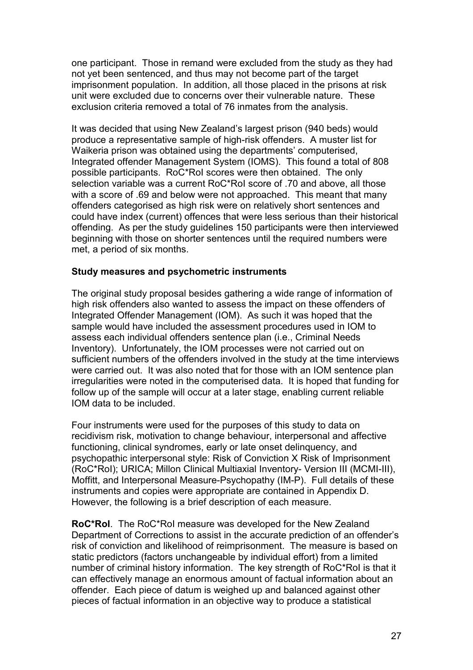one participant. Those in remand were excluded from the study as they had not yet been sentenced, and thus may not become part of the target imprisonment population. In addition, all those placed in the prisons at risk unit were excluded due to concerns over their vulnerable nature. These exclusion criteria removed a total of 76 inmates from the analysis.

It was decided that using New Zealand's largest prison (940 beds) would produce a representative sample of high-risk offenders. A muster list for Waikeria prison was obtained using the departments' computerised, Integrated offender Management System (IOMS). This found a total of 808 possible participants. RoC\*RoI scores were then obtained. The only selection variable was a current RoC\*RoI score of .70 and above, all those with a score of .69 and below were not approached. This meant that many offenders categorised as high risk were on relatively short sentences and could have index (current) offences that were less serious than their historical offending. As per the study guidelines 150 participants were then interviewed beginning with those on shorter sentences until the required numbers were met, a period of six months.

#### **Study measures and psychometric instruments**

The original study proposal besides gathering a wide range of information of high risk offenders also wanted to assess the impact on these offenders of Integrated Offender Management (IOM). As such it was hoped that the sample would have included the assessment procedures used in IOM to assess each individual offenders sentence plan (i.e., Criminal Needs Inventory). Unfortunately, the IOM processes were not carried out on sufficient numbers of the offenders involved in the study at the time interviews were carried out. It was also noted that for those with an IOM sentence plan irregularities were noted in the computerised data. It is hoped that funding for follow up of the sample will occur at a later stage, enabling current reliable IOM data to be included.

Four instruments were used for the purposes of this study to data on recidivism risk, motivation to change behaviour, interpersonal and affective functioning, clinical syndromes, early or late onset delinquency, and psychopathic interpersonal style: Risk of Conviction X Risk of Imprisonment (RoC\*RoI); URICA; Millon Clinical Multiaxial Inventory- Version III (MCMI-III), Moffitt, and Interpersonal Measure-Psychopathy (IM-P). Full details of these instruments and copies were appropriate are contained in Appendix D. However, the following is a brief description of each measure.

**RoC\*RoI**. The RoC\*RoI measure was developed for the New Zealand Department of Corrections to assist in the accurate prediction of an offender's risk of conviction and likelihood of reimprisonment. The measure is based on static predictors (factors unchangeable by individual effort) from a limited number of criminal history information. The key strength of RoC\*RoI is that it can effectively manage an enormous amount of factual information about an offender. Each piece of datum is weighed up and balanced against other pieces of factual information in an objective way to produce a statistical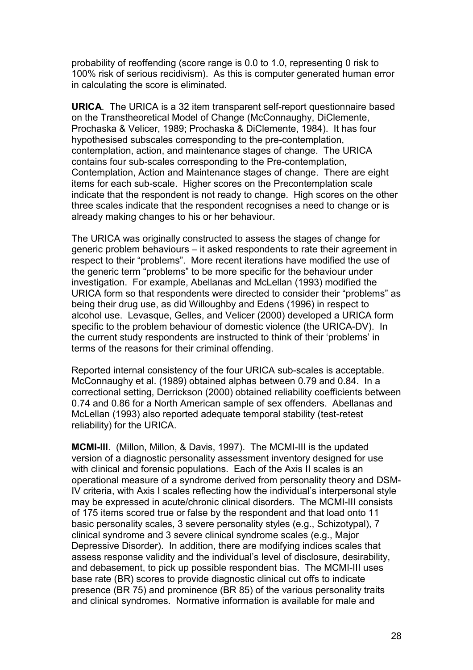probability of reoffending (score range is 0.0 to 1.0, representing 0 risk to 100% risk of serious recidivism). As this is computer generated human error in calculating the score is eliminated.

**URICA**. The URICA is a 32 item transparent self-report questionnaire based on the Transtheoretical Model of Change (McConnaughy, DiClemente, Prochaska & Velicer, 1989; Prochaska & DiClemente, 1984). It has four hypothesised subscales corresponding to the pre-contemplation, contemplation, action, and maintenance stages of change. The URICA contains four sub-scales corresponding to the Pre-contemplation, Contemplation, Action and Maintenance stages of change. There are eight items for each sub-scale. Higher scores on the Precontemplation scale indicate that the respondent is not ready to change. High scores on the other three scales indicate that the respondent recognises a need to change or is already making changes to his or her behaviour.

The URICA was originally constructed to assess the stages of change for generic problem behaviours – it asked respondents to rate their agreement in respect to their "problems". More recent iterations have modified the use of the generic term "problems" to be more specific for the behaviour under investigation. For example, Abellanas and McLellan (1993) modified the URICA form so that respondents were directed to consider their "problems" as being their drug use, as did Willoughby and Edens (1996) in respect to alcohol use. Levasque, Gelles, and Velicer (2000) developed a URICA form specific to the problem behaviour of domestic violence (the URICA-DV). In the current study respondents are instructed to think of their 'problems' in terms of the reasons for their criminal offending.

Reported internal consistency of the four URICA sub-scales is acceptable. McConnaughy et al. (1989) obtained alphas between 0.79 and 0.84. In a correctional setting, Derrickson (2000) obtained reliability coefficients between 0.74 and 0.86 for a North American sample of sex offenders. Abellanas and McLellan (1993) also reported adequate temporal stability (test-retest reliability) for the URICA.

**MCMI-III**. (Millon, Millon, & Davis, 1997). The MCMI-III is the updated version of a diagnostic personality assessment inventory designed for use with clinical and forensic populations. Each of the Axis II scales is an operational measure of a syndrome derived from personality theory and DSM-IV criteria, with Axis I scales reflecting how the individual's interpersonal style may be expressed in acute/chronic clinical disorders. The MCMI-III consists of 175 items scored true or false by the respondent and that load onto 11 basic personality scales, 3 severe personality styles (e.g., Schizotypal), 7 clinical syndrome and 3 severe clinical syndrome scales (e.g., Major Depressive Disorder). In addition, there are modifying indices scales that assess response validity and the individual's level of disclosure, desirability, and debasement, to pick up possible respondent bias. The MCMI-III uses base rate (BR) scores to provide diagnostic clinical cut offs to indicate presence (BR 75) and prominence (BR 85) of the various personality traits and clinical syndromes. Normative information is available for male and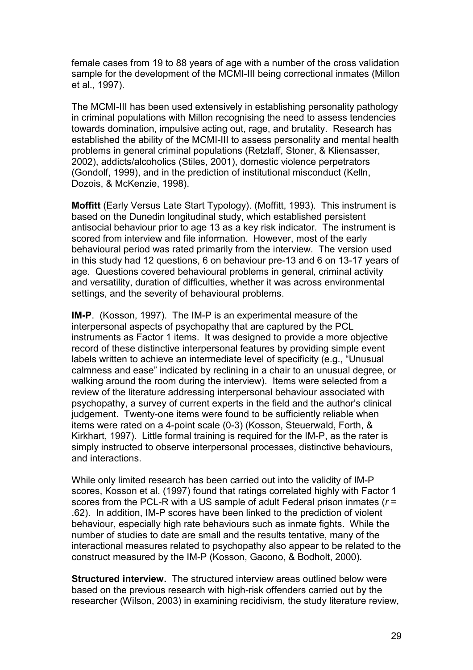female cases from 19 to 88 years of age with a number of the cross validation sample for the development of the MCMI-III being correctional inmates (Millon et al., 1997).

The MCMI-III has been used extensively in establishing personality pathology in criminal populations with Millon recognising the need to assess tendencies towards domination, impulsive acting out, rage, and brutality. Research has established the ability of the MCMI-III to assess personality and mental health problems in general criminal populations (Retzlaff, Stoner, & Kliensasser, 2002), addicts/alcoholics (Stiles, 2001), domestic violence perpetrators (Gondolf, 1999), and in the prediction of institutional misconduct (Kelln, Dozois, & McKenzie, 1998).

**Moffitt** (Early Versus Late Start Typology). (Moffitt, 1993). This instrument is based on the Dunedin longitudinal study, which established persistent antisocial behaviour prior to age 13 as a key risk indicator. The instrument is scored from interview and file information. However, most of the early behavioural period was rated primarily from the interview. The version used in this study had 12 questions, 6 on behaviour pre-13 and 6 on 13-17 years of age. Questions covered behavioural problems in general, criminal activity and versatility, duration of difficulties, whether it was across environmental settings, and the severity of behavioural problems.

**IM-P**. (Kosson, 1997). The IM-P is an experimental measure of the interpersonal aspects of psychopathy that are captured by the PCL instruments as Factor 1 items. It was designed to provide a more objective record of these distinctive interpersonal features by providing simple event labels written to achieve an intermediate level of specificity (e.g., "Unusual calmness and ease" indicated by reclining in a chair to an unusual degree, or walking around the room during the interview). Items were selected from a review of the literature addressing interpersonal behaviour associated with psychopathy, a survey of current experts in the field and the author's clinical judgement. Twenty-one items were found to be sufficiently reliable when items were rated on a 4-point scale (0-3) (Kosson, Steuerwald, Forth, & Kirkhart, 1997). Little formal training is required for the IM-P, as the rater is simply instructed to observe interpersonal processes, distinctive behaviours, and interactions.

While only limited research has been carried out into the validity of IM-P scores, Kosson et al. (1997) found that ratings correlated highly with Factor 1 scores from the PCL-R with a US sample of adult Federal prison inmates (*r* = .62). In addition, IM-P scores have been linked to the prediction of violent behaviour, especially high rate behaviours such as inmate fights. While the number of studies to date are small and the results tentative, many of the interactional measures related to psychopathy also appear to be related to the construct measured by the IM-P (Kosson, Gacono, & Bodholt, 2000).

**Structured interview.** The structured interview areas outlined below were based on the previous research with high-risk offenders carried out by the researcher (Wilson, 2003) in examining recidivism, the study literature review,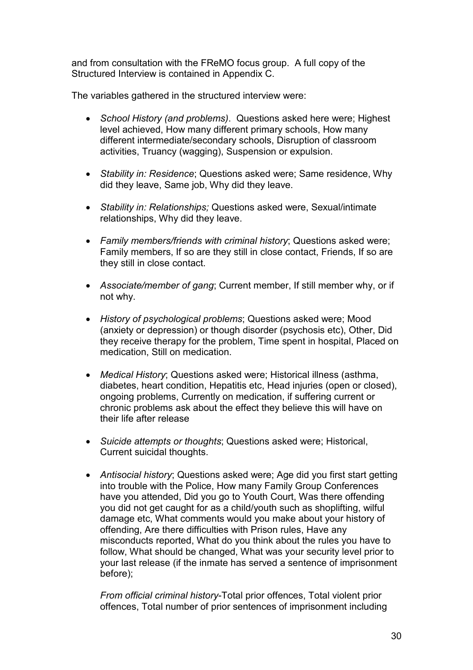and from consultation with the FReMO focus group. A full copy of the Structured Interview is contained in Appendix C.

The variables gathered in the structured interview were:

- *School History (and problems)*. Questions asked here were; Highest level achieved, How many different primary schools, How many different intermediate/secondary schools, Disruption of classroom activities, Truancy (wagging), Suspension or expulsion.
- *Stability in: Residence*; Questions asked were; Same residence, Why did they leave, Same job, Why did they leave.
- *Stability in: Relationships;* Questions asked were, Sexual/intimate relationships, Why did they leave.
- *Family members/friends with criminal history*; Questions asked were; Family members, If so are they still in close contact, Friends, If so are they still in close contact.
- *Associate/member of gang*; Current member, If still member why, or if not why.
- *History of psychological problems*; Questions asked were; Mood (anxiety or depression) or though disorder (psychosis etc), Other, Did they receive therapy for the problem, Time spent in hospital, Placed on medication, Still on medication.
- *Medical History*; Questions asked were; Historical illness (asthma, diabetes, heart condition, Hepatitis etc, Head injuries (open or closed), ongoing problems, Currently on medication, if suffering current or chronic problems ask about the effect they believe this will have on their life after release
- *Suicide attempts or thoughts*; Questions asked were; Historical, Current suicidal thoughts.
- *Antisocial history*; Questions asked were; Age did you first start getting into trouble with the Police, How many Family Group Conferences have you attended, Did you go to Youth Court, Was there offending you did not get caught for as a child/youth such as shoplifting, wilful damage etc, What comments would you make about your history of offending, Are there difficulties with Prison rules, Have any misconducts reported, What do you think about the rules you have to follow, What should be changed, What was your security level prior to your last release (if the inmate has served a sentence of imprisonment before);

*From official criminal history*-Total prior offences, Total violent prior offences, Total number of prior sentences of imprisonment including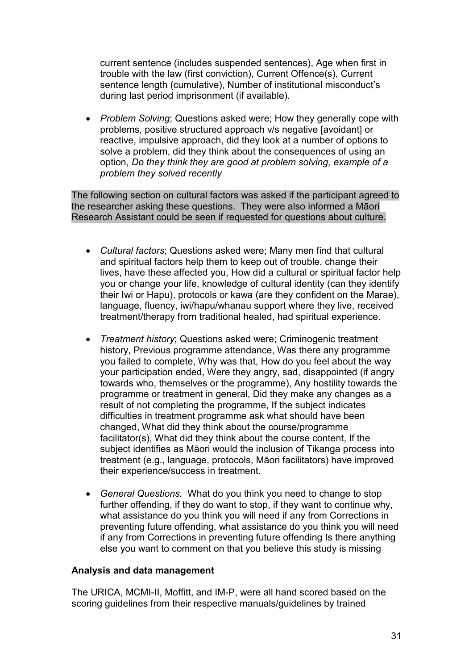current sentence (includes suspended sentences), Age when first in trouble with the law (first conviction), Current Offence(s), Current sentence length (cumulative), Number of institutional misconduct's during last period imprisonment (if available).

• *Problem Solving*; Questions asked were; How they generally cope with problems, positive structured approach v/s negative [avoidant] or reactive, impulsive approach, did they look at a number of options to solve a problem, did they think about the consequences of using an option, *Do they think they are good at problem solving, example of a problem they solved recently*

The following section on cultural factors was asked if the participant agreed to the researcher asking these questions. They were also informed a Māori Research Assistant could be seen if requested for questions about culture.

- *Cultural factors*; Questions asked were; Many men find that cultural and spiritual factors help them to keep out of trouble, change their lives, have these affected you, How did a cultural or spiritual factor help you or change your life, knowledge of cultural identity (can they identify their Iwi or Hapu), protocols or kawa (are they confident on the Marae), language, fluency, iwi/hapu/whanau support where they live, received treatment/therapy from traditional healed, had spiritual experience.
- *Treatment history*; Questions asked were; Criminogenic treatment history, Previous programme attendance, Was there any programme you failed to complete, Why was that, How do you feel about the way your participation ended, Were they angry, sad, disappointed (if angry towards who, themselves or the programme), Any hostility towards the programme or treatment in general, Did they make any changes as a result of not completing the programme, If the subject indicates difficulties in treatment programme ask what should have been changed, What did they think about the course/programme facilitator(s), What did they think about the course content, If the subject identifies as Māori would the inclusion of Tikanga process into treatment (e.g., language, protocols, Māori facilitators) have improved their experience/success in treatment.
- *General Questions.* What do you think you need to change to stop further offending, if they do want to stop, if they want to continue why, what assistance do you think you will need if any from Corrections in preventing future offending, what assistance do you think you will need if any from Corrections in preventing future offending Is there anything else you want to comment on that you believe this study is missing

## **Analysis and data management**

The URICA, MCMI-II, Moffitt, and IM-P, were all hand scored based on the scoring guidelines from their respective manuals/guidelines by trained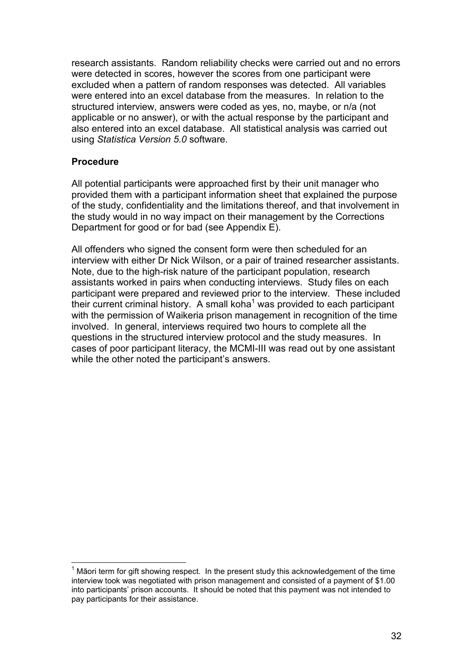research assistants. Random reliability checks were carried out and no errors were detected in scores, however the scores from one participant were excluded when a pattern of random responses was detected. All variables were entered into an excel database from the measures. In relation to the structured interview, answers were coded as yes, no, maybe, or n/a (not applicable or no answer), or with the actual response by the participant and also entered into an excel database. All statistical analysis was carried out using *Statistica Version 5.0* software.

## **Procedure**

All potential participants were approached first by their unit manager who provided them with a participant information sheet that explained the purpose of the study, confidentiality and the limitations thereof, and that involvement in the study would in no way impact on their management by the Corrections Department for good or for bad (see Appendix E).

All offenders who signed the consent form were then scheduled for an interview with either Dr Nick Wilson, or a pair of trained researcher assistants. Note, due to the high-risk nature of the participant population, research assistants worked in pairs when conducting interviews. Study files on each participant were prepared and reviewed prior to the interview. These included their current criminal history. A small koha<sup>1</sup> was provided to each participant with the permission of Waikeria prison management in recognition of the time involved. In general, interviews required two hours to complete all the questions in the structured interview protocol and the study measures. In cases of poor participant literacy, the MCMI-III was read out by one assistant while the other noted the participant's answers.

 $\overline{a}$ 1 Māori term for gift showing respect. In the present study this acknowledgement of the time interview took was negotiated with prison management and consisted of a payment of \$1.00 into participants' prison accounts. It should be noted that this payment was not intended to pay participants for their assistance.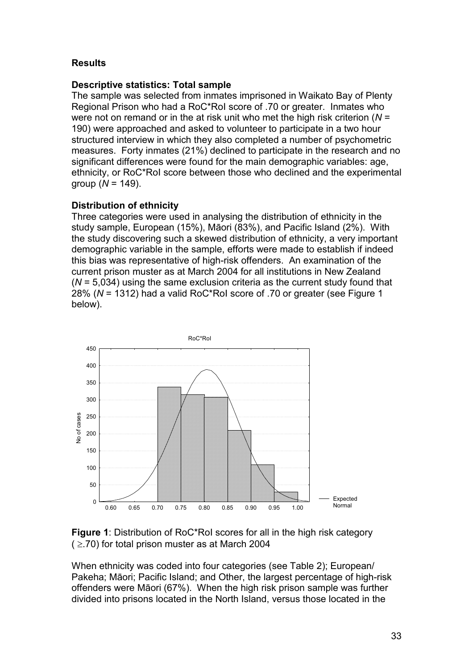## **Results**

## **Descriptive statistics: Total sample**

The sample was selected from inmates imprisoned in Waikato Bay of Plenty Regional Prison who had a RoC\*RoI score of .70 or greater. Inmates who were not on remand or in the at risk unit who met the high risk criterion (*N* = 190) were approached and asked to volunteer to participate in a two hour structured interview in which they also completed a number of psychometric measures. Forty inmates (21%) declined to participate in the research and no significant differences were found for the main demographic variables: age, ethnicity, or RoC\*RoI score between those who declined and the experimental group (*N* = 149).

## **Distribution of ethnicity**

Three categories were used in analysing the distribution of ethnicity in the study sample, European (15%), Māori (83%), and Pacific Island (2%). With the study discovering such a skewed distribution of ethnicity, a very important demographic variable in the sample, efforts were made to establish if indeed this bias was representative of high-risk offenders. An examination of the current prison muster as at March 2004 for all institutions in New Zealand (*N* = 5,034) using the same exclusion criteria as the current study found that 28% (*N* = 1312) had a valid RoC\*RoI score of .70 or greater (see Figure 1 below).





When ethnicity was coded into four categories (see Table 2); European/ Pakeha; Māori; Pacific Island; and Other, the largest percentage of high-risk offenders were Māori (67%). When the high risk prison sample was further divided into prisons located in the North Island, versus those located in the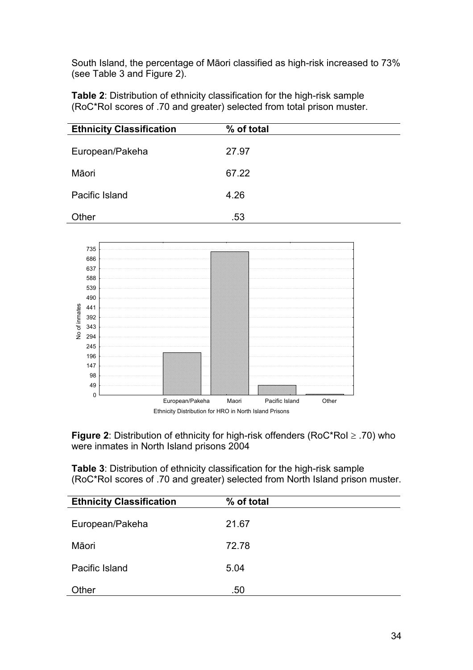South Island, the percentage of Māori classified as high-risk increased to 73% (see Table 3 and Figure 2).

**Table 2**: Distribution of ethnicity classification for the high-risk sample (RoC\*RoI scores of .70 and greater) selected from total prison muster.

| <b>Ethnicity Classification</b> | % of total |
|---------------------------------|------------|
| European/Pakeha                 | 27.97      |
| Māori                           | 67.22      |
| Pacific Island                  | 4.26       |
| Other                           | .53        |



**Figure 2**: Distribution of ethnicity for high-risk offenders (RoC\*RoI ≥ .70) who were inmates in North Island prisons 2004

**Table 3**: Distribution of ethnicity classification for the high-risk sample (RoC\*RoI scores of .70 and greater) selected from North Island prison muster.

| <b>Ethnicity Classification</b> | % of total |
|---------------------------------|------------|
| European/Pakeha                 | 21.67      |
| Māori                           | 72.78      |
| Pacific Island                  | 5.04       |
| Other                           | .50        |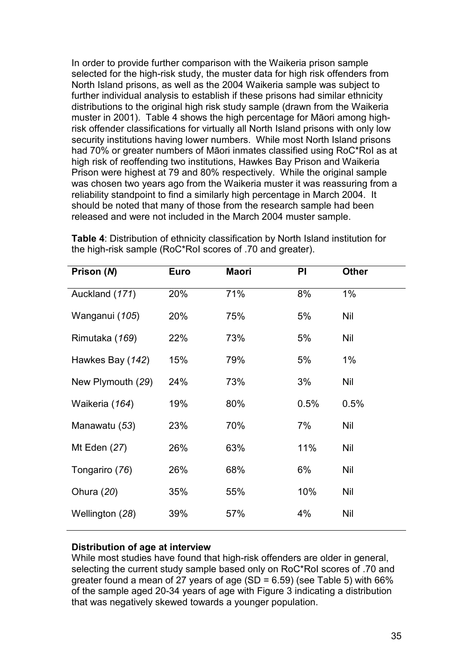In order to provide further comparison with the Waikeria prison sample selected for the high-risk study, the muster data for high risk offenders from North Island prisons, as well as the 2004 Waikeria sample was subject to further individual analysis to establish if these prisons had similar ethnicity distributions to the original high risk study sample (drawn from the Waikeria muster in 2001). Table 4 shows the high percentage for Māori among highrisk offender classifications for virtually all North Island prisons with only low security institutions having lower numbers. While most North Island prisons had 70% or greater numbers of Māori inmates classified using RoC\*RoI as at high risk of reoffending two institutions, Hawkes Bay Prison and Waikeria Prison were highest at 79 and 80% respectively. While the original sample was chosen two years ago from the Waikeria muster it was reassuring from a reliability standpoint to find a similarly high percentage in March 2004. It should be noted that many of those from the research sample had been released and were not included in the March 2004 muster sample.

| Prison (N)        | <b>Euro</b> | Maori | PI   | <b>Other</b> |
|-------------------|-------------|-------|------|--------------|
| Auckland (171)    | 20%         | 71%   | 8%   | $1\%$        |
| Wanganui (105)    | 20%         | 75%   | 5%   | Nil          |
| Rimutaka (169)    | 22%         | 73%   | 5%   | Nil          |
| Hawkes Bay (142)  | 15%         | 79%   | 5%   | $1\%$        |
| New Plymouth (29) | 24%         | 73%   | 3%   | Nil          |
| Waikeria (164)    | 19%         | 80%   | 0.5% | 0.5%         |
| Manawatu (53)     | 23%         | 70%   | 7%   | Nil          |
| Mt Eden (27)      | 26%         | 63%   | 11%  | Nil          |
| Tongariro (76)    | 26%         | 68%   | 6%   | Nil          |
| Ohura (20)        | 35%         | 55%   | 10%  | Nil          |
| Wellington (28)   | 39%         | 57%   | 4%   | Nil          |
|                   |             |       |      |              |

**Table 4**: Distribution of ethnicity classification by North Island institution for the high-risk sample (RoC\*RoI scores of .70 and greater).

## **Distribution of age at interview**

While most studies have found that high-risk offenders are older in general, selecting the current study sample based only on RoC\*RoI scores of .70 and greater found a mean of 27 years of age (SD =  $6.59$ ) (see Table 5) with  $66\%$ of the sample aged 20-34 years of age with Figure 3 indicating a distribution that was negatively skewed towards a younger population.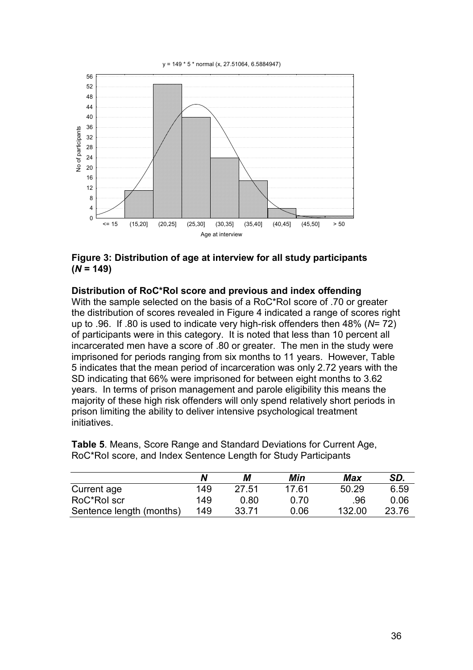y = 149 \* 5 \* normal (x, 27.51064, 6.5884947)



## **Figure 3: Distribution of age at interview for all study participants**   $(N = 149)$

#### **Distribution of RoC\*RoI score and previous and index offending**

With the sample selected on the basis of a RoC\*RoI score of .70 or greater the distribution of scores revealed in Figure 4 indicated a range of scores right up to .96. If .80 is used to indicate very high-risk offenders then 48% (*N*= 72) of participants were in this category. It is noted that less than 10 percent all incarcerated men have a score of .80 or greater. The men in the study were imprisoned for periods ranging from six months to 11 years. However, Table 5 indicates that the mean period of incarceration was only 2.72 years with the SD indicating that 66% were imprisoned for between eight months to 3.62 years. In terms of prison management and parole eligibility this means the majority of these high risk offenders will only spend relatively short periods in prison limiting the ability to deliver intensive psychological treatment initiatives.

**Table 5**. Means, Score Range and Standard Deviations for Current Age, RoC\*RoI score, and Index Sentence Length for Study Participants

|                          | N   | М     | Min   | Max    | SD.   |
|--------------------------|-----|-------|-------|--------|-------|
| Current age              | 149 | 27.51 | 17.61 | 50.29  | 6.59  |
| RoC*Rol scr              | 149 | 0.80  | 0.70  | .96    | 0.06  |
| Sentence length (months) | 149 | 33.71 | 0.06  | 132.00 | 23.76 |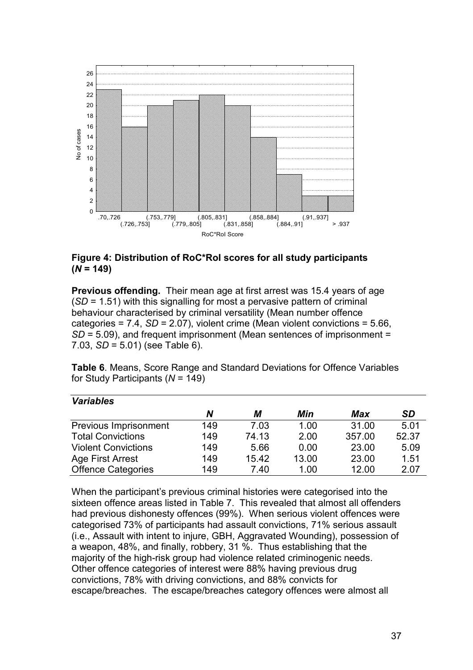

## **Figure 4: Distribution of RoC\*RoI scores for all study participants**   $(N = 149)$

**Previous offending.** Their mean age at first arrest was 15.4 years of age (*SD* = 1.51) with this signalling for most a pervasive pattern of criminal behaviour characterised by criminal versatility (Mean number offence categories = 7.4, *SD* = 2.07), violent crime (Mean violent convictions = 5.66, *SD* = 5.09), and frequent imprisonment (Mean sentences of imprisonment = 7.03, *SD* = 5.01) (see Table 6).

**Table 6**. Means, Score Range and Standard Deviations for Offence Variables for Study Participants (*N* = 149)

| <b>Variables</b>           |     |       |       |        |           |
|----------------------------|-----|-------|-------|--------|-----------|
|                            | N   | М     | Min   | Max    | <b>SD</b> |
| Previous Imprisonment      | 149 | 7.03  | 1.00  | 31.00  | 5.01      |
| <b>Total Convictions</b>   | 149 | 74.13 | 2.00  | 357.00 | 52.37     |
| <b>Violent Convictions</b> | 149 | 5.66  | 0.00  | 23.00  | 5.09      |
| Age First Arrest           | 149 | 15.42 | 13.00 | 23.00  | 1.51      |
| <b>Offence Categories</b>  | 149 | 7.40  | 1.00  | 12.00  | 2.07      |

When the participant's previous criminal histories were categorised into the sixteen offence areas listed in Table 7. This revealed that almost all offenders had previous dishonesty offences (99%). When serious violent offences were categorised 73% of participants had assault convictions, 71% serious assault (i.e., Assault with intent to injure, GBH, Aggravated Wounding), possession of a weapon, 48%, and finally, robbery, 31 %. Thus establishing that the majority of the high-risk group had violence related criminogenic needs. Other offence categories of interest were 88% having previous drug convictions, 78% with driving convictions, and 88% convicts for escape/breaches. The escape/breaches category offences were almost all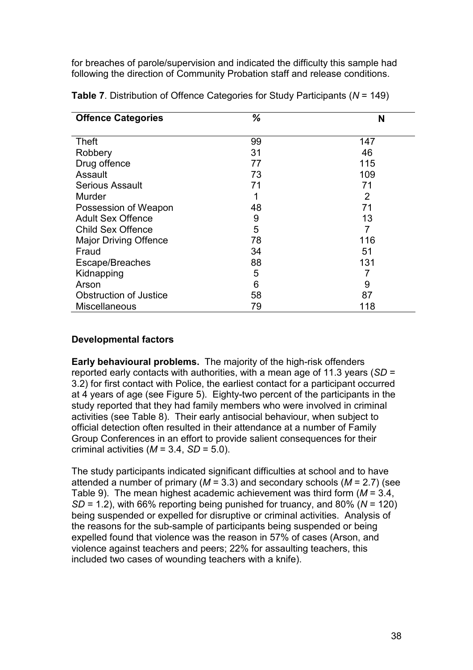for breaches of parole/supervision and indicated the difficulty this sample had following the direction of Community Probation staff and release conditions.

| <b>Offence Categories</b>     | %  | N              |
|-------------------------------|----|----------------|
| <b>Theft</b>                  | 99 | 147            |
| Robbery                       | 31 | 46             |
| Drug offence                  | 77 | 115            |
| Assault                       | 73 | 109            |
| <b>Serious Assault</b>        | 71 | 71             |
| Murder                        |    | $\overline{2}$ |
| Possession of Weapon          | 48 | 71             |
| <b>Adult Sex Offence</b>      | 9  | 13             |
| <b>Child Sex Offence</b>      | 5  | 7              |
| <b>Major Driving Offence</b>  | 78 | 116            |
| Fraud                         | 34 | 51             |
| Escape/Breaches               | 88 | 131            |
| Kidnapping                    | 5  |                |
| Arson                         | 6  | 9              |
| <b>Obstruction of Justice</b> | 58 | 87             |
| <b>Miscellaneous</b>          | 79 | 118            |

**Table 7**. Distribution of Offence Categories for Study Participants (*N* = 149)

# **Developmental factors**

**Early behavioural problems.** The majority of the high-risk offenders reported early contacts with authorities, with a mean age of 11.3 years (*SD* = 3.2) for first contact with Police, the earliest contact for a participant occurred at 4 years of age (see Figure 5). Eighty-two percent of the participants in the study reported that they had family members who were involved in criminal activities (see Table 8). Their early antisocial behaviour, when subject to official detection often resulted in their attendance at a number of Family Group Conferences in an effort to provide salient consequences for their criminal activities  $(M = 3.4, SD = 5.0)$ .

The study participants indicated significant difficulties at school and to have attended a number of primary (*M* = 3.3) and secondary schools (*M* = 2.7) (see Table 9). The mean highest academic achievement was third form (*M* = 3.4, *SD* = 1.2), with 66% reporting being punished for truancy, and 80% (*N* = 120) being suspended or expelled for disruptive or criminal activities. Analysis of the reasons for the sub-sample of participants being suspended or being expelled found that violence was the reason in 57% of cases (Arson, and violence against teachers and peers; 22% for assaulting teachers, this included two cases of wounding teachers with a knife).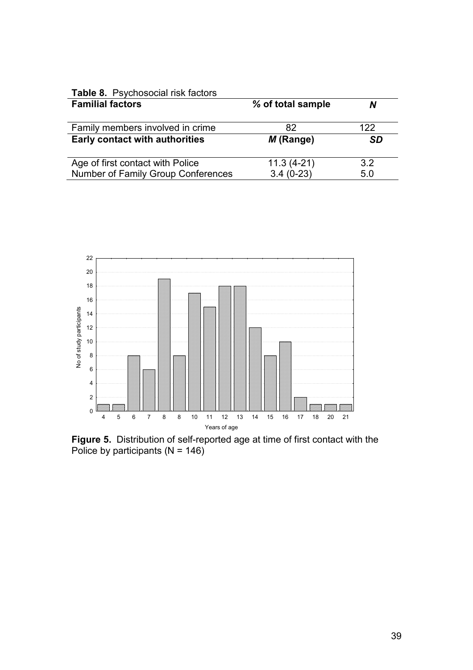| Table 8. Psychosocial risk factors        |                   |           |
|-------------------------------------------|-------------------|-----------|
| <b>Familial factors</b>                   | % of total sample | N         |
|                                           |                   |           |
| Family members involved in crime          | 82                | 122       |
| <b>Early contact with authorities</b>     | $M$ (Range)       | <b>SD</b> |
|                                           |                   |           |
| Age of first contact with Police          | $11.3(4-21)$      | 3.2       |
| <b>Number of Family Group Conferences</b> | $3.4(0-23)$       | 5.0       |



**Figure 5.** Distribution of self-reported age at time of first contact with the Police by participants  $(N = 146)$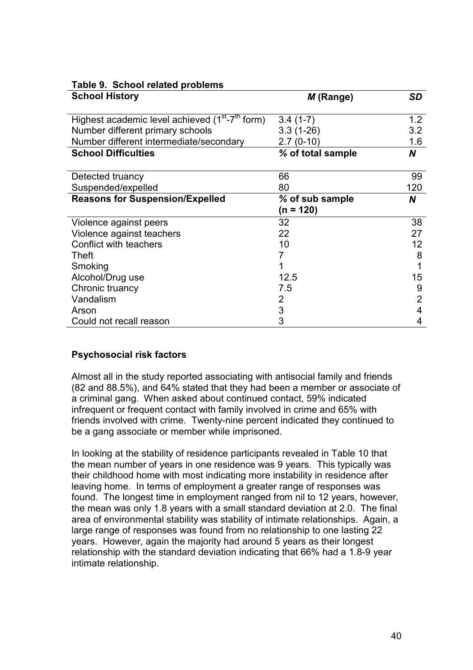| Table 9. School related problems                                        |                   |     |
|-------------------------------------------------------------------------|-------------------|-----|
| <b>School History</b>                                                   | M (Range)         | SD  |
|                                                                         |                   |     |
| Highest academic level achieved (1 <sup>st</sup> -7 <sup>th</sup> form) | $3.4(1-7)$        | 1.2 |
| Number different primary schools                                        | $3.3(1-26)$       | 3.2 |
| Number different intermediate/secondary                                 | $2.7(0-10)$       | 1.6 |
| <b>School Difficulties</b>                                              | % of total sample | N   |
|                                                                         |                   |     |
| Detected truancy                                                        | 66                | 99  |
| Suspended/expelled                                                      | 80                | 120 |
| <b>Reasons for Suspension/Expelled</b>                                  | % of sub sample   | N   |
|                                                                         | $(n = 120)$       |     |
| Violence against peers                                                  | 32                | 38  |
| Violence against teachers                                               | 22                | 27  |
| Conflict with teachers                                                  | 10                | 12  |
| Theft                                                                   |                   | 8   |
| Smoking                                                                 |                   |     |
| Alcohol/Drug use                                                        | 12.5              | 15  |
| Chronic truancy                                                         | 7.5               | 9   |
| Vandalism                                                               | 2                 | 2   |
| Arson                                                                   | 3                 | 4   |
| Could not recall reason                                                 | 3                 | 4   |

#### **Psychosocial risk factors**

Almost all in the study reported associating with antisocial family and friends (82 and 88.5%), and 64% stated that they had been a member or associate of a criminal gang. When asked about continued contact, 59% indicated infrequent or frequent contact with family involved in crime and 65% with friends involved with crime. Twenty-nine percent indicated they continued to be a gang associate or member while imprisoned.

In looking at the stability of residence participants revealed in Table 10 that the mean number of years in one residence was 9 years. This typically was their childhood home with most indicating more instability in residence after leaving home. In terms of employment a greater range of responses was found. The longest time in employment ranged from nil to 12 years, however, the mean was only 1.8 years with a small standard deviation at 2.0. The final area of environmental stability was stability of intimate relationships. Again, a large range of responses was found from no relationship to one lasting 22 years. However, again the majority had around 5 years as their longest relationship with the standard deviation indicating that 66% had a 1.8-9 year intimate relationship.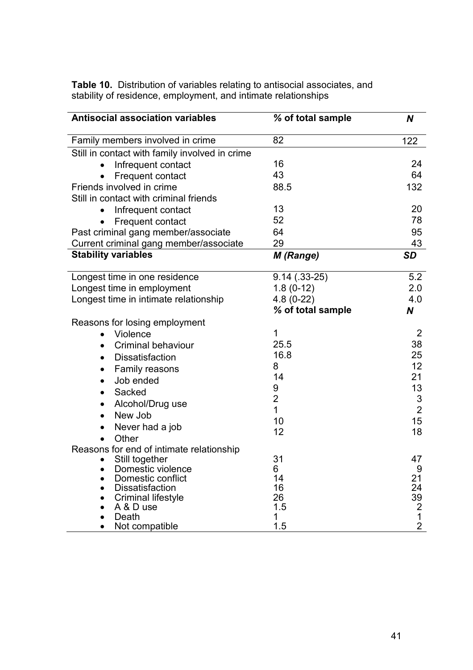**Table 10.** Distribution of variables relating to antisocial associates, and stability of residence, employment, and intimate relationships

| <b>Antisocial association variables</b>             | % of total sample | N              |
|-----------------------------------------------------|-------------------|----------------|
| Family members involved in crime                    | 82                | 122            |
| Still in contact with family involved in crime      |                   |                |
| Infrequent contact                                  | 16                | 24             |
| Frequent contact                                    | 43                | 64             |
| Friends involved in crime                           | 88.5              | 132            |
| Still in contact with criminal friends              |                   |                |
| Infrequent contact                                  | 13                | 20             |
| Frequent contact                                    | 52                | 78             |
| Past criminal gang member/associate                 | 64                | 95             |
| Current criminal gang member/associate              | 29                | 43             |
| <b>Stability variables</b>                          | M (Range)         | <b>SD</b>      |
| Longest time in one residence                       | $9.14(.33-25)$    | 5.2            |
| Longest time in employment                          | $1.8(0-12)$       | 2.0            |
| Longest time in intimate relationship               | $4.8(0-22)$       | 4.0            |
|                                                     | % of total sample | N              |
| Reasons for losing employment                       |                   |                |
| Violence<br>$\bullet$                               | 1                 | 2              |
| <b>Criminal behaviour</b>                           | 25.5              | 38             |
| <b>Dissatisfaction</b><br>$\bullet$                 | 16.8              | 25             |
| Family reasons<br>$\bullet$                         | 8                 | 12             |
| Job ended<br>$\bullet$                              | 14                | 21             |
| Sacked<br>$\bullet$                                 | 9                 | 13             |
| Alcohol/Drug use<br>$\bullet$                       | $\overline{2}$    | 3              |
| New Job<br>$\bullet$                                | 1                 | $\overline{2}$ |
| Never had a job                                     | 10                | 15             |
| Other                                               | 12                | 18             |
| Reasons for end of intimate relationship            |                   |                |
| Still together                                      | 31                | 47             |
| Domestic violence                                   | 6                 | 9              |
| Domestic conflict                                   | 14                | 21             |
| <b>Dissatisfaction</b><br><b>Criminal lifestyle</b> | 16<br>26          | 24<br>39       |
| A & D use                                           | 1.5               | 2              |
| Death                                               | 1                 | 1              |
| Not compatible                                      | 1.5               | $\overline{2}$ |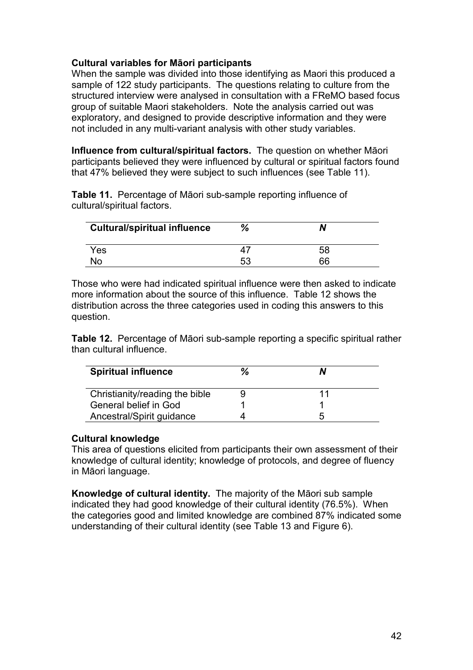## **Cultural variables for Māori participants**

When the sample was divided into those identifying as Maori this produced a sample of 122 study participants. The questions relating to culture from the structured interview were analysed in consultation with a FReMO based focus group of suitable Maori stakeholders. Note the analysis carried out was exploratory, and designed to provide descriptive information and they were not included in any multi-variant analysis with other study variables.

**Influence from cultural/spiritual factors.** The question on whether Māori participants believed they were influenced by cultural or spiritual factors found that 47% believed they were subject to such influences (see Table 11).

**Table 11.** Percentage of Māori sub-sample reporting influence of cultural/spiritual factors.

| <b>Cultural/spiritual influence</b> | %  | N  |  |
|-------------------------------------|----|----|--|
| Yes                                 |    | 58 |  |
| No                                  | 53 | 66 |  |

Those who were had indicated spiritual influence were then asked to indicate more information about the source of this influence. Table 12 shows the distribution across the three categories used in coding this answers to this question.

**Table 12.** Percentage of Māori sub-sample reporting a specific spiritual rather than cultural influence.

| <b>Spiritual influence</b>     | % |    |
|--------------------------------|---|----|
| Christianity/reading the bible |   | 11 |
| General belief in God          |   |    |
| Ancestral/Spirit guidance      |   | h  |

#### **Cultural knowledge**

This area of questions elicited from participants their own assessment of their knowledge of cultural identity; knowledge of protocols, and degree of fluency in Māori language.

**Knowledge of cultural identity.** The majority of the Māori sub sample indicated they had good knowledge of their cultural identity (76.5%). When the categories good and limited knowledge are combined 87% indicated some understanding of their cultural identity (see Table 13 and Figure 6).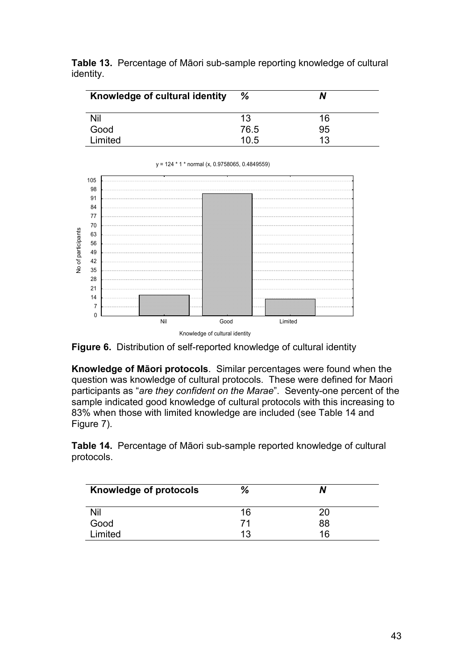|           | <b>Table 13.</b> Percentage of Māori sub-sample reporting knowledge of cultural |
|-----------|---------------------------------------------------------------------------------|
| identity. |                                                                                 |

| Knowledge of cultural identity | %    | N  |
|--------------------------------|------|----|
| Nil                            | 13   | 16 |
| Good                           | 76.5 | 95 |
| Limited                        | 10.5 | 13 |



y = 124 \* 1 \* normal (x, 0.9758065, 0.4849559)



**Knowledge of Māori protocols**. Similar percentages were found when the question was knowledge of cultural protocols. These were defined for Maori participants as "*are they confident on the Marae*". Seventy-one percent of the sample indicated good knowledge of cultural protocols with this increasing to 83% when those with limited knowledge are included (see Table 14 and Figure 7).

**Table 14.** Percentage of Māori sub-sample reported knowledge of cultural protocols.

| <b>Knowledge of protocols</b> | %  |    |
|-------------------------------|----|----|
| Nil                           | 16 | 20 |
| Good                          | 71 | 88 |
| Limited                       | 13 | 16 |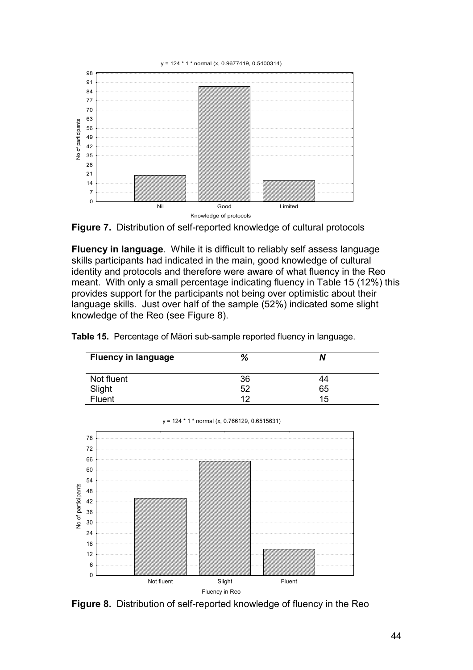y = 124 \* 1 \* normal (x, 0.9677419, 0.5400314)





**Fluency in language**. While it is difficult to reliably self assess language skills participants had indicated in the main, good knowledge of cultural identity and protocols and therefore were aware of what fluency in the Reo meant. With only a small percentage indicating fluency in Table 15 (12%) this provides support for the participants not being over optimistic about their language skills. Just over half of the sample (52%) indicated some slight knowledge of the Reo (see Figure 8).

**Table 15.** Percentage of Māori sub-sample reported fluency in language.

| <b>Fluency in language</b> | %  | N  |  |
|----------------------------|----|----|--|
| Not fluent                 | 36 | 44 |  |
|                            | 52 | 65 |  |
| Slight<br>Fluent           | 12 | 15 |  |



y = 124 \* 1 \* normal (x, 0.766129, 0.6515631)

**Figure 8.** Distribution of self-reported knowledge of fluency in the Reo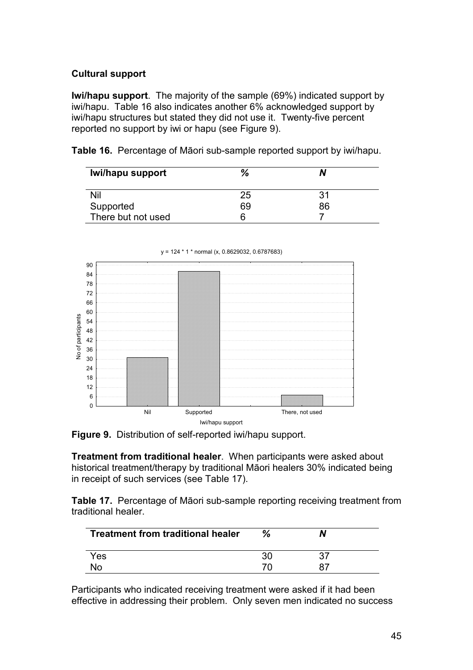# **Cultural support**

**Iwi/hapu support**. The majority of the sample (69%) indicated support by iwi/hapu. Table 16 also indicates another 6% acknowledged support by iwi/hapu structures but stated they did not use it. Twenty-five percent reported no support by iwi or hapu (see Figure 9).

**Table 16.** Percentage of Māori sub-sample reported support by iwi/hapu.

| Iwi/hapu support   | %  | N  |  |
|--------------------|----|----|--|
| Nil                | 25 | 31 |  |
| Supported          | 69 | 86 |  |
| There but not used |    |    |  |







**Treatment from traditional healer**. When participants were asked about historical treatment/therapy by traditional Māori healers 30% indicated being in receipt of such services (see Table 17).

**Table 17.** Percentage of Māori sub-sample reporting receiving treatment from traditional healer.

| <b>Treatment from traditional healer</b> | %  |    |  |
|------------------------------------------|----|----|--|
| Yes                                      | 30 |    |  |
| No.                                      |    | 87 |  |

Participants who indicated receiving treatment were asked if it had been effective in addressing their problem. Only seven men indicated no success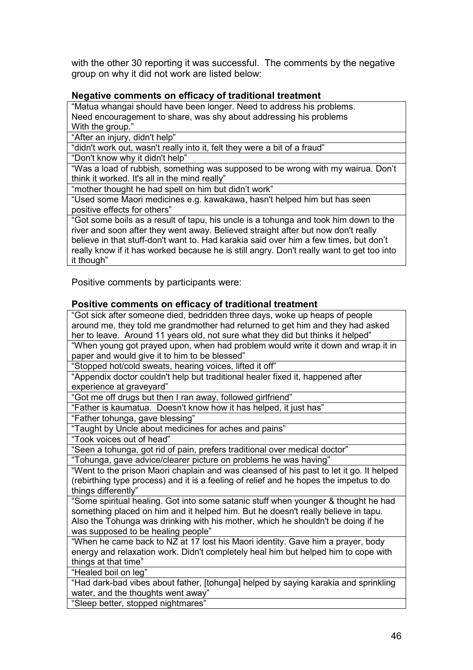with the other 30 reporting it was successful. The comments by the negative group on why it did not work are listed below:

## **Negative comments on efficacy of traditional treatment**

"Matua whangai should have been longer. Need to address his problems. Need encouragement to share, was shy about addressing his problems With the group."

"After an injury, didn't help"

"didn't work out, wasn't really into it, felt they were a bit of a fraud"

"Don't know why it didn't help"

"Was a load of rubbish, something was supposed to be wrong with my wairua. Don't think it worked. It's all in the mind really"

"mother thought he had spell on him but didn't work"

"Used some Maori medicines e.g. kawakawa, hasn't helped him but has seen positive effects for others"

"Got some boils as a result of tapu, his uncle is a tohunga and took him down to the river and soon after they went away. Believed straight after but now don't really believe in that stuff-don't want to. Had karakia said over him a few times, but don't really know if it has worked because he is still angry. Don't really want to get too into it though"

Positive comments by participants were:

#### **Positive comments on efficacy of traditional treatment**

| , , , , , , , , , ,<br>, <del>.</del>                                                   |
|-----------------------------------------------------------------------------------------|
| "Got sick after someone died, bedridden three days, woke up heaps of people             |
| around me, they told me grandmother had returned to get him and they had asked          |
| her to leave. Around 11 years old, not sure what they did but thinks it helped"         |
| "When young got prayed upon, when had problem would write it down and wrap it in        |
| paper and would give it to him to be blessed"                                           |
| "Stopped hot/cold sweats, hearing voices, lifted it off"                                |
| "Appendix doctor couldn't help but traditional healer fixed it, happened after          |
| experience at graveyard"                                                                |
| "Got me off drugs but then I ran away, followed girlfriend"                             |
| "Father is kaumatua. Doesn't know how it has helped, it just has"                       |
| "Father tohunga, gave blessing"                                                         |
| "Taught by Uncle about medicines for aches and pains"                                   |
| "Took voices out of head"                                                               |
| "Seen a tohunga, got rid of pain, prefers traditional over medical doctor"              |
| "Tohunga, gave advice/clearer picture on problems he was having"                        |
| "Went to the prison Maori chaplain and was cleansed of his past to let it go. It helped |
| (rebirthing type process) and it is a feeling of relief and he hopes the impetus to do  |
| things differently"                                                                     |
| "Some spiritual healing. Got into some satanic stuff when younger & thought he had      |
| something placed on him and it helped him. But he doesn't really believe in tapu.       |
| Also the Tohunga was drinking with his mother, which he shouldn't be doing if he        |
| was supposed to be healing people"                                                      |
| "When he came back to NZ at 17 lost his Maori identity. Gave him a prayer, body         |
| energy and relaxation work. Didn't completely heal him but helped him to cope with      |
| things at that time"                                                                    |
| "Healed boil on leg"                                                                    |
| "Had dark-bad vibes about father, [tohunga] helped by saying karakia and sprinkling     |
| water, and the thoughts went away"                                                      |
| "Sleep better, stopped nightmares"                                                      |
|                                                                                         |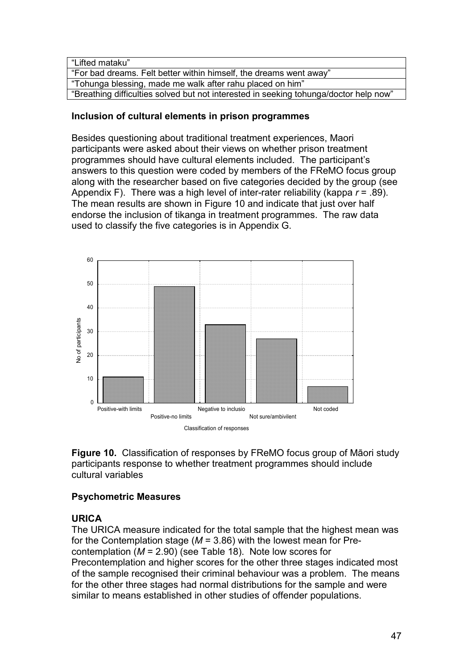| "Lifted mataku"                                                                       |
|---------------------------------------------------------------------------------------|
| "For bad dreams. Felt better within himself, the dreams went away"                    |
| "Tohunga blessing, made me walk after rahu placed on him"                             |
| "Breathing difficulties solved but not interested in seeking tohunga/doctor help now" |

#### **Inclusion of cultural elements in prison programmes**

Besides questioning about traditional treatment experiences, Maori participants were asked about their views on whether prison treatment programmes should have cultural elements included. The participant's answers to this question were coded by members of the FReMO focus group along with the researcher based on five categories decided by the group (see Appendix F). There was a high level of inter-rater reliability (kappa *r* = .89). The mean results are shown in Figure 10 and indicate that just over half endorse the inclusion of tikanga in treatment programmes. The raw data used to classify the five categories is in Appendix G.



**Figure 10.** Classification of responses by FReMO focus group of Māori study participants response to whether treatment programmes should include cultural variables

# **Psychometric Measures**

# **URICA**

The URICA measure indicated for the total sample that the highest mean was for the Contemplation stage (*M* = 3.86) with the lowest mean for Precontemplation (*M* = 2.90) (see Table 18). Note low scores for Precontemplation and higher scores for the other three stages indicated most of the sample recognised their criminal behaviour was a problem. The means for the other three stages had normal distributions for the sample and were similar to means established in other studies of offender populations.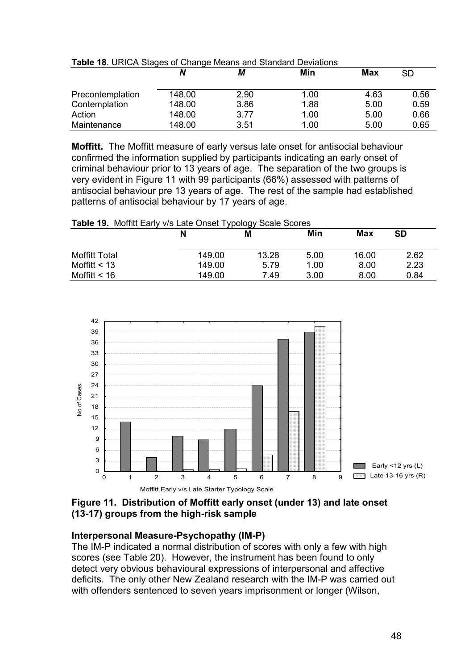|                  |        | М    | Min  | <b>Max</b> | <b>SD</b> |
|------------------|--------|------|------|------------|-----------|
|                  |        |      |      |            |           |
| Precontemplation | 148.00 | 2.90 | 1.00 | 4.63       | 0.56      |
| Contemplation    | 148.00 | 3.86 | 1.88 | 5.00       | 0.59      |
| Action           | 148.00 | 3.77 | 1.00 | 5.00       | 0.66      |
| Maintenance      | 148.00 | 3.51 | 1.00 | 5.00       | 0.65      |

**Table 18**. URICA Stages of Change Means and Standard Deviations

**Moffitt.** The Moffitt measure of early versus late onset for antisocial behaviour confirmed the information supplied by participants indicating an early onset of criminal behaviour prior to 13 years of age. The separation of the two groups is very evident in Figure 11 with 99 participants (66%) assessed with patterns of antisocial behaviour pre 13 years of age. The rest of the sample had established patterns of antisocial behaviour by 17 years of age.

#### **Table 19.** Moffitt Early v/s Late Onset Typology Scale Scores

|                      | N      | Μ     | Min  | Max   | <b>SD</b> |
|----------------------|--------|-------|------|-------|-----------|
| <b>Moffitt Total</b> | 149.00 | 13.28 | 5.00 | 16.00 | 2.62      |
| Moffitt $<$ 13       | 149.00 | 5.79  | 1.00 | 8.00  | 2.23      |
| Moffitt $< 16$       | 149.00 | 7.49  | 3.00 | 8.00  | 0.84      |



## **Figure 11. Distribution of Moffitt early onset (under 13) and late onset (13-17) groups from the high-risk sample**

# **Interpersonal Measure-Psychopathy (IM-P)**

The IM-P indicated a normal distribution of scores with only a few with high scores (see Table 20). However, the instrument has been found to only detect very obvious behavioural expressions of interpersonal and affective deficits. The only other New Zealand research with the IM-P was carried out with offenders sentenced to seven years imprisonment or longer (Wilson,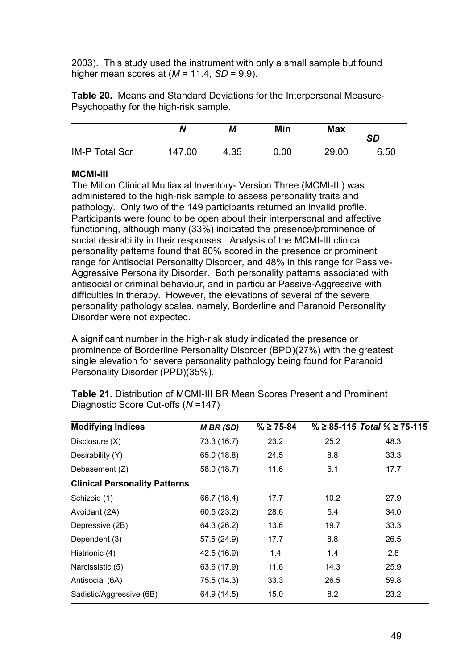2003). This study used the instrument with only a small sample but found higher mean scores at (*M* = 11.4, *SD* = 9.9).

| <b>Table 20.</b> Means and Standard Deviations for the Interpersonal Measure- |  |  |
|-------------------------------------------------------------------------------|--|--|
| Psychopathy for the high-risk sample.                                         |  |  |

|                       | N      | М    | Min  | <b>Max</b> | <b>SD</b> |
|-----------------------|--------|------|------|------------|-----------|
| <b>IM-P Total Scr</b> | 147.00 | 4.35 | 0.00 | 29.00      | 6.50      |

#### **MCMI-III**

The Millon Clinical Multiaxial Inventory- Version Three (MCMI-III) was administered to the high-risk sample to assess personality traits and pathology. Only two of the 149 participants returned an invalid profile. Participants were found to be open about their interpersonal and affective functioning, although many (33%) indicated the presence/prominence of social desirability in their responses. Analysis of the MCMI-III clinical personality patterns found that 60% scored in the presence or prominent range for Antisocial Personality Disorder, and 48% in this range for Passive-Aggressive Personality Disorder. Both personality patterns associated with antisocial or criminal behaviour, and in particular Passive-Aggressive with difficulties in therapy. However, the elevations of several of the severe personality pathology scales, namely, Borderline and Paranoid Personality Disorder were not expected.

A significant number in the high-risk study indicated the presence or prominence of Borderline Personality Disorder (BPD)(27%) with the greatest single elevation for severe personality pathology being found for Paranoid Personality Disorder (PPD)(35%).

| <b>Modifying Indices</b>             | <b>MBR</b> (SD) | $\% \ge 75 - 84$ |      | $\% \geq 85 - 115$ Total $\% \geq 75 - 115$ |
|--------------------------------------|-----------------|------------------|------|---------------------------------------------|
| Disclosure (X)                       | 73.3 (16.7)     | 23.2             | 25.2 | 48.3                                        |
| Desirability (Y)                     | 65.0 (18.8)     | 24.5             | 8.8  | 33.3                                        |
| Debasement (Z)                       | 58.0 (18.7)     | 11.6             | 6.1  | 17.7                                        |
| <b>Clinical Personality Patterns</b> |                 |                  |      |                                             |
| Schizoid (1)                         | 66.7 (18.4)     | 17.7             | 10.2 | 27.9                                        |
| Avoidant (2A)                        | 60.5(23.2)      | 28.6             | 5.4  | 34.0                                        |
| Depressive (2B)                      | 64.3 (26.2)     | 13.6             | 19.7 | 33.3                                        |
| Dependent (3)                        | 57.5 (24.9)     | 17.7             | 8.8  | 26.5                                        |
| Histrionic (4)                       | 42.5 (16.9)     | 1.4              | 1.4  | 2.8                                         |
| Narcissistic (5)                     | 63.6 (17.9)     | 11.6             | 14.3 | 25.9                                        |
| Antisocial (6A)                      | 75.5 (14.3)     | 33.3             | 26.5 | 59.8                                        |
| Sadistic/Aggressive (6B)             | 64.9 (14.5)     | 15.0             | 8.2  | 23.2                                        |

**Table 21.** Distribution of MCMI-III BR Mean Scores Present and Prominent Diagnostic Score Cut-offs (*N* =147)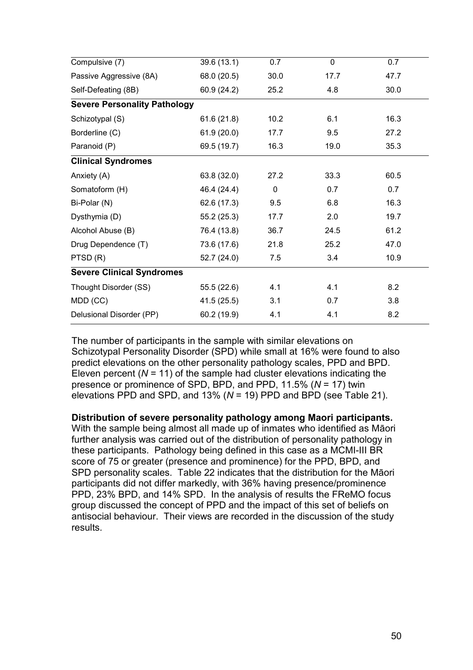| Compulsive (7)                      | 39.6 (13.1) | 0.7         | $\mathbf 0$ | 0.7  |
|-------------------------------------|-------------|-------------|-------------|------|
| Passive Aggressive (8A)             | 68.0 (20.5) | 30.0        | 17.7        | 47.7 |
| Self-Defeating (8B)                 | 60.9 (24.2) | 25.2        | 4.8         | 30.0 |
| <b>Severe Personality Pathology</b> |             |             |             |      |
| Schizotypal (S)                     | 61.6(21.8)  | 10.2        | 6.1         | 16.3 |
| Borderline (C)                      | 61.9(20.0)  | 17.7        | 9.5         | 27.2 |
| Paranoid (P)                        | 69.5 (19.7) | 16.3        | 19.0        | 35.3 |
| <b>Clinical Syndromes</b>           |             |             |             |      |
| Anxiety (A)                         | 63.8 (32.0) | 27.2        | 33.3        | 60.5 |
| Somatoform (H)                      | 46.4 (24.4) | $\mathbf 0$ | 0.7         | 0.7  |
| Bi-Polar (N)                        | 62.6 (17.3) | 9.5         | 6.8         | 16.3 |
| Dysthymia (D)                       | 55.2(25.3)  | 17.7        | 2.0         | 19.7 |
| Alcohol Abuse (B)                   | 76.4 (13.8) | 36.7        | 24.5        | 61.2 |
| Drug Dependence (T)                 | 73.6 (17.6) | 21.8        | 25.2        | 47.0 |
| PTSD(R)                             | 52.7(24.0)  | 7.5         | 3.4         | 10.9 |
| <b>Severe Clinical Syndromes</b>    |             |             |             |      |
| Thought Disorder (SS)               | 55.5 (22.6) | 4.1         | 4.1         | 8.2  |
| MDD (CC)                            | 41.5(25.5)  | 3.1         | 0.7         | 3.8  |
| Delusional Disorder (PP)            | 60.2 (19.9) | 4.1         | 4.1         | 8.2  |

The number of participants in the sample with similar elevations on Schizotypal Personality Disorder (SPD) while small at 16% were found to also predict elevations on the other personality pathology scales, PPD and BPD. Eleven percent  $(N = 11)$  of the sample had cluster elevations indicating the presence or prominence of SPD, BPD, and PPD, 11.5% (*N* = 17) twin elevations PPD and SPD, and 13% (*N* = 19) PPD and BPD (see Table 21).

**Distribution of severe personality pathology among Maori participants.** 

With the sample being almost all made up of inmates who identified as Māori further analysis was carried out of the distribution of personality pathology in these participants. Pathology being defined in this case as a MCMI-III BR score of 75 or greater (presence and prominence) for the PPD, BPD, and SPD personality scales. Table 22 indicates that the distribution for the Māori participants did not differ markedly, with 36% having presence/prominence PPD, 23% BPD, and 14% SPD. In the analysis of results the FReMO focus group discussed the concept of PPD and the impact of this set of beliefs on antisocial behaviour. Their views are recorded in the discussion of the study results.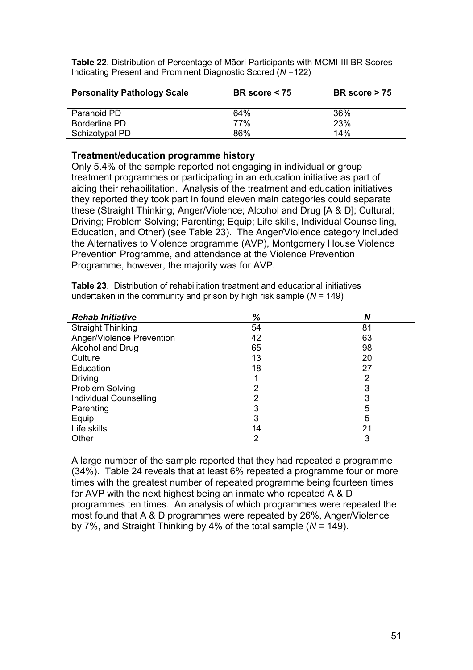**Table 22**. Distribution of Percentage of Māori Participants with MCMI-III BR Scores Indicating Present and Prominent Diagnostic Scored (*N* =122)

| <b>Personality Pathology Scale</b> | BR score $<$ 75 | BR score $> 75$ |
|------------------------------------|-----------------|-----------------|
| Paranoid PD                        | 64%             | 36%             |
| Borderline PD                      | 77%             | 23%             |
| Schizotypal PD                     | 86%             | 14%             |

#### **Treatment/education programme history**

Only 5.4% of the sample reported not engaging in individual or group treatment programmes or participating in an education initiative as part of aiding their rehabilitation. Analysis of the treatment and education initiatives they reported they took part in found eleven main categories could separate these (Straight Thinking; Anger/Violence; Alcohol and Drug [A & D]; Cultural; Driving; Problem Solving; Parenting; Equip; Life skills, Individual Counselling, Education, and Other) (see Table 23). The Anger/Violence category included the Alternatives to Violence programme (AVP), Montgomery House Violence Prevention Programme, and attendance at the Violence Prevention Programme, however, the majority was for AVP.

| <b>Rehab Initiative</b>       | %  | N  |
|-------------------------------|----|----|
| <b>Straight Thinking</b>      | 54 | 81 |
| Anger/Violence Prevention     | 42 | 63 |
| Alcohol and Drug              | 65 | 98 |
| Culture                       | 13 | 20 |
| Education                     | 18 | 27 |
| Driving                       |    | 2  |
| Problem Solving               | 2  | 3  |
| <b>Individual Counselling</b> | 2  | 3  |
| Parenting                     | 3  | 5  |
| Equip                         | 3  | 5  |
| Life skills                   | 14 | 21 |
| Other                         | 2  | 3  |

**Table 23**. Distribution of rehabilitation treatment and educational initiatives undertaken in the community and prison by high risk sample (*N* = 149)

A large number of the sample reported that they had repeated a programme (34%). Table 24 reveals that at least 6% repeated a programme four or more times with the greatest number of repeated programme being fourteen times for AVP with the next highest being an inmate who repeated A & D programmes ten times. An analysis of which programmes were repeated the most found that A & D programmes were repeated by 26%, Anger/Violence by 7%, and Straight Thinking by 4% of the total sample (*N* = 149).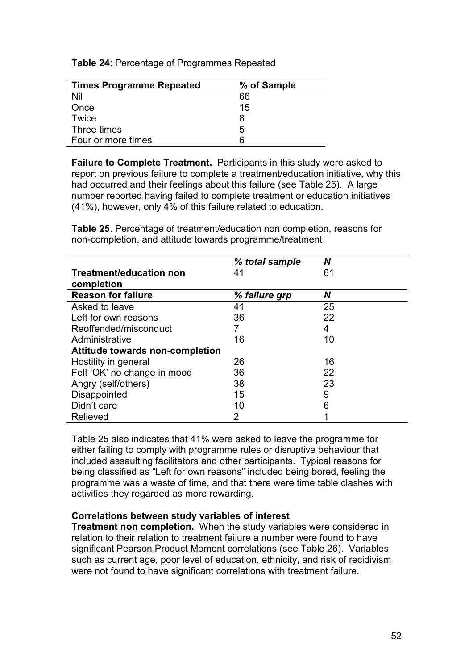**Table 24**: Percentage of Programmes Repeated

| <b>Times Programme Repeated</b> | % of Sample |
|---------------------------------|-------------|
| Nil                             | 66          |
| Once                            | 15          |
| Twice                           | 8           |
| Three times                     | 5           |
| Four or more times              | 6           |

**Failure to Complete Treatment.** Participants in this study were asked to report on previous failure to complete a treatment/education initiative, why this had occurred and their feelings about this failure (see Table 25). A large number reported having failed to complete treatment or education initiatives (41%), however, only 4% of this failure related to education.

**Table 25**. Percentage of treatment/education non completion, reasons for non-completion, and attitude towards programme/treatment

|                                 | % total sample | Ν  |
|---------------------------------|----------------|----|
| <b>Treatment/education non</b>  | 41             | 61 |
| completion                      |                |    |
| <b>Reason for failure</b>       | % failure grp  | N  |
| Asked to leave                  | 41             | 25 |
| Left for own reasons            | 36             | 22 |
| Reoffended/misconduct           |                | 4  |
| Administrative                  | 16             | 10 |
| Attitude towards non-completion |                |    |
| Hostility in general            | 26             | 16 |
| Felt 'OK' no change in mood     | 36             | 22 |
| Angry (self/others)             | 38             | 23 |
| Disappointed                    | 15             | 9  |
| Didn't care                     | 10             | 6  |
| Relieved                        | 2              | ◢  |

Table 25 also indicates that 41% were asked to leave the programme for either failing to comply with programme rules or disruptive behaviour that included assaulting facilitators and other participants. Typical reasons for being classified as "Left for own reasons" included being bored, feeling the programme was a waste of time, and that there were time table clashes with activities they regarded as more rewarding.

#### **Correlations between study variables of interest**

**Treatment non completion.** When the study variables were considered in relation to their relation to treatment failure a number were found to have significant Pearson Product Moment correlations (see Table 26). Variables such as current age, poor level of education, ethnicity, and risk of recidivism were not found to have significant correlations with treatment failure.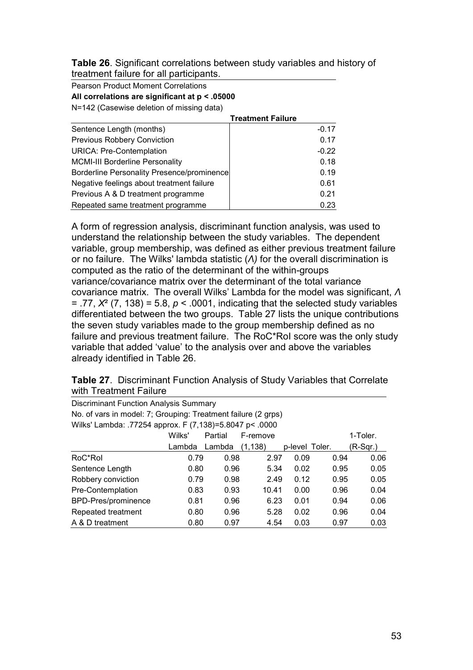**Table 26**. Significant correlations between study variables and history of treatment failure for all participants.

Pearson Product Moment Correlations **All correlations are significant at p < .05000** 

N=142 (Casewise deletion of missing data)

|                                            | <b>Treatment Failure</b> |
|--------------------------------------------|--------------------------|
| Sentence Length (months)                   | $-0.17$                  |
| <b>Previous Robbery Conviction</b>         | 0.17                     |
| <b>URICA: Pre-Contemplation</b>            | $-0.22$                  |
| <b>MCMI-III Borderline Personality</b>     | 0.18                     |
| Borderline Personality Presence/prominence | 0.19                     |
| Negative feelings about treatment failure  | 0.61                     |
| Previous A & D treatment programme         | 0.21                     |
| Repeated same treatment programme          | 0.23                     |

A form of regression analysis, discriminant function analysis, was used to understand the relationship between the study variables. The dependent variable, group membership, was defined as either previous treatment failure or no failure. The Wilks' lambda statistic (*Λ)* for the overall discrimination is computed as the ratio of the determinant of the within-groups variance/covariance matrix over the determinant of the total variance covariance matrix. The overall Wilks' Lambda for the model was significant, *Λ*  $= .77, X<sup>2</sup>$  (7, 138) = 5.8,  $p < .0001$ , indicating that the selected study variables differentiated between the two groups. Table 27 lists the unique contributions the seven study variables made to the group membership defined as no failure and previous treatment failure. The RoC\*RoI score was the only study variable that added 'value' to the analysis over and above the variables already identified in Table 26.

| <b>Table 27.</b> Discriminant Function Analysis of Study Variables that Correlate |
|-----------------------------------------------------------------------------------|
| with Treatment Failure                                                            |

| <b>Discriminant Function Analysis Summary</b>                 |                                           |        |          |                |      |            |  |  |  |
|---------------------------------------------------------------|-------------------------------------------|--------|----------|----------------|------|------------|--|--|--|
| No. of vars in model: 7; Grouping: Treatment failure (2 grps) |                                           |        |          |                |      |            |  |  |  |
| Wilks' Lambda: .77254 approx. F (7,138)=5.8047 p< .0000       |                                           |        |          |                |      |            |  |  |  |
|                                                               | Wilks'<br>Partial<br>1-Toler.<br>F-remove |        |          |                |      |            |  |  |  |
|                                                               | Lambda                                    | Lambda | (1, 138) | p-level Toler. |      | $(R-Sqr.)$ |  |  |  |
| RoC*Rol                                                       | 0.79                                      | 0.98   | 2.97     | 0.09           | 0.94 | 0.06       |  |  |  |
| Sentence Length                                               | 0.80                                      | 0.96   | 5.34     | 0.02           | 0.95 | 0.05       |  |  |  |
| Robbery conviction                                            | 0.79                                      | 0.98   | 2.49     | 0.12           | 0.95 | 0.05       |  |  |  |
| Pre-Contemplation                                             | 0.83                                      | 0.93   | 10.41    | 0.00           | 0.96 | 0.04       |  |  |  |
| BPD-Pres/prominence                                           | 0.81                                      | 0.96   | 6.23     | 0.01           | 0.94 | 0.06       |  |  |  |
| Repeated treatment                                            | 0.80                                      | 0.96   | 5.28     | 0.02           | 0.96 | 0.04       |  |  |  |
| A & D treatment                                               | 0.80                                      | 0.97   | 4.54     | 0.03           | 0.97 | 0.03       |  |  |  |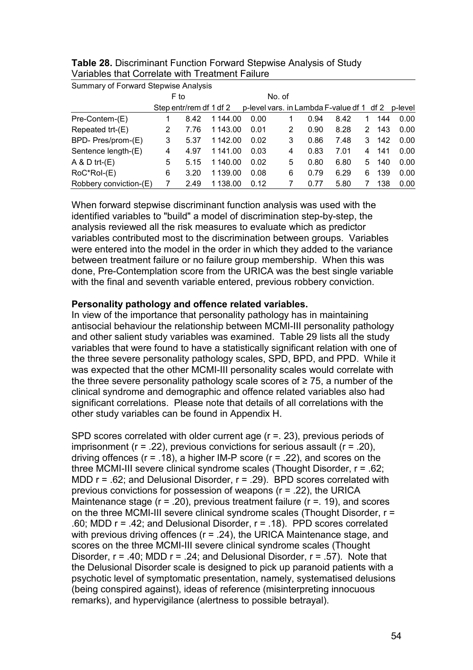| Summary of Forward Stepwise Analysis |      |                         |  |          |      |  |   |                                                   |      |   |     |      |
|--------------------------------------|------|-------------------------|--|----------|------|--|---|---------------------------------------------------|------|---|-----|------|
|                                      | F to |                         |  | No. of   |      |  |   |                                                   |      |   |     |      |
|                                      |      | Step entr/rem df 1 df 2 |  |          |      |  |   | p-level vars. in Lambda F-value df 1 df 2 p-level |      |   |     |      |
| Pre-Contem-(E)                       |      | 8.42                    |  | 1 144.00 | 0.00 |  |   | 0.94                                              | 8.42 |   | 144 | 0.00 |
| Repeated trt-(E)                     | 2    | 7.76                    |  | 1 143.00 | 0.01 |  | 2 | 0.90                                              | 8.28 | 2 | 143 | 0.00 |
| BPD- Pres/prom-(E)                   | 3    | 5.37                    |  | 1 142.00 | 0.02 |  | 3 | 0.86                                              | 7.48 | 3 | 142 | 0.00 |
| Sentence length-(E)                  | 4    | 4.97                    |  | 1 141.00 | 0.03 |  | 4 | 0.83                                              | 7.01 | 4 | 141 | 0.00 |
| $A & D$ trt- $(E)$                   | 5    | 5.15                    |  | 1 140.00 | 0.02 |  | 5 | 0.80                                              | 6.80 | 5 | 140 | 0.00 |
| RoC*Rol-(E)                          | 6    | 3.20                    |  | 1 139.00 | 0.08 |  | 6 | 0.79                                              | 6.29 | 6 | 139 | 0.00 |
| Robbery conviction-(E)               |      | 2.49                    |  | 1138.00  | 0.12 |  |   | 0.77                                              | 5.80 |   | 138 | 0.00 |

**Table 28.** Discriminant Function Forward Stepwise Analysis of Study Variables that Correlate with Treatment Failure

When forward stepwise discriminant function analysis was used with the identified variables to "build" a model of discrimination step-by-step, the analysis reviewed all the risk measures to evaluate which as predictor variables contributed most to the discrimination between groups. Variables were entered into the model in the order in which they added to the variance between treatment failure or no failure group membership. When this was done, Pre-Contemplation score from the URICA was the best single variable with the final and seventh variable entered, previous robbery conviction.

#### **Personality pathology and offence related variables.**

In view of the importance that personality pathology has in maintaining antisocial behaviour the relationship between MCMI-III personality pathology and other salient study variables was examined. Table 29 lists all the study variables that were found to have a statistically significant relation with one of the three severe personality pathology scales, SPD, BPD, and PPD. While it was expected that the other MCMI-III personality scales would correlate with the three severe personality pathology scale scores of  $\geq$  75, a number of the clinical syndrome and demographic and offence related variables also had significant correlations. Please note that details of all correlations with the other study variables can be found in Appendix H.

SPD scores correlated with older current age (r = 23), previous periods of imprisonment ( $r = .22$ ), previous convictions for serious assault ( $r = .20$ ), driving offences ( $r = .18$ ), a higher IM-P score ( $r = .22$ ), and scores on the three MCMI-III severe clinical syndrome scales (Thought Disorder, r = .62; MDD  $r = .62$ ; and Delusional Disorder,  $r = .29$ ). BPD scores correlated with previous convictions for possession of weapons (r = .22), the URICA Maintenance stage ( $r = .20$ ), previous treatment failure ( $r = .19$ ), and scores on the three MCMI-III severe clinical syndrome scales (Thought Disorder, r = .60; MDD r = .42; and Delusional Disorder, r = .18). PPD scores correlated with previous driving offences (r = .24), the URICA Maintenance stage, and scores on the three MCMI-III severe clinical syndrome scales (Thought Disorder,  $r = .40$ ; MDD  $r = .24$ ; and Delusional Disorder,  $r = .57$ ). Note that the Delusional Disorder scale is designed to pick up paranoid patients with a psychotic level of symptomatic presentation, namely, systematised delusions (being conspired against), ideas of reference (misinterpreting innocuous remarks), and hypervigilance (alertness to possible betrayal).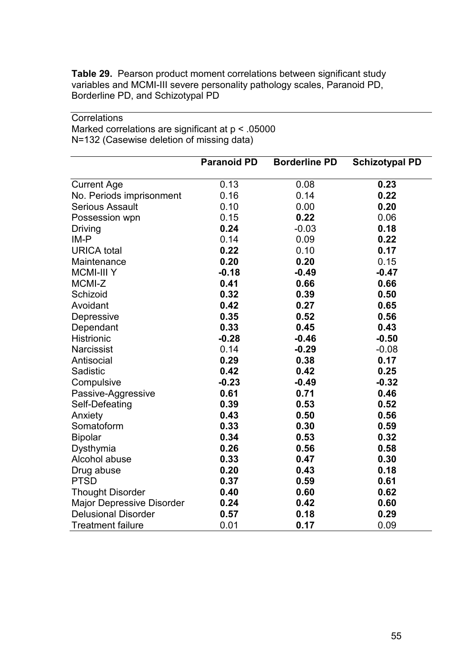**Table 29.** Pearson product moment correlations between significant study variables and MCMI-III severe personality pathology scales, Paranoid PD, Borderline PD, and Schizotypal PD

|                                  | <b>Paranoid PD</b> | <b>Borderline PD</b> | <b>Schizotypal PD</b> |
|----------------------------------|--------------------|----------------------|-----------------------|
| <b>Current Age</b>               | 0.13               | 0.08                 | 0.23                  |
| No. Periods imprisonment         | 0.16               | 0.14                 | 0.22                  |
| <b>Serious Assault</b>           | 0.10               | 0.00                 | 0.20                  |
| Possession wpn                   | 0.15               | 0.22                 | 0.06                  |
| Driving                          | 0.24               | $-0.03$              | 0.18                  |
| IM-P                             | 0.14               | 0.09                 | 0.22                  |
| <b>URICA</b> total               | 0.22               | 0.10                 | 0.17                  |
| Maintenance                      | 0.20               | 0.20                 | 0.15                  |
| <b>MCMI-III Y</b>                | $-0.18$            | $-0.49$              | $-0.47$               |
| MCMI-Z                           | 0.41               | 0.66                 | 0.66                  |
| Schizoid                         | 0.32               | 0.39                 | 0.50                  |
| Avoidant                         | 0.42               | 0.27                 | 0.65                  |
| Depressive                       | 0.35               | 0.52                 | 0.56                  |
| Dependant                        | 0.33               | 0.45                 | 0.43                  |
| Histrionic                       | $-0.28$            | $-0.46$              | $-0.50$               |
| <b>Narcissist</b>                | 0.14               | $-0.29$              | $-0.08$               |
| Antisocial                       | 0.29               | 0.38                 | 0.17                  |
| Sadistic                         | 0.42               | 0.42                 | 0.25                  |
| Compulsive                       | $-0.23$            | $-0.49$              | $-0.32$               |
| Passive-Aggressive               | 0.61               | 0.71                 | 0.46                  |
| Self-Defeating                   | 0.39               | 0.53                 | 0.52                  |
| Anxiety                          | 0.43               | 0.50                 | 0.56                  |
| Somatoform                       | 0.33               | 0.30                 | 0.59                  |
| <b>Bipolar</b>                   | 0.34               | 0.53                 | 0.32                  |
| Dysthymia                        | 0.26               | 0.56                 | 0.58                  |
| Alcohol abuse                    | 0.33               | 0.47                 | 0.30                  |
| Drug abuse                       | 0.20               | 0.43                 | 0.18                  |
| <b>PTSD</b>                      | 0.37               | 0.59                 | 0.61                  |
| <b>Thought Disorder</b>          | 0.40               | 0.60                 | 0.62                  |
| <b>Major Depressive Disorder</b> | 0.24               | 0.42                 | 0.60                  |
| <b>Delusional Disorder</b>       | 0.57               | 0.18                 | 0.29                  |
| <b>Treatment failure</b>         | 0.01               | 0.17                 | 0.09                  |

**Correlations** Marked correlations are significant at p < .05000 N=132 (Casewise deletion of missing data)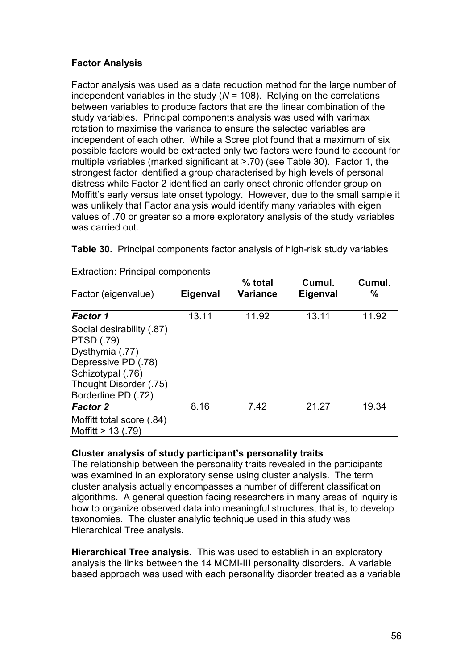# **Factor Analysis**

Factor analysis was used as a date reduction method for the large number of independent variables in the study (*N* = 108). Relying on the correlations between variables to produce factors that are the linear combination of the study variables. Principal components analysis was used with varimax rotation to maximise the variance to ensure the selected variables are independent of each other. While a Scree plot found that a maximum of six possible factors would be extracted only two factors were found to account for multiple variables (marked significant at >.70) (see Table 30). Factor 1, the strongest factor identified a group characterised by high levels of personal distress while Factor 2 identified an early onset chronic offender group on Moffitt's early versus late onset typology. However, due to the small sample it was unlikely that Factor analysis would identify many variables with eigen values of .70 or greater so a more exploratory analysis of the study variables was carried out.

| <b>Extraction: Principal components</b>                                                                                                                        |          |                            |                    |             |
|----------------------------------------------------------------------------------------------------------------------------------------------------------------|----------|----------------------------|--------------------|-------------|
| Factor (eigenvalue)                                                                                                                                            | Eigenval | % total<br><b>Variance</b> | Cumul.<br>Eigenval | Cumul.<br>% |
| <b>Factor 1</b>                                                                                                                                                | 13.11    | 11.92                      | 13.11              | 11.92       |
| Social desirability (.87)<br><b>PTSD (.79)</b><br>Dysthymia (.77)<br>Depressive PD (.78)<br>Schizotypal (.76)<br>Thought Disorder (.75)<br>Borderline PD (.72) |          |                            |                    |             |
| <b>Factor 2</b>                                                                                                                                                | 8.16     | 7.42                       | 21.27              | 19.34       |
| Moffitt total score (.84)<br>Moffitt $> 13$ (.79)                                                                                                              |          |                            |                    |             |

**Table 30.** Principal components factor analysis of high-risk study variables

#### **Cluster analysis of study participant's personality traits**

The relationship between the personality traits revealed in the participants was examined in an exploratory sense using cluster analysis. The term cluster analysis actually encompasses a number of different classification algorithms. A general question facing researchers in many areas of inquiry is how to organize observed data into meaningful structures, that is, to develop taxonomies. The cluster analytic technique used in this study was Hierarchical Tree analysis.

**Hierarchical Tree analysis.** This was used to establish in an exploratory analysis the links between the 14 MCMI-III personality disorders. A variable based approach was used with each personality disorder treated as a variable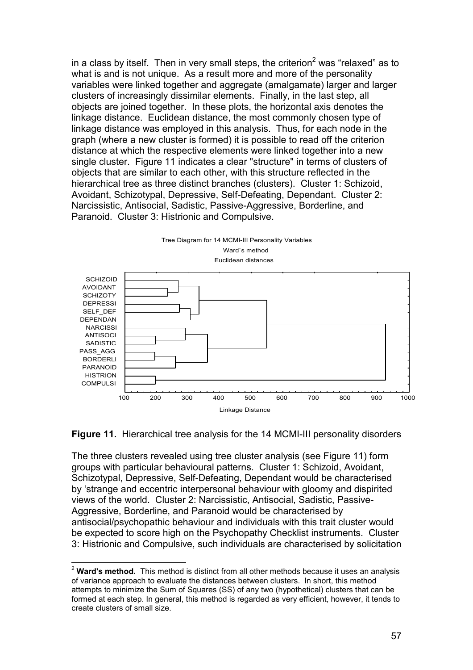in a class by itself. Then in very small steps, the criterion<sup>2</sup> was "relaxed" as to what is and is not unique. As a result more and more of the personality variables were linked together and aggregate (amalgamate) larger and larger clusters of increasingly dissimilar elements. Finally, in the last step, all objects are joined together. In these plots, the horizontal axis denotes the linkage distance. Euclidean distance, the most commonly chosen type of linkage distance was employed in this analysis. Thus, for each node in the graph (where a new cluster is formed) it is possible to read off the criterion distance at which the respective elements were linked together into a new single cluster. Figure 11 indicates a clear "structure" in terms of clusters of objects that are similar to each other, with this structure reflected in the hierarchical tree as three distinct branches (clusters). Cluster 1: Schizoid, Avoidant, Schizotypal, Depressive, Self-Defeating, Dependant. Cluster 2: Narcissistic, Antisocial, Sadistic, Passive-Aggressive, Borderline, and Paranoid. Cluster 3: Histrionic and Compulsive.





The three clusters revealed using tree cluster analysis (see Figure 11) form groups with particular behavioural patterns. Cluster 1: Schizoid, Avoidant, Schizotypal, Depressive, Self-Defeating, Dependant would be characterised by 'strange and eccentric interpersonal behaviour with gloomy and dispirited views of the world. Cluster 2: Narcissistic, Antisocial, Sadistic, Passive-Aggressive, Borderline, and Paranoid would be characterised by antisocial/psychopathic behaviour and individuals with this trait cluster would be expected to score high on the Psychopathy Checklist instruments. Cluster 3: Histrionic and Compulsive, such individuals are characterised by solicitation

 $\overline{a}$ 

<sup>&</sup>lt;sup>2</sup> Ward's method. This method is distinct from all other methods because it uses an analysis of variance approach to evaluate the distances between clusters. In short, this method attempts to minimize the Sum of Squares (SS) of any two (hypothetical) clusters that can be formed at each step. In general, this method is regarded as very efficient, however, it tends to create clusters of small size.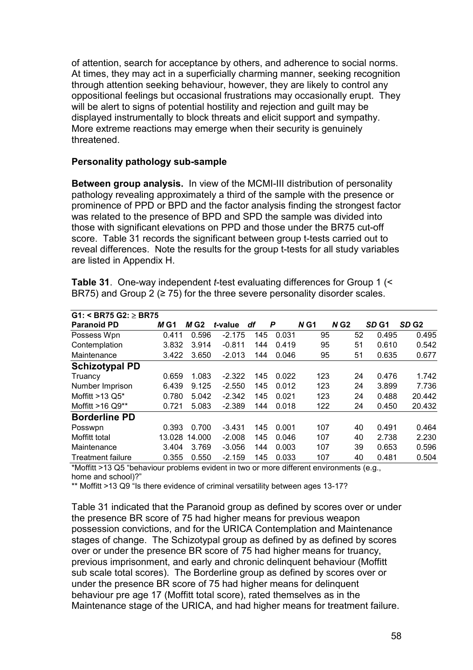of attention, search for acceptance by others, and adherence to social norms. At times, they may act in a superficially charming manner, seeking recognition through attention seeking behaviour, however, they are likely to control any oppositional feelings but occasional frustrations may occasionally erupt. They will be alert to signs of potential hostility and rejection and guilt may be displayed instrumentally to block threats and elicit support and sympathy. More extreme reactions may emerge when their security is genuinely threatened.

#### **Personality pathology sub-sample**

**Between group analysis.** In view of the MCMI-III distribution of personality pathology revealing approximately a third of the sample with the presence or prominence of PPD or BPD and the factor analysis finding the strongest factor was related to the presence of BPD and SPD the sample was divided into those with significant elevations on PPD and those under the BR75 cut-off score. Table 31 records the significant between group t-tests carried out to reveal differences. Note the results for the group t-tests for all study variables are listed in Appendix H.

| $G1:$ < BR75 $G2:$ $\geq$ BR75 |             |        |          |     |       |        |                    |                  |                  |
|--------------------------------|-------------|--------|----------|-----|-------|--------|--------------------|------------------|------------------|
| <b>Paranoid PD</b>             | <i>M</i> G1 | M G2   | t-value  | df  | P     | $N$ G1 | $N$ G <sub>2</sub> | SD <sub>G1</sub> | SD <sub>G2</sub> |
| Possess Wpn                    | 0.411       | 0.596  | $-2.175$ | 145 | 0.031 | 95     | 52                 | 0.495            | 0.495            |
| Contemplation                  | 3.832       | 3.914  | $-0.811$ | 144 | 0.419 | 95     | 51                 | 0.610            | 0.542            |
| Maintenance                    | 3.422       | 3.650  | $-2.013$ | 144 | 0.046 | 95     | 51                 | 0.635            | 0.677            |
| <b>Schizotypal PD</b>          |             |        |          |     |       |        |                    |                  |                  |
| Truancy                        | 0.659       | 1.083  | $-2.322$ | 145 | 0.022 | 123    | 24                 | 0.476            | 1.742            |
| Number Imprison                | 6.439       | 9.125  | $-2.550$ | 145 | 0.012 | 123    | 24                 | 3.899            | 7.736            |
| Moffitt $>13$ Q5*              | 0.780       | 5.042  | $-2.342$ | 145 | 0.021 | 123    | 24                 | 0.488            | 20.442           |
| Moffitt $>16$ Q9**             | 0.721       | 5.083  | $-2.389$ | 144 | 0.018 | 122    | 24                 | 0.450            | 20.432           |
| <b>Borderline PD</b>           |             |        |          |     |       |        |                    |                  |                  |
| Posswpn                        | 0.393       | 0.700  | $-3.431$ | 145 | 0.001 | 107    | 40                 | 0.491            | 0.464            |
| Moffitt total                  | 13.028      | 14.000 | $-2.008$ | 145 | 0.046 | 107    | 40                 | 2.738            | 2.230            |
| Maintenance                    | 3.404       | 3.769  | $-3.056$ | 144 | 0.003 | 107    | 39                 | 0.653            | 0.596            |
| <b>Treatment failure</b>       | 0.355       | 0.550  | $-2.159$ | 145 | 0.033 | 107    | 40                 | 0.481            | 0.504            |

**Table 31**. One-way independent *t*-test evaluating differences for Group 1 (< BR75) and Group 2 ( $\geq$  75) for the three severe personality disorder scales.

\*Moffitt >13 Q5 "behaviour problems evident in two or more different environments (e.g., home and school)?"

\*\* Moffitt >13 Q9 "Is there evidence of criminal versatility between ages 13-17?

Table 31 indicated that the Paranoid group as defined by scores over or under the presence BR score of 75 had higher means for previous weapon possession convictions, and for the URICA Contemplation and Maintenance stages of change. The Schizotypal group as defined by as defined by scores over or under the presence BR score of 75 had higher means for truancy, previous imprisonment, and early and chronic delinquent behaviour (Moffitt sub scale total scores). The Borderline group as defined by scores over or under the presence BR score of 75 had higher means for delinquent behaviour pre age 17 (Moffitt total score), rated themselves as in the Maintenance stage of the URICA, and had higher means for treatment failure.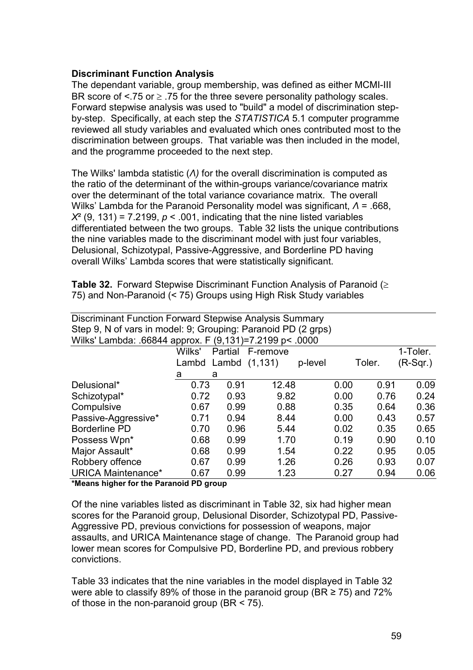#### **Discriminant Function Analysis**

The dependant variable, group membership, was defined as either MCMI-III BR score of  $\leq$  75 or  $\geq$  .75 for the three severe personality pathology scales. Forward stepwise analysis was used to "build" a model of discrimination stepby-step. Specifically, at each step the *STATISTICA* 5.1 computer programme reviewed all study variables and evaluated which ones contributed most to the discrimination between groups. That variable was then included in the model, and the programme proceeded to the next step.

The Wilks' lambda statistic (*Λ)* for the overall discrimination is computed as the ratio of the determinant of the within-groups variance/covariance matrix over the determinant of the total variance covariance matrix. The overall Wilks' Lambda for the Paranoid Personality model was significant, *Λ* = .668,  $X^2$  (9, 131) = 7.2199,  $p < 0.001$ , indicating that the nine listed variables differentiated between the two groups. Table 32 lists the unique contributions the nine variables made to the discriminant model with just four variables, Delusional, Schizotypal, Passive-Aggressive, and Borderline PD having overall Wilks' Lambda scores that were statistically significant.

**Table 32.** Forward Stepwise Discriminant Function Analysis of Paranoid (≥ 75) and Non-Paranoid (< 75) Groups using High Risk Study variables

| Step 9, N of vars in model: 9; Grouping: Paranoid PD (2 grps)<br>Wilks' Lambda: .66844 approx. F (9,131)=7.2199 p< .0000<br>Wilks'<br>1-Toler.<br>Partial<br>F-remove<br>$(R-Sqr.)$<br>Lambd Lambd $(1,131)$<br>Toler.<br>p-level<br>a<br>a<br>0.91<br>0.73<br>12.48<br>0.00<br>0.91<br>Delusional*<br>0.93<br>0.72<br>9.82<br>0.00<br>Schizotypal*<br>0.76<br>0.99<br>0.88<br>Compulsive<br>0.35<br>0.67<br>0.64<br>Passive-Aggressive*<br>0.94<br>8.44<br>0.00<br>0.57<br>0.71<br>0.43<br><b>Borderline PD</b><br>0.96<br>5.44<br>0.02<br>0.35<br>0.70<br>Possess Wpn*<br>0.99<br>1.70<br>0.19<br>0.90<br>0.68<br>Major Assault*<br>0.99<br>1.54<br>0.22<br>0.95<br>0.68<br>Robbery offence<br>0.99<br>1.26<br>0.26<br>0.93<br>0.67 | Discriminant Function Forward Stepwise Analysis Summary |  |  |  |  |  |      |  |  |
|---------------------------------------------------------------------------------------------------------------------------------------------------------------------------------------------------------------------------------------------------------------------------------------------------------------------------------------------------------------------------------------------------------------------------------------------------------------------------------------------------------------------------------------------------------------------------------------------------------------------------------------------------------------------------------------------------------------------------------------|---------------------------------------------------------|--|--|--|--|--|------|--|--|
|                                                                                                                                                                                                                                                                                                                                                                                                                                                                                                                                                                                                                                                                                                                                       |                                                         |  |  |  |  |  |      |  |  |
|                                                                                                                                                                                                                                                                                                                                                                                                                                                                                                                                                                                                                                                                                                                                       |                                                         |  |  |  |  |  |      |  |  |
|                                                                                                                                                                                                                                                                                                                                                                                                                                                                                                                                                                                                                                                                                                                                       |                                                         |  |  |  |  |  |      |  |  |
|                                                                                                                                                                                                                                                                                                                                                                                                                                                                                                                                                                                                                                                                                                                                       |                                                         |  |  |  |  |  |      |  |  |
|                                                                                                                                                                                                                                                                                                                                                                                                                                                                                                                                                                                                                                                                                                                                       |                                                         |  |  |  |  |  |      |  |  |
|                                                                                                                                                                                                                                                                                                                                                                                                                                                                                                                                                                                                                                                                                                                                       |                                                         |  |  |  |  |  | 0.09 |  |  |
|                                                                                                                                                                                                                                                                                                                                                                                                                                                                                                                                                                                                                                                                                                                                       |                                                         |  |  |  |  |  | 0.24 |  |  |
|                                                                                                                                                                                                                                                                                                                                                                                                                                                                                                                                                                                                                                                                                                                                       |                                                         |  |  |  |  |  | 0.36 |  |  |
|                                                                                                                                                                                                                                                                                                                                                                                                                                                                                                                                                                                                                                                                                                                                       |                                                         |  |  |  |  |  |      |  |  |
|                                                                                                                                                                                                                                                                                                                                                                                                                                                                                                                                                                                                                                                                                                                                       |                                                         |  |  |  |  |  | 0.65 |  |  |
|                                                                                                                                                                                                                                                                                                                                                                                                                                                                                                                                                                                                                                                                                                                                       |                                                         |  |  |  |  |  | 0.10 |  |  |
|                                                                                                                                                                                                                                                                                                                                                                                                                                                                                                                                                                                                                                                                                                                                       |                                                         |  |  |  |  |  | 0.05 |  |  |
|                                                                                                                                                                                                                                                                                                                                                                                                                                                                                                                                                                                                                                                                                                                                       |                                                         |  |  |  |  |  | 0.07 |  |  |
| <b>URICA Maintenance*</b><br>0.99<br>1.23<br>0.27<br>0.94<br>0.67                                                                                                                                                                                                                                                                                                                                                                                                                                                                                                                                                                                                                                                                     |                                                         |  |  |  |  |  | 0.06 |  |  |

**\*Means higher for the Paranoid PD group** 

Of the nine variables listed as discriminant in Table 32, six had higher mean scores for the Paranoid group, Delusional Disorder, Schizotypal PD, Passive-Aggressive PD, previous convictions for possession of weapons, major assaults, and URICA Maintenance stage of change. The Paranoid group had lower mean scores for Compulsive PD, Borderline PD, and previous robbery convictions.

Table 33 indicates that the nine variables in the model displayed in Table 32 were able to classify 89% of those in the paranoid group (BR  $\geq$  75) and 72% of those in the non-paranoid group (BR < 75).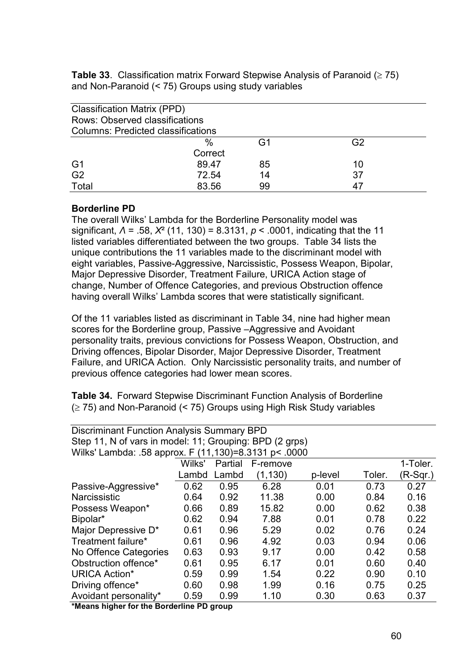**Table 33**. Classification matrix Forward Stepwise Analysis of Paranoid  $(≥ 75)$ and Non-Paranoid (< 75) Groups using study variables

| <b>Classification Matrix (PPD)</b><br>Rows: Observed classifications |         |    |    |
|----------------------------------------------------------------------|---------|----|----|
| <b>Columns: Predicted classifications</b>                            |         |    |    |
|                                                                      | $\%$    | G1 | G2 |
|                                                                      | Correct |    |    |
| G <sub>1</sub>                                                       | 89.47   | 85 | 10 |
| G <sub>2</sub>                                                       | 72.54   | 14 | 37 |
| Total                                                                | 83.56   | 99 |    |

## **Borderline PD**

The overall Wilks' Lambda for the Borderline Personality model was significant, *Λ* = .58, *X*² (11, 130) = 8.3131, *p* < .0001, indicating that the 11 listed variables differentiated between the two groups. Table 34 lists the unique contributions the 11 variables made to the discriminant model with eight variables, Passive-Aggressive, Narcissistic, Possess Weapon, Bipolar, Major Depressive Disorder, Treatment Failure, URICA Action stage of change, Number of Offence Categories, and previous Obstruction offence having overall Wilks' Lambda scores that were statistically significant.

Of the 11 variables listed as discriminant in Table 34, nine had higher mean scores for the Borderline group, Passive –Aggressive and Avoidant personality traits, previous convictions for Possess Weapon, Obstruction, and Driving offences, Bipolar Disorder, Major Depressive Disorder, Treatment Failure, and URICA Action. Only Narcissistic personality traits, and number of previous offence categories had lower mean scores.

**Table 34.** Forward Stepwise Discriminant Function Analysis of Borderline  $(≥ 75)$  and Non-Paranoid (< 75) Groups using High Risk Study variables

| <b>Discriminant Function Analysis Summary BPD</b>       |
|---------------------------------------------------------|
| Step 11, N of vars in model: 11; Grouping: BPD (2 grps) |
| Wilks' Lambda: .58 approx. F (11,130)=8.3131 p< .0000   |

|                       |        | . . , , |          |         |        |            |
|-----------------------|--------|---------|----------|---------|--------|------------|
|                       | Wilks' | Partial | F-remove |         |        | 1-Toler.   |
|                       | Lambd  | Lambd   | (1, 130) | p-level | Toler. | $(R-Sqr.)$ |
| Passive-Aggressive*   | 0.62   | 0.95    | 6.28     | 0.01    | 0.73   | 0.27       |
| Narcissistic          | 0.64   | 0.92    | 11.38    | 0.00    | 0.84   | 0.16       |
| Possess Weapon*       | 0.66   | 0.89    | 15.82    | 0.00    | 0.62   | 0.38       |
| Bipolar*              | 0.62   | 0.94    | 7.88     | 0.01    | 0.78   | 0.22       |
| Major Depressive D*   | 0.61   | 0.96    | 5.29     | 0.02    | 0.76   | 0.24       |
| Treatment failure*    | 0.61   | 0.96    | 4.92     | 0.03    | 0.94   | 0.06       |
| No Offence Categories | 0.63   | 0.93    | 9.17     | 0.00    | 0.42   | 0.58       |
| Obstruction offence*  | 0.61   | 0.95    | 6.17     | 0.01    | 0.60   | 0.40       |
| <b>URICA Action*</b>  | 0.59   | 0.99    | 1.54     | 0.22    | 0.90   | 0.10       |
| Driving offence*      | 0.60   | 0.98    | 1.99     | 0.16    | 0.75   | 0.25       |
| Avoidant personality* | 0.59   | 0.99    | 1.10     | 0.30    | 0.63   | 0.37       |
|                       |        |         |          |         |        |            |

**\*Means higher for the Borderline PD group**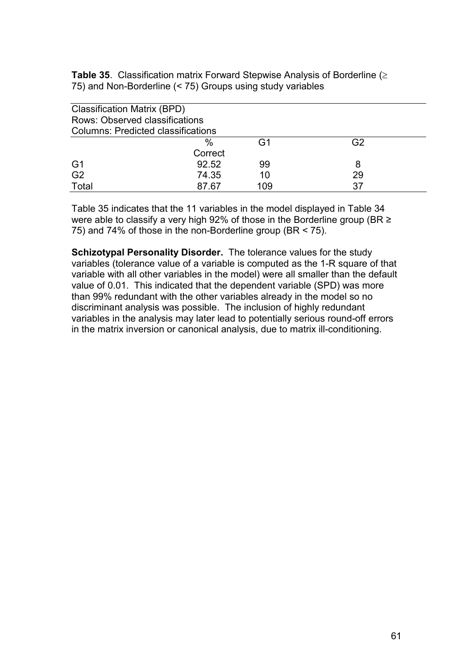**Table 35**. Classification matrix Forward Stepwise Analysis of Borderline (≥ 75) and Non-Borderline (< 75) Groups using study variables

| <b>Classification Matrix (BPD)</b>        |         |     |    |
|-------------------------------------------|---------|-----|----|
| Rows: Observed classifications            |         |     |    |
| <b>Columns: Predicted classifications</b> |         |     |    |
|                                           | $\%$    | G1  | G2 |
|                                           | Correct |     |    |
| G <sub>1</sub>                            | 92.52   | 99  | 8  |
| G <sub>2</sub>                            | 74.35   | 10  | 29 |
| Total                                     | 87.67   | 109 | 37 |

Table 35 indicates that the 11 variables in the model displayed in Table 34 were able to classify a very high 92% of those in the Borderline group (BR ≥ 75) and 74% of those in the non-Borderline group (BR < 75).

**Schizotypal Personality Disorder.** The tolerance values for the study variables (tolerance value of a variable is computed as the 1-R square of that variable with all other variables in the model) were all smaller than the default value of 0.01. This indicated that the dependent variable (SPD) was more than 99% redundant with the other variables already in the model so no discriminant analysis was possible. The inclusion of highly redundant variables in the analysis may later lead to potentially serious round-off errors in the matrix inversion or canonical analysis, due to matrix ill-conditioning.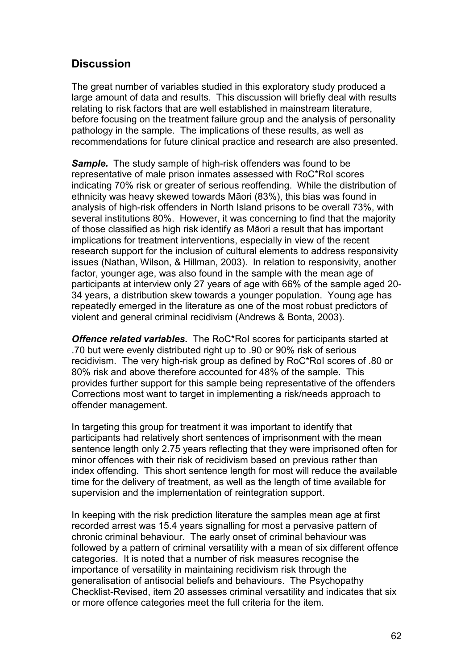# **Discussion**

The great number of variables studied in this exploratory study produced a large amount of data and results. This discussion will briefly deal with results relating to risk factors that are well established in mainstream literature, before focusing on the treatment failure group and the analysis of personality pathology in the sample. The implications of these results, as well as recommendations for future clinical practice and research are also presented.

*Sample.* The study sample of high-risk offenders was found to be representative of male prison inmates assessed with RoC\*RoI scores indicating 70% risk or greater of serious reoffending. While the distribution of ethnicity was heavy skewed towards Māori (83%), this bias was found in analysis of high-risk offenders in North Island prisons to be overall 73%, with several institutions 80%. However, it was concerning to find that the majority of those classified as high risk identify as Māori a result that has important implications for treatment interventions, especially in view of the recent research support for the inclusion of cultural elements to address responsivity issues (Nathan, Wilson, & Hillman, 2003). In relation to responsivity, another factor, younger age, was also found in the sample with the mean age of participants at interview only 27 years of age with 66% of the sample aged 20- 34 years, a distribution skew towards a younger population. Young age has repeatedly emerged in the literature as one of the most robust predictors of violent and general criminal recidivism (Andrews & Bonta, 2003).

*Offence related variables.* The RoC\*RoI scores for participants started at .70 but were evenly distributed right up to .90 or 90% risk of serious recidivism. The very high-risk group as defined by RoC\*RoI scores of .80 or 80% risk and above therefore accounted for 48% of the sample. This provides further support for this sample being representative of the offenders Corrections most want to target in implementing a risk/needs approach to offender management.

In targeting this group for treatment it was important to identify that participants had relatively short sentences of imprisonment with the mean sentence length only 2.75 years reflecting that they were imprisoned often for minor offences with their risk of recidivism based on previous rather than index offending. This short sentence length for most will reduce the available time for the delivery of treatment, as well as the length of time available for supervision and the implementation of reintegration support.

In keeping with the risk prediction literature the samples mean age at first recorded arrest was 15.4 years signalling for most a pervasive pattern of chronic criminal behaviour. The early onset of criminal behaviour was followed by a pattern of criminal versatility with a mean of six different offence categories. It is noted that a number of risk measures recognise the importance of versatility in maintaining recidivism risk through the generalisation of antisocial beliefs and behaviours. The Psychopathy Checklist-Revised, item 20 assesses criminal versatility and indicates that six or more offence categories meet the full criteria for the item.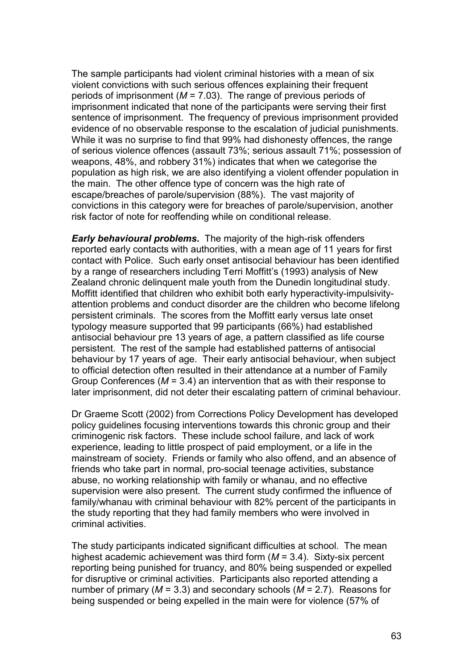The sample participants had violent criminal histories with a mean of six violent convictions with such serious offences explaining their frequent periods of imprisonment (*M* = 7.03). The range of previous periods of imprisonment indicated that none of the participants were serving their first sentence of imprisonment. The frequency of previous imprisonment provided evidence of no observable response to the escalation of judicial punishments. While it was no surprise to find that 99% had dishonesty offences, the range of serious violence offences (assault 73%; serious assault 71%; possession of weapons, 48%, and robbery 31%) indicates that when we categorise the population as high risk, we are also identifying a violent offender population in the main. The other offence type of concern was the high rate of escape/breaches of parole/supervision (88%). The vast majority of convictions in this category were for breaches of parole/supervision, another risk factor of note for reoffending while on conditional release.

*Early behavioural problems.* The majority of the high-risk offenders reported early contacts with authorities, with a mean age of 11 years for first contact with Police. Such early onset antisocial behaviour has been identified by a range of researchers including Terri Moffitt's (1993) analysis of New Zealand chronic delinquent male youth from the Dunedin longitudinal study. Moffitt identified that children who exhibit both early hyperactivity-impulsivityattention problems and conduct disorder are the children who become lifelong persistent criminals. The scores from the Moffitt early versus late onset typology measure supported that 99 participants (66%) had established antisocial behaviour pre 13 years of age, a pattern classified as life course persistent. The rest of the sample had established patterns of antisocial behaviour by 17 years of age. Their early antisocial behaviour, when subject to official detection often resulted in their attendance at a number of Family Group Conferences (*M* = 3.4) an intervention that as with their response to later imprisonment, did not deter their escalating pattern of criminal behaviour.

Dr Graeme Scott (2002) from Corrections Policy Development has developed policy guidelines focusing interventions towards this chronic group and their criminogenic risk factors. These include school failure, and lack of work experience, leading to little prospect of paid employment, or a life in the mainstream of society. Friends or family who also offend, and an absence of friends who take part in normal, pro-social teenage activities, substance abuse, no working relationship with family or whanau, and no effective supervision were also present. The current study confirmed the influence of family/whanau with criminal behaviour with 82% percent of the participants in the study reporting that they had family members who were involved in criminal activities.

The study participants indicated significant difficulties at school. The mean highest academic achievement was third form (*M* = 3.4). Sixty-six percent reporting being punished for truancy, and 80% being suspended or expelled for disruptive or criminal activities. Participants also reported attending a number of primary (*M* = 3.3) and secondary schools (*M* = 2.7). Reasons for being suspended or being expelled in the main were for violence (57% of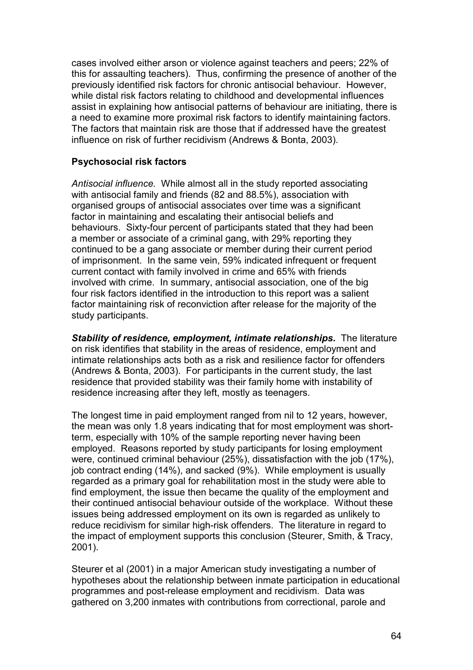cases involved either arson or violence against teachers and peers; 22% of this for assaulting teachers). Thus, confirming the presence of another of the previously identified risk factors for chronic antisocial behaviour. However, while distal risk factors relating to childhood and developmental influences assist in explaining how antisocial patterns of behaviour are initiating, there is a need to examine more proximal risk factors to identify maintaining factors. The factors that maintain risk are those that if addressed have the greatest influence on risk of further recidivism (Andrews & Bonta, 2003).

# **Psychosocial risk factors**

*Antisocial influence.* While almost all in the study reported associating with antisocial family and friends (82 and 88.5%), association with organised groups of antisocial associates over time was a significant factor in maintaining and escalating their antisocial beliefs and behaviours. Sixty-four percent of participants stated that they had been a member or associate of a criminal gang, with 29% reporting they continued to be a gang associate or member during their current period of imprisonment. In the same vein, 59% indicated infrequent or frequent current contact with family involved in crime and 65% with friends involved with crime. In summary, antisocial association, one of the big four risk factors identified in the introduction to this report was a salient factor maintaining risk of reconviction after release for the majority of the study participants.

**Stability of residence, employment, intimate relationships.** The literature on risk identifies that stability in the areas of residence, employment and intimate relationships acts both as a risk and resilience factor for offenders (Andrews & Bonta, 2003). For participants in the current study, the last residence that provided stability was their family home with instability of residence increasing after they left, mostly as teenagers.

The longest time in paid employment ranged from nil to 12 years, however, the mean was only 1.8 years indicating that for most employment was shortterm, especially with 10% of the sample reporting never having been employed. Reasons reported by study participants for losing employment were, continued criminal behaviour (25%), dissatisfaction with the job (17%), job contract ending (14%), and sacked (9%). While employment is usually regarded as a primary goal for rehabilitation most in the study were able to find employment, the issue then became the quality of the employment and their continued antisocial behaviour outside of the workplace. Without these issues being addressed employment on its own is regarded as unlikely to reduce recidivism for similar high-risk offenders. The literature in regard to the impact of employment supports this conclusion (Steurer, Smith, & Tracy, 2001).

Steurer et al (2001) in a major American study investigating a number of hypotheses about the relationship between inmate participation in educational programmes and post-release employment and recidivism. Data was gathered on 3,200 inmates with contributions from correctional, parole and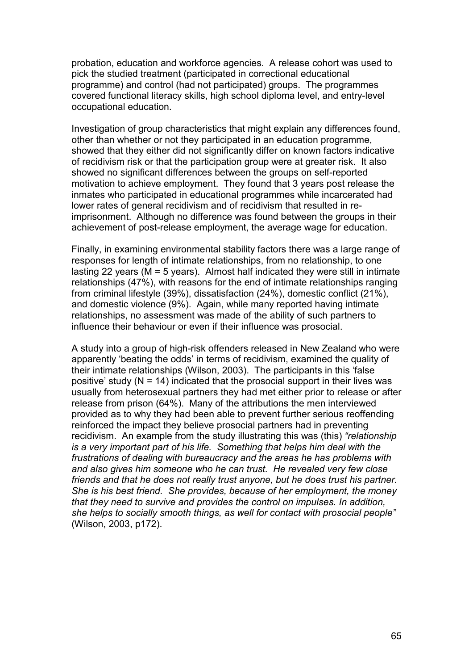probation, education and workforce agencies. A release cohort was used to pick the studied treatment (participated in correctional educational programme) and control (had not participated) groups. The programmes covered functional literacy skills, high school diploma level, and entry-level occupational education.

Investigation of group characteristics that might explain any differences found, other than whether or not they participated in an education programme, showed that they either did not significantly differ on known factors indicative of recidivism risk or that the participation group were at greater risk. It also showed no significant differences between the groups on self-reported motivation to achieve employment. They found that 3 years post release the inmates who participated in educational programmes while incarcerated had lower rates of general recidivism and of recidivism that resulted in reimprisonment. Although no difference was found between the groups in their achievement of post-release employment, the average wage for education.

Finally, in examining environmental stability factors there was a large range of responses for length of intimate relationships, from no relationship, to one lasting 22 years (M = 5 years). Almost half indicated they were still in intimate relationships (47%), with reasons for the end of intimate relationships ranging from criminal lifestyle (39%), dissatisfaction (24%), domestic conflict (21%), and domestic violence (9%). Again, while many reported having intimate relationships, no assessment was made of the ability of such partners to influence their behaviour or even if their influence was prosocial.

A study into a group of high-risk offenders released in New Zealand who were apparently 'beating the odds' in terms of recidivism, examined the quality of their intimate relationships (Wilson, 2003). The participants in this 'false positive' study ( $N = 14$ ) indicated that the prosocial support in their lives was usually from heterosexual partners they had met either prior to release or after release from prison (64%). Many of the attributions the men interviewed provided as to why they had been able to prevent further serious reoffending reinforced the impact they believe prosocial partners had in preventing recidivism. An example from the study illustrating this was (this) *"relationship is a very important part of his life. Something that helps him deal with the frustrations of dealing with bureaucracy and the areas he has problems with and also gives him someone who he can trust. He revealed very few close friends and that he does not really trust anyone, but he does trust his partner. She is his best friend. She provides, because of her employment, the money that they need to survive and provides the control on impulses. In addition, she helps to socially smooth things, as well for contact with prosocial people"* (Wilson, 2003, p172).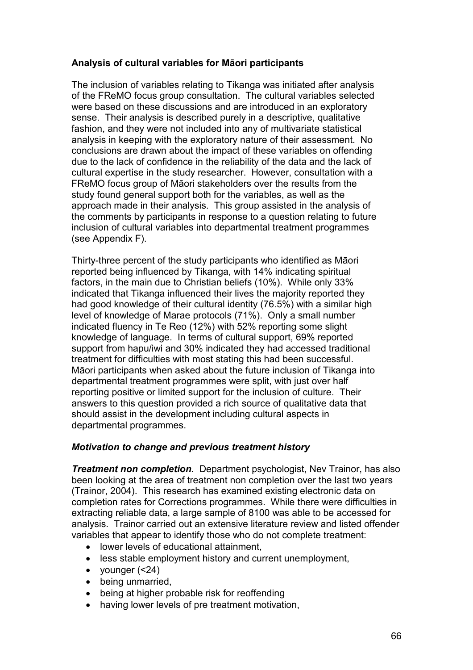# **Analysis of cultural variables for Māori participants**

The inclusion of variables relating to Tikanga was initiated after analysis of the FReMO focus group consultation. The cultural variables selected were based on these discussions and are introduced in an exploratory sense. Their analysis is described purely in a descriptive, qualitative fashion, and they were not included into any of multivariate statistical analysis in keeping with the exploratory nature of their assessment. No conclusions are drawn about the impact of these variables on offending due to the lack of confidence in the reliability of the data and the lack of cultural expertise in the study researcher. However, consultation with a FReMO focus group of Māori stakeholders over the results from the study found general support both for the variables, as well as the approach made in their analysis. This group assisted in the analysis of the comments by participants in response to a question relating to future inclusion of cultural variables into departmental treatment programmes (see Appendix F).

Thirty-three percent of the study participants who identified as Māori reported being influenced by Tikanga, with 14% indicating spiritual factors, in the main due to Christian beliefs (10%). While only 33% indicated that Tikanga influenced their lives the majority reported they had good knowledge of their cultural identity (76.5%) with a similar high level of knowledge of Marae protocols (71%). Only a small number indicated fluency in Te Reo (12%) with 52% reporting some slight knowledge of language. In terms of cultural support, 69% reported support from hapu/iwi and 30% indicated they had accessed traditional treatment for difficulties with most stating this had been successful. Māori participants when asked about the future inclusion of Tikanga into departmental treatment programmes were split, with just over half reporting positive or limited support for the inclusion of culture. Their answers to this question provided a rich source of qualitative data that should assist in the development including cultural aspects in departmental programmes.

# *Motivation to change and previous treatment history*

*Treatment non completion.* Department psychologist, Nev Trainor, has also been looking at the area of treatment non completion over the last two years (Trainor, 2004). This research has examined existing electronic data on completion rates for Corrections programmes. While there were difficulties in extracting reliable data, a large sample of 8100 was able to be accessed for analysis. Trainor carried out an extensive literature review and listed offender variables that appear to identify those who do not complete treatment:

- lower levels of educational attainment,
- less stable employment history and current unemployment,
- younger  $( < 24)$
- being unmarried,
- being at higher probable risk for reoffending
- having lower levels of pre treatment motivation,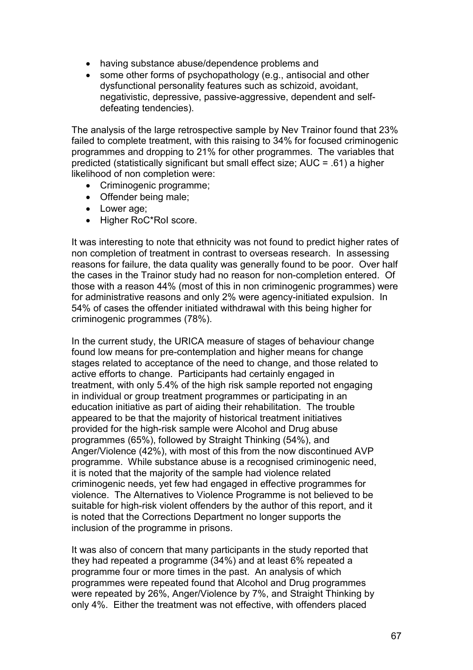- having substance abuse/dependence problems and
- some other forms of psychopathology (e.g., antisocial and other dysfunctional personality features such as schizoid, avoidant, negativistic, depressive, passive-aggressive, dependent and selfdefeating tendencies).

The analysis of the large retrospective sample by Ney Trainor found that 23% failed to complete treatment, with this raising to 34% for focused criminogenic programmes and dropping to 21% for other programmes. The variables that predicted (statistically significant but small effect size; AUC = .61) a higher likelihood of non completion were:

- Criminogenic programme;
- Offender being male;
- Lower age;
- Higher RoC\*RoI score.

It was interesting to note that ethnicity was not found to predict higher rates of non completion of treatment in contrast to overseas research. In assessing reasons for failure, the data quality was generally found to be poor. Over half the cases in the Trainor study had no reason for non-completion entered. Of those with a reason 44% (most of this in non criminogenic programmes) were for administrative reasons and only 2% were agency-initiated expulsion. In 54% of cases the offender initiated withdrawal with this being higher for criminogenic programmes (78%).

In the current study, the URICA measure of stages of behaviour change found low means for pre-contemplation and higher means for change stages related to acceptance of the need to change, and those related to active efforts to change. Participants had certainly engaged in treatment, with only 5.4% of the high risk sample reported not engaging in individual or group treatment programmes or participating in an education initiative as part of aiding their rehabilitation. The trouble appeared to be that the majority of historical treatment initiatives provided for the high-risk sample were Alcohol and Drug abuse programmes (65%), followed by Straight Thinking (54%), and Anger/Violence (42%), with most of this from the now discontinued AVP programme. While substance abuse is a recognised criminogenic need, it is noted that the majority of the sample had violence related criminogenic needs, yet few had engaged in effective programmes for violence. The Alternatives to Violence Programme is not believed to be suitable for high-risk violent offenders by the author of this report, and it is noted that the Corrections Department no longer supports the inclusion of the programme in prisons.

It was also of concern that many participants in the study reported that they had repeated a programme (34%) and at least 6% repeated a programme four or more times in the past. An analysis of which programmes were repeated found that Alcohol and Drug programmes were repeated by 26%, Anger/Violence by 7%, and Straight Thinking by only 4%. Either the treatment was not effective, with offenders placed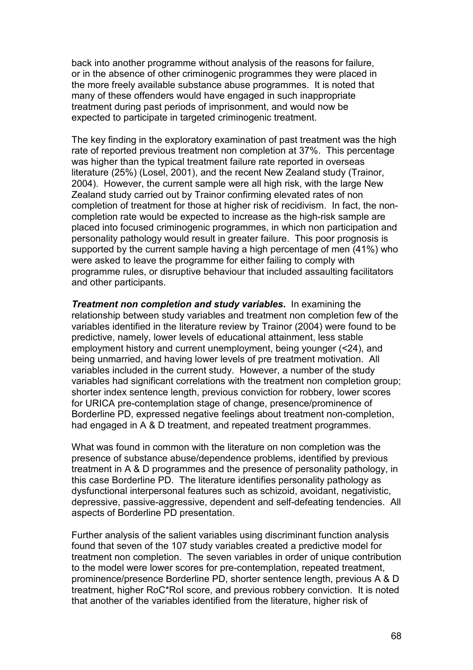back into another programme without analysis of the reasons for failure, or in the absence of other criminogenic programmes they were placed in the more freely available substance abuse programmes. It is noted that many of these offenders would have engaged in such inappropriate treatment during past periods of imprisonment, and would now be expected to participate in targeted criminogenic treatment.

The key finding in the exploratory examination of past treatment was the high rate of reported previous treatment non completion at 37%. This percentage was higher than the typical treatment failure rate reported in overseas literature (25%) (Losel, 2001), and the recent New Zealand study (Trainor, 2004). However, the current sample were all high risk, with the large New Zealand study carried out by Trainor confirming elevated rates of non completion of treatment for those at higher risk of recidivism. In fact, the noncompletion rate would be expected to increase as the high-risk sample are placed into focused criminogenic programmes, in which non participation and personality pathology would result in greater failure. This poor prognosis is supported by the current sample having a high percentage of men (41%) who were asked to leave the programme for either failing to comply with programme rules, or disruptive behaviour that included assaulting facilitators and other participants.

*Treatment non completion and study variables***.** In examining the relationship between study variables and treatment non completion few of the variables identified in the literature review by Trainor (2004) were found to be predictive, namely, lower levels of educational attainment, less stable employment history and current unemployment, being younger (<24), and being unmarried, and having lower levels of pre treatment motivation. All variables included in the current study. However, a number of the study variables had significant correlations with the treatment non completion group; shorter index sentence length, previous conviction for robbery, lower scores for URICA pre-contemplation stage of change, presence/prominence of Borderline PD, expressed negative feelings about treatment non-completion, had engaged in A & D treatment, and repeated treatment programmes.

What was found in common with the literature on non completion was the presence of substance abuse/dependence problems, identified by previous treatment in A & D programmes and the presence of personality pathology, in this case Borderline PD. The literature identifies personality pathology as dysfunctional interpersonal features such as schizoid, avoidant, negativistic, depressive, passive-aggressive, dependent and self-defeating tendencies. All aspects of Borderline PD presentation.

Further analysis of the salient variables using discriminant function analysis found that seven of the 107 study variables created a predictive model for treatment non completion. The seven variables in order of unique contribution to the model were lower scores for pre-contemplation, repeated treatment, prominence/presence Borderline PD, shorter sentence length, previous A & D treatment, higher RoC\*RoI score, and previous robbery conviction. It is noted that another of the variables identified from the literature, higher risk of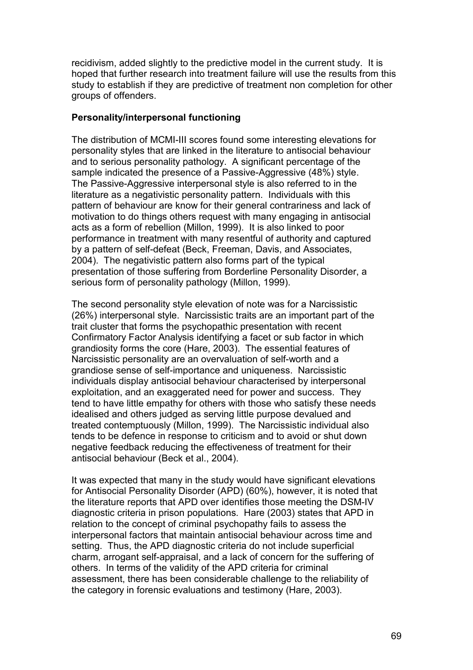recidivism, added slightly to the predictive model in the current study. It is hoped that further research into treatment failure will use the results from this study to establish if they are predictive of treatment non completion for other groups of offenders.

#### **Personality/interpersonal functioning**

The distribution of MCMI-III scores found some interesting elevations for personality styles that are linked in the literature to antisocial behaviour and to serious personality pathology. A significant percentage of the sample indicated the presence of a Passive-Aggressive (48%) style. The Passive-Aggressive interpersonal style is also referred to in the literature as a negativistic personality pattern. Individuals with this pattern of behaviour are know for their general contrariness and lack of motivation to do things others request with many engaging in antisocial acts as a form of rebellion (Millon, 1999). It is also linked to poor performance in treatment with many resentful of authority and captured by a pattern of self-defeat (Beck, Freeman, Davis, and Associates, 2004). The negativistic pattern also forms part of the typical presentation of those suffering from Borderline Personality Disorder, a serious form of personality pathology (Millon, 1999).

The second personality style elevation of note was for a Narcissistic (26%) interpersonal style. Narcissistic traits are an important part of the trait cluster that forms the psychopathic presentation with recent Confirmatory Factor Analysis identifying a facet or sub factor in which grandiosity forms the core (Hare, 2003). The essential features of Narcissistic personality are an overvaluation of self-worth and a grandiose sense of self-importance and uniqueness. Narcissistic individuals display antisocial behaviour characterised by interpersonal exploitation, and an exaggerated need for power and success. They tend to have little empathy for others with those who satisfy these needs idealised and others judged as serving little purpose devalued and treated contemptuously (Millon, 1999). The Narcissistic individual also tends to be defence in response to criticism and to avoid or shut down negative feedback reducing the effectiveness of treatment for their antisocial behaviour (Beck et al., 2004).

It was expected that many in the study would have significant elevations for Antisocial Personality Disorder (APD) (60%), however, it is noted that the literature reports that APD over identifies those meeting the DSM-IV diagnostic criteria in prison populations. Hare (2003) states that APD in relation to the concept of criminal psychopathy fails to assess the interpersonal factors that maintain antisocial behaviour across time and setting. Thus, the APD diagnostic criteria do not include superficial charm, arrogant self-appraisal, and a lack of concern for the suffering of others. In terms of the validity of the APD criteria for criminal assessment, there has been considerable challenge to the reliability of the category in forensic evaluations and testimony (Hare, 2003).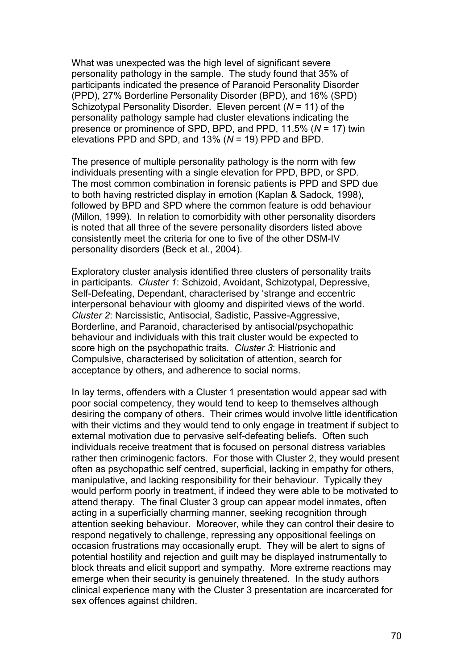What was unexpected was the high level of significant severe personality pathology in the sample. The study found that 35% of participants indicated the presence of Paranoid Personality Disorder (PPD), 27% Borderline Personality Disorder (BPD), and 16% (SPD) Schizotypal Personality Disorder. Eleven percent (*N* = 11) of the personality pathology sample had cluster elevations indicating the presence or prominence of SPD, BPD, and PPD, 11.5% (*N* = 17) twin elevations PPD and SPD, and 13% (*N* = 19) PPD and BPD.

The presence of multiple personality pathology is the norm with few individuals presenting with a single elevation for PPD, BPD, or SPD. The most common combination in forensic patients is PPD and SPD due to both having restricted display in emotion (Kaplan & Sadock, 1998), followed by BPD and SPD where the common feature is odd behaviour (Millon, 1999). In relation to comorbidity with other personality disorders is noted that all three of the severe personality disorders listed above consistently meet the criteria for one to five of the other DSM-IV personality disorders (Beck et al., 2004).

Exploratory cluster analysis identified three clusters of personality traits in participants. *Cluster 1*: Schizoid, Avoidant, Schizotypal, Depressive, Self-Defeating, Dependant, characterised by 'strange and eccentric interpersonal behaviour with gloomy and dispirited views of the world. *Cluster 2*: Narcissistic, Antisocial, Sadistic, Passive-Aggressive, Borderline, and Paranoid, characterised by antisocial/psychopathic behaviour and individuals with this trait cluster would be expected to score high on the psychopathic traits. *Cluster 3*: Histrionic and Compulsive, characterised by solicitation of attention, search for acceptance by others, and adherence to social norms.

In lay terms, offenders with a Cluster 1 presentation would appear sad with poor social competency, they would tend to keep to themselves although desiring the company of others. Their crimes would involve little identification with their victims and they would tend to only engage in treatment if subject to external motivation due to pervasive self-defeating beliefs. Often such individuals receive treatment that is focused on personal distress variables rather then criminogenic factors. For those with Cluster 2, they would present often as psychopathic self centred, superficial, lacking in empathy for others, manipulative, and lacking responsibility for their behaviour. Typically they would perform poorly in treatment, if indeed they were able to be motivated to attend therapy. The final Cluster 3 group can appear model inmates, often acting in a superficially charming manner, seeking recognition through attention seeking behaviour. Moreover, while they can control their desire to respond negatively to challenge, repressing any oppositional feelings on occasion frustrations may occasionally erupt. They will be alert to signs of potential hostility and rejection and guilt may be displayed instrumentally to block threats and elicit support and sympathy. More extreme reactions may emerge when their security is genuinely threatened. In the study authors clinical experience many with the Cluster 3 presentation are incarcerated for sex offences against children.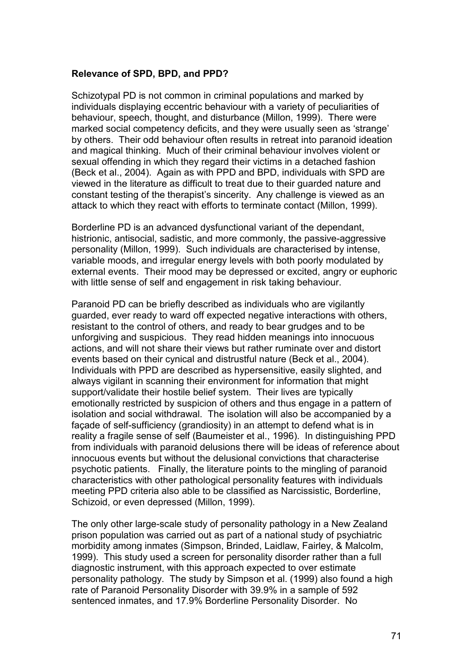#### **Relevance of SPD, BPD, and PPD?**

Schizotypal PD is not common in criminal populations and marked by individuals displaying eccentric behaviour with a variety of peculiarities of behaviour, speech, thought, and disturbance (Millon, 1999). There were marked social competency deficits, and they were usually seen as 'strange' by others. Their odd behaviour often results in retreat into paranoid ideation and magical thinking. Much of their criminal behaviour involves violent or sexual offending in which they regard their victims in a detached fashion (Beck et al., 2004). Again as with PPD and BPD, individuals with SPD are viewed in the literature as difficult to treat due to their guarded nature and constant testing of the therapist's sincerity. Any challenge is viewed as an attack to which they react with efforts to terminate contact (Millon, 1999).

Borderline PD is an advanced dysfunctional variant of the dependant, histrionic, antisocial, sadistic, and more commonly, the passive-aggressive personality (Millon, 1999). Such individuals are characterised by intense, variable moods, and irregular energy levels with both poorly modulated by external events. Their mood may be depressed or excited, angry or euphoric with little sense of self and engagement in risk taking behaviour.

Paranoid PD can be briefly described as individuals who are vigilantly guarded, ever ready to ward off expected negative interactions with others, resistant to the control of others, and ready to bear grudges and to be unforgiving and suspicious. They read hidden meanings into innocuous actions, and will not share their views but rather ruminate over and distort events based on their cynical and distrustful nature (Beck et al., 2004). Individuals with PPD are described as hypersensitive, easily slighted, and always vigilant in scanning their environment for information that might support/validate their hostile belief system. Their lives are typically emotionally restricted by suspicion of others and thus engage in a pattern of isolation and social withdrawal. The isolation will also be accompanied by a façade of self-sufficiency (grandiosity) in an attempt to defend what is in reality a fragile sense of self (Baumeister et al., 1996). In distinguishing PPD from individuals with paranoid delusions there will be ideas of reference about innocuous events but without the delusional convictions that characterise psychotic patients. Finally, the literature points to the mingling of paranoid characteristics with other pathological personality features with individuals meeting PPD criteria also able to be classified as Narcissistic, Borderline, Schizoid, or even depressed (Millon, 1999).

The only other large-scale study of personality pathology in a New Zealand prison population was carried out as part of a national study of psychiatric morbidity among inmates (Simpson, Brinded, Laidlaw, Fairley, & Malcolm, 1999). This study used a screen for personality disorder rather than a full diagnostic instrument, with this approach expected to over estimate personality pathology. The study by Simpson et al. (1999) also found a high rate of Paranoid Personality Disorder with 39.9% in a sample of 592 sentenced inmates, and 17.9% Borderline Personality Disorder. No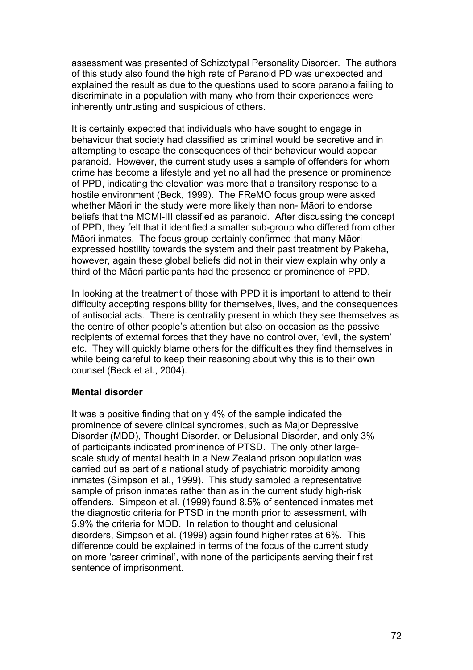assessment was presented of Schizotypal Personality Disorder. The authors of this study also found the high rate of Paranoid PD was unexpected and explained the result as due to the questions used to score paranoia failing to discriminate in a population with many who from their experiences were inherently untrusting and suspicious of others.

It is certainly expected that individuals who have sought to engage in behaviour that society had classified as criminal would be secretive and in attempting to escape the consequences of their behaviour would appear paranoid. However, the current study uses a sample of offenders for whom crime has become a lifestyle and yet no all had the presence or prominence of PPD, indicating the elevation was more that a transitory response to a hostile environment (Beck, 1999). The FReMO focus group were asked whether Māori in the study were more likely than non- Māori to endorse beliefs that the MCMI-III classified as paranoid. After discussing the concept of PPD, they felt that it identified a smaller sub-group who differed from other Māori inmates. The focus group certainly confirmed that many Māori expressed hostility towards the system and their past treatment by Pakeha, however, again these global beliefs did not in their view explain why only a third of the Māori participants had the presence or prominence of PPD.

In looking at the treatment of those with PPD it is important to attend to their difficulty accepting responsibility for themselves, lives, and the consequences of antisocial acts. There is centrality present in which they see themselves as the centre of other people's attention but also on occasion as the passive recipients of external forces that they have no control over, 'evil, the system' etc. They will quickly blame others for the difficulties they find themselves in while being careful to keep their reasoning about why this is to their own counsel (Beck et al., 2004).

#### **Mental disorder**

It was a positive finding that only 4% of the sample indicated the prominence of severe clinical syndromes, such as Major Depressive Disorder (MDD), Thought Disorder, or Delusional Disorder, and only 3% of participants indicated prominence of PTSD. The only other largescale study of mental health in a New Zealand prison population was carried out as part of a national study of psychiatric morbidity among inmates (Simpson et al., 1999). This study sampled a representative sample of prison inmates rather than as in the current study high-risk offenders. Simpson et al. (1999) found 8.5% of sentenced inmates met the diagnostic criteria for PTSD in the month prior to assessment, with 5.9% the criteria for MDD. In relation to thought and delusional disorders, Simpson et al. (1999) again found higher rates at 6%. This difference could be explained in terms of the focus of the current study on more 'career criminal', with none of the participants serving their first sentence of imprisonment.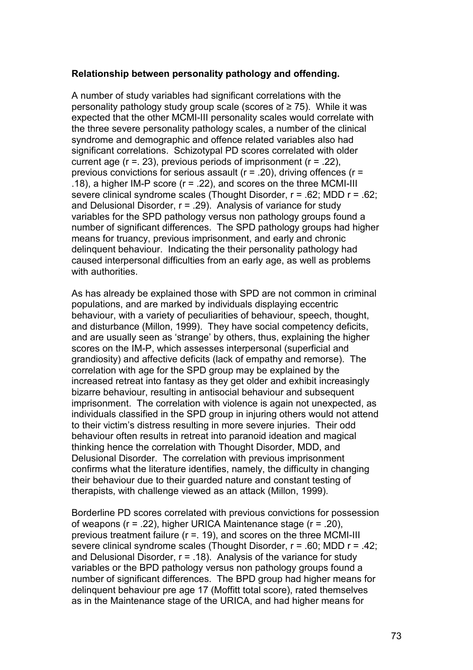### **Relationship between personality pathology and offending.**

A number of study variables had significant correlations with the personality pathology study group scale (scores of ≥ 75). While it was expected that the other MCMI-III personality scales would correlate with the three severe personality pathology scales, a number of the clinical syndrome and demographic and offence related variables also had significant correlations. Schizotypal PD scores correlated with older current age  $(r = 0.23)$ , previous periods of imprisonment  $(r = 0.22)$ . previous convictions for serious assault ( $r = 0.20$ ), driving offences ( $r = 0$ .18), a higher IM-P score (r = .22), and scores on the three MCMI-III severe clinical syndrome scales (Thought Disorder, r = .62; MDD r = .62; and Delusional Disorder,  $r = .29$ ). Analysis of variance for study variables for the SPD pathology versus non pathology groups found a number of significant differences. The SPD pathology groups had higher means for truancy, previous imprisonment, and early and chronic delinquent behaviour. Indicating the their personality pathology had caused interpersonal difficulties from an early age, as well as problems with authorities.

As has already be explained those with SPD are not common in criminal populations, and are marked by individuals displaying eccentric behaviour, with a variety of peculiarities of behaviour, speech, thought, and disturbance (Millon, 1999). They have social competency deficits, and are usually seen as 'strange' by others, thus, explaining the higher scores on the IM-P, which assesses interpersonal (superficial and grandiosity) and affective deficits (lack of empathy and remorse). The correlation with age for the SPD group may be explained by the increased retreat into fantasy as they get older and exhibit increasingly bizarre behaviour, resulting in antisocial behaviour and subsequent imprisonment. The correlation with violence is again not unexpected, as individuals classified in the SPD group in injuring others would not attend to their victim's distress resulting in more severe injuries. Their odd behaviour often results in retreat into paranoid ideation and magical thinking hence the correlation with Thought Disorder, MDD, and Delusional Disorder. The correlation with previous imprisonment confirms what the literature identifies, namely, the difficulty in changing their behaviour due to their guarded nature and constant testing of therapists, with challenge viewed as an attack (Millon, 1999).

Borderline PD scores correlated with previous convictions for possession of weapons (r = .22), higher URICA Maintenance stage (r = .20), previous treatment failure (r =. 19), and scores on the three MCMI-III severe clinical syndrome scales (Thought Disorder, r = .60; MDD r = .42; and Delusional Disorder,  $r = .18$ ). Analysis of the variance for study variables or the BPD pathology versus non pathology groups found a number of significant differences. The BPD group had higher means for delinquent behaviour pre age 17 (Moffitt total score), rated themselves as in the Maintenance stage of the URICA, and had higher means for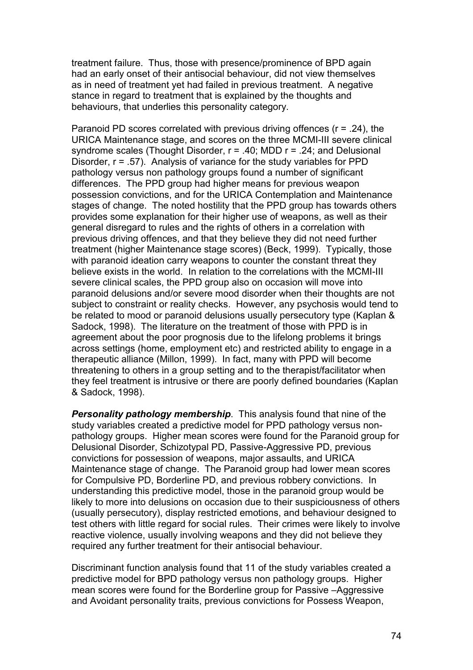treatment failure. Thus, those with presence/prominence of BPD again had an early onset of their antisocial behaviour, did not view themselves as in need of treatment yet had failed in previous treatment. A negative stance in regard to treatment that is explained by the thoughts and behaviours, that underlies this personality category.

Paranoid PD scores correlated with previous driving offences (r = .24), the URICA Maintenance stage, and scores on the three MCMI-III severe clinical syndrome scales (Thought Disorder,  $r = .40$ ; MDD  $r = .24$ ; and Delusional Disorder, r = .57). Analysis of variance for the study variables for PPD pathology versus non pathology groups found a number of significant differences. The PPD group had higher means for previous weapon possession convictions, and for the URICA Contemplation and Maintenance stages of change. The noted hostility that the PPD group has towards others provides some explanation for their higher use of weapons, as well as their general disregard to rules and the rights of others in a correlation with previous driving offences, and that they believe they did not need further treatment (higher Maintenance stage scores) (Beck, 1999). Typically, those with paranoid ideation carry weapons to counter the constant threat they believe exists in the world. In relation to the correlations with the MCMI-III severe clinical scales, the PPD group also on occasion will move into paranoid delusions and/or severe mood disorder when their thoughts are not subject to constraint or reality checks. However, any psychosis would tend to be related to mood or paranoid delusions usually persecutory type (Kaplan & Sadock, 1998). The literature on the treatment of those with PPD is in agreement about the poor prognosis due to the lifelong problems it brings across settings (home, employment etc) and restricted ability to engage in a therapeutic alliance (Millon, 1999). In fact, many with PPD will become threatening to others in a group setting and to the therapist/facilitator when they feel treatment is intrusive or there are poorly defined boundaries (Kaplan & Sadock, 1998).

*Personality pathology membership*. This analysis found that nine of the study variables created a predictive model for PPD pathology versus nonpathology groups. Higher mean scores were found for the Paranoid group for Delusional Disorder, Schizotypal PD, Passive-Aggressive PD, previous convictions for possession of weapons, major assaults, and URICA Maintenance stage of change. The Paranoid group had lower mean scores for Compulsive PD, Borderline PD, and previous robbery convictions. In understanding this predictive model, those in the paranoid group would be likely to more into delusions on occasion due to their suspiciousness of others (usually persecutory), display restricted emotions, and behaviour designed to test others with little regard for social rules. Their crimes were likely to involve reactive violence, usually involving weapons and they did not believe they required any further treatment for their antisocial behaviour.

Discriminant function analysis found that 11 of the study variables created a predictive model for BPD pathology versus non pathology groups. Higher mean scores were found for the Borderline group for Passive –Aggressive and Avoidant personality traits, previous convictions for Possess Weapon,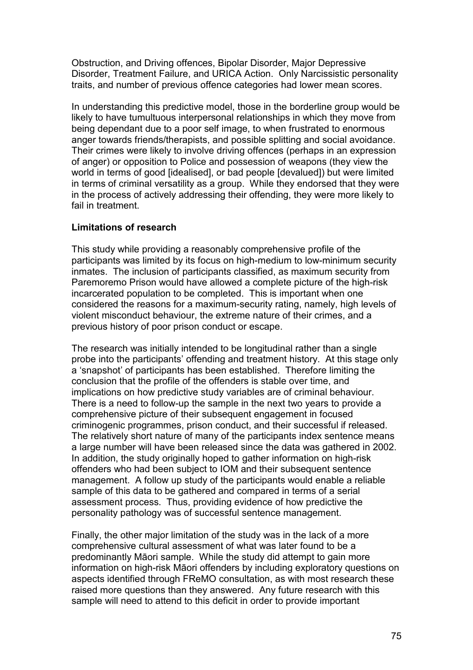Obstruction, and Driving offences, Bipolar Disorder, Major Depressive Disorder, Treatment Failure, and URICA Action. Only Narcissistic personality traits, and number of previous offence categories had lower mean scores.

In understanding this predictive model, those in the borderline group would be likely to have tumultuous interpersonal relationships in which they move from being dependant due to a poor self image, to when frustrated to enormous anger towards friends/therapists, and possible splitting and social avoidance. Their crimes were likely to involve driving offences (perhaps in an expression of anger) or opposition to Police and possession of weapons (they view the world in terms of good [idealised], or bad people [devalued]) but were limited in terms of criminal versatility as a group. While they endorsed that they were in the process of actively addressing their offending, they were more likely to fail in treatment.

### **Limitations of research**

This study while providing a reasonably comprehensive profile of the participants was limited by its focus on high-medium to low-minimum security inmates. The inclusion of participants classified, as maximum security from Paremoremo Prison would have allowed a complete picture of the high-risk incarcerated population to be completed. This is important when one considered the reasons for a maximum-security rating, namely, high levels of violent misconduct behaviour, the extreme nature of their crimes, and a previous history of poor prison conduct or escape.

The research was initially intended to be longitudinal rather than a single probe into the participants' offending and treatment history. At this stage only a 'snapshot' of participants has been established. Therefore limiting the conclusion that the profile of the offenders is stable over time, and implications on how predictive study variables are of criminal behaviour. There is a need to follow-up the sample in the next two years to provide a comprehensive picture of their subsequent engagement in focused criminogenic programmes, prison conduct, and their successful if released. The relatively short nature of many of the participants index sentence means a large number will have been released since the data was gathered in 2002. In addition, the study originally hoped to gather information on high-risk offenders who had been subject to IOM and their subsequent sentence management. A follow up study of the participants would enable a reliable sample of this data to be gathered and compared in terms of a serial assessment process. Thus, providing evidence of how predictive the personality pathology was of successful sentence management.

Finally, the other major limitation of the study was in the lack of a more comprehensive cultural assessment of what was later found to be a predominantly Māori sample. While the study did attempt to gain more information on high-risk Māori offenders by including exploratory questions on aspects identified through FReMO consultation, as with most research these raised more questions than they answered. Any future research with this sample will need to attend to this deficit in order to provide important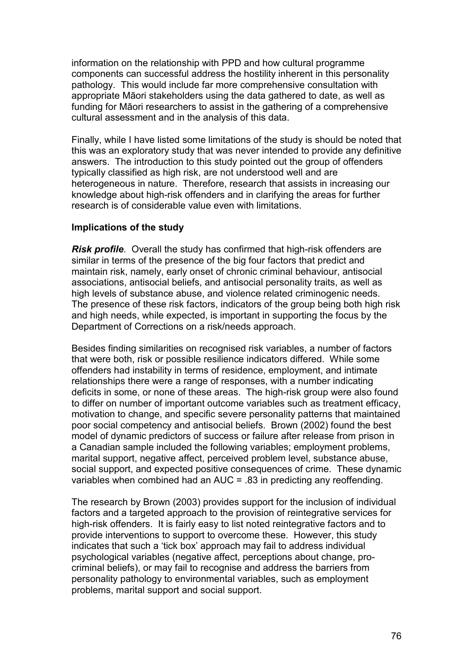information on the relationship with PPD and how cultural programme components can successful address the hostility inherent in this personality pathology. This would include far more comprehensive consultation with appropriate Māori stakeholders using the data gathered to date, as well as funding for Māori researchers to assist in the gathering of a comprehensive cultural assessment and in the analysis of this data.

Finally, while I have listed some limitations of the study is should be noted that this was an exploratory study that was never intended to provide any definitive answers. The introduction to this study pointed out the group of offenders typically classified as high risk, are not understood well and are heterogeneous in nature. Therefore, research that assists in increasing our knowledge about high-risk offenders and in clarifying the areas for further research is of considerable value even with limitations.

#### **Implications of the study**

*Risk profile*. Overall the study has confirmed that high-risk offenders are similar in terms of the presence of the big four factors that predict and maintain risk, namely, early onset of chronic criminal behaviour, antisocial associations, antisocial beliefs, and antisocial personality traits, as well as high levels of substance abuse, and violence related criminogenic needs. The presence of these risk factors, indicators of the group being both high risk and high needs, while expected, is important in supporting the focus by the Department of Corrections on a risk/needs approach.

Besides finding similarities on recognised risk variables, a number of factors that were both, risk or possible resilience indicators differed. While some offenders had instability in terms of residence, employment, and intimate relationships there were a range of responses, with a number indicating deficits in some, or none of these areas. The high-risk group were also found to differ on number of important outcome variables such as treatment efficacy, motivation to change, and specific severe personality patterns that maintained poor social competency and antisocial beliefs. Brown (2002) found the best model of dynamic predictors of success or failure after release from prison in a Canadian sample included the following variables; employment problems, marital support, negative affect, perceived problem level, substance abuse, social support, and expected positive consequences of crime. These dynamic variables when combined had an AUC = .83 in predicting any reoffending.

The research by Brown (2003) provides support for the inclusion of individual factors and a targeted approach to the provision of reintegrative services for high-risk offenders. It is fairly easy to list noted reintegrative factors and to provide interventions to support to overcome these. However, this study indicates that such a 'tick box' approach may fail to address individual psychological variables (negative affect, perceptions about change, procriminal beliefs), or may fail to recognise and address the barriers from personality pathology to environmental variables, such as employment problems, marital support and social support.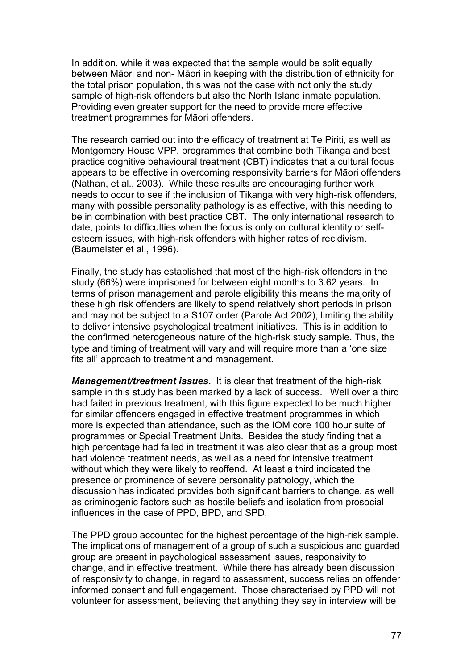In addition, while it was expected that the sample would be split equally between Māori and non- Māori in keeping with the distribution of ethnicity for the total prison population, this was not the case with not only the study sample of high-risk offenders but also the North Island inmate population. Providing even greater support for the need to provide more effective treatment programmes for Māori offenders.

The research carried out into the efficacy of treatment at Te Piriti, as well as Montgomery House VPP, programmes that combine both Tikanga and best practice cognitive behavioural treatment (CBT) indicates that a cultural focus appears to be effective in overcoming responsivity barriers for Māori offenders (Nathan, et al., 2003). While these results are encouraging further work needs to occur to see if the inclusion of Tikanga with very high-risk offenders, many with possible personality pathology is as effective, with this needing to be in combination with best practice CBT. The only international research to date, points to difficulties when the focus is only on cultural identity or selfesteem issues, with high-risk offenders with higher rates of recidivism. (Baumeister et al., 1996).

Finally, the study has established that most of the high-risk offenders in the study (66%) were imprisoned for between eight months to 3.62 years. In terms of prison management and parole eligibility this means the majority of these high risk offenders are likely to spend relatively short periods in prison and may not be subject to a S107 order (Parole Act 2002), limiting the ability to deliver intensive psychological treatment initiatives. This is in addition to the confirmed heterogeneous nature of the high-risk study sample. Thus, the type and timing of treatment will vary and will require more than a 'one size fits all' approach to treatment and management.

*Management/treatment issues***.** It is clear that treatment of the high-risk sample in this study has been marked by a lack of success. Well over a third had failed in previous treatment, with this figure expected to be much higher for similar offenders engaged in effective treatment programmes in which more is expected than attendance, such as the IOM core 100 hour suite of programmes or Special Treatment Units. Besides the study finding that a high percentage had failed in treatment it was also clear that as a group most had violence treatment needs, as well as a need for intensive treatment without which they were likely to reoffend. At least a third indicated the presence or prominence of severe personality pathology, which the discussion has indicated provides both significant barriers to change, as well as criminogenic factors such as hostile beliefs and isolation from prosocial influences in the case of PPD, BPD, and SPD.

The PPD group accounted for the highest percentage of the high-risk sample. The implications of management of a group of such a suspicious and guarded group are present in psychological assessment issues, responsivity to change, and in effective treatment. While there has already been discussion of responsivity to change, in regard to assessment, success relies on offender informed consent and full engagement. Those characterised by PPD will not volunteer for assessment, believing that anything they say in interview will be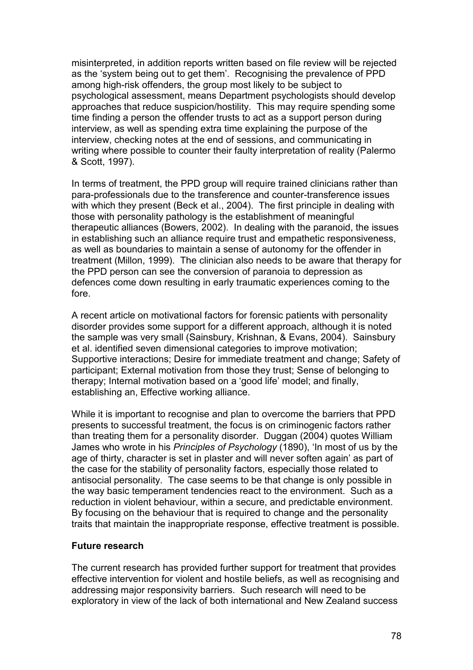misinterpreted, in addition reports written based on file review will be rejected as the 'system being out to get them'. Recognising the prevalence of PPD among high-risk offenders, the group most likely to be subject to psychological assessment, means Department psychologists should develop approaches that reduce suspicion/hostility. This may require spending some time finding a person the offender trusts to act as a support person during interview, as well as spending extra time explaining the purpose of the interview, checking notes at the end of sessions, and communicating in writing where possible to counter their faulty interpretation of reality (Palermo & Scott, 1997).

In terms of treatment, the PPD group will require trained clinicians rather than para-professionals due to the transference and counter-transference issues with which they present (Beck et al., 2004). The first principle in dealing with those with personality pathology is the establishment of meaningful therapeutic alliances (Bowers, 2002). In dealing with the paranoid, the issues in establishing such an alliance require trust and empathetic responsiveness, as well as boundaries to maintain a sense of autonomy for the offender in treatment (Millon, 1999). The clinician also needs to be aware that therapy for the PPD person can see the conversion of paranoia to depression as defences come down resulting in early traumatic experiences coming to the fore.

A recent article on motivational factors for forensic patients with personality disorder provides some support for a different approach, although it is noted the sample was very small (Sainsbury, Krishnan, & Evans, 2004). Sainsbury et al. identified seven dimensional categories to improve motivation; Supportive interactions; Desire for immediate treatment and change; Safety of participant; External motivation from those they trust; Sense of belonging to therapy; Internal motivation based on a 'good life' model; and finally, establishing an, Effective working alliance.

While it is important to recognise and plan to overcome the barriers that PPD presents to successful treatment, the focus is on criminogenic factors rather than treating them for a personality disorder. Duggan (2004) quotes William James who wrote in his *Principles of Psychology* (1890), 'In most of us by the age of thirty, character is set in plaster and will never soften again' as part of the case for the stability of personality factors, especially those related to antisocial personality. The case seems to be that change is only possible in the way basic temperament tendencies react to the environment. Such as a reduction in violent behaviour, within a secure, and predictable environment. By focusing on the behaviour that is required to change and the personality traits that maintain the inappropriate response, effective treatment is possible.

#### **Future research**

The current research has provided further support for treatment that provides effective intervention for violent and hostile beliefs, as well as recognising and addressing major responsivity barriers. Such research will need to be exploratory in view of the lack of both international and New Zealand success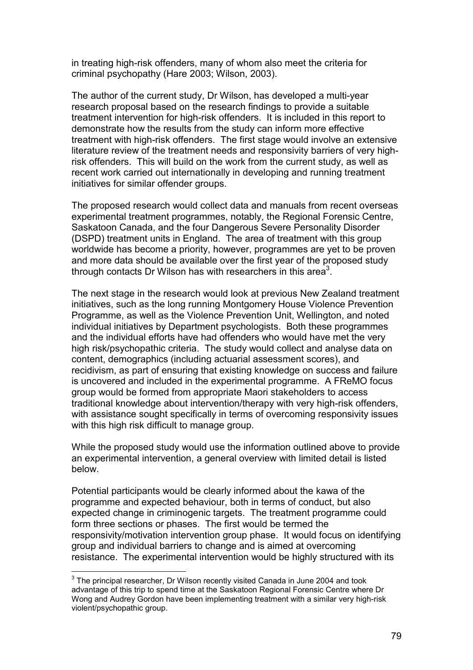in treating high-risk offenders, many of whom also meet the criteria for criminal psychopathy (Hare 2003; Wilson, 2003).

The author of the current study, Dr Wilson, has developed a multi-year research proposal based on the research findings to provide a suitable treatment intervention for high-risk offenders. It is included in this report to demonstrate how the results from the study can inform more effective treatment with high-risk offenders. The first stage would involve an extensive literature review of the treatment needs and responsivity barriers of very highrisk offenders. This will build on the work from the current study, as well as recent work carried out internationally in developing and running treatment initiatives for similar offender groups.

The proposed research would collect data and manuals from recent overseas experimental treatment programmes, notably, the Regional Forensic Centre, Saskatoon Canada, and the four Dangerous Severe Personality Disorder (DSPD) treatment units in England. The area of treatment with this group worldwide has become a priority, however, programmes are yet to be proven and more data should be available over the first year of the proposed study through contacts Dr Wilson has with researchers in this area<sup>3</sup>.

The next stage in the research would look at previous New Zealand treatment initiatives, such as the long running Montgomery House Violence Prevention Programme, as well as the Violence Prevention Unit, Wellington, and noted individual initiatives by Department psychologists. Both these programmes and the individual efforts have had offenders who would have met the very high risk/psychopathic criteria. The study would collect and analyse data on content, demographics (including actuarial assessment scores), and recidivism, as part of ensuring that existing knowledge on success and failure is uncovered and included in the experimental programme. A FReMO focus group would be formed from appropriate Maori stakeholders to access traditional knowledge about intervention/therapy with very high-risk offenders, with assistance sought specifically in terms of overcoming responsivity issues with this high risk difficult to manage group.

While the proposed study would use the information outlined above to provide an experimental intervention, a general overview with limited detail is listed below.

Potential participants would be clearly informed about the kawa of the programme and expected behaviour, both in terms of conduct, but also expected change in criminogenic targets. The treatment programme could form three sections or phases. The first would be termed the responsivity/motivation intervention group phase. It would focus on identifying group and individual barriers to change and is aimed at overcoming resistance. The experimental intervention would be highly structured with its

 3 The principal researcher, Dr Wilson recently visited Canada in June 2004 and took advantage of this trip to spend time at the Saskatoon Regional Forensic Centre where Dr Wong and Audrey Gordon have been implementing treatment with a similar very high-risk violent/psychopathic group.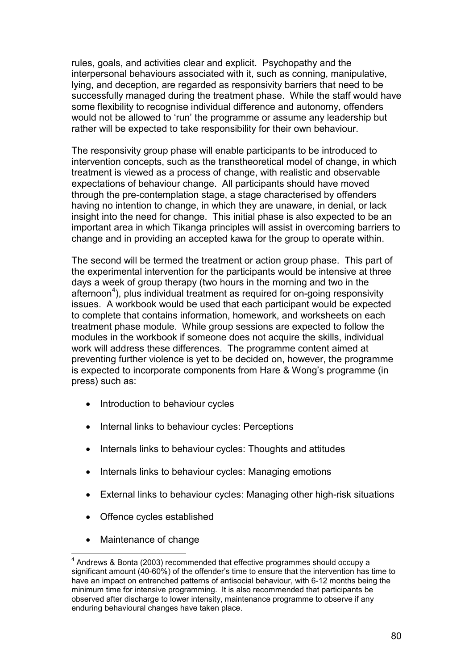rules, goals, and activities clear and explicit. Psychopathy and the interpersonal behaviours associated with it, such as conning, manipulative, lying, and deception, are regarded as responsivity barriers that need to be successfully managed during the treatment phase. While the staff would have some flexibility to recognise individual difference and autonomy, offenders would not be allowed to 'run' the programme or assume any leadership but rather will be expected to take responsibility for their own behaviour.

The responsivity group phase will enable participants to be introduced to intervention concepts, such as the transtheoretical model of change, in which treatment is viewed as a process of change, with realistic and observable expectations of behaviour change. All participants should have moved through the pre-contemplation stage, a stage characterised by offenders having no intention to change, in which they are unaware, in denial, or lack insight into the need for change. This initial phase is also expected to be an important area in which Tikanga principles will assist in overcoming barriers to change and in providing an accepted kawa for the group to operate within.

The second will be termed the treatment or action group phase. This part of the experimental intervention for the participants would be intensive at three days a week of group therapy (two hours in the morning and two in the afternoon<sup>4</sup>), plus individual treatment as required for on-going responsivity issues. A workbook would be used that each participant would be expected to complete that contains information, homework, and worksheets on each treatment phase module. While group sessions are expected to follow the modules in the workbook if someone does not acquire the skills, individual work will address these differences. The programme content aimed at preventing further violence is yet to be decided on, however, the programme is expected to incorporate components from Hare & Wong's programme (in press) such as:

- Introduction to behaviour cycles
- Internal links to behaviour cycles: Perceptions
- Internals links to behaviour cycles: Thoughts and attitudes
- Internals links to behaviour cycles: Managing emotions
- External links to behaviour cycles: Managing other high-risk situations
- Offence cycles established
- Maintenance of change

 $\overline{a}$ 

 $4$  Andrews & Bonta (2003) recommended that effective programmes should occupy a significant amount (40-60%) of the offender's time to ensure that the intervention has time to have an impact on entrenched patterns of antisocial behaviour, with 6-12 months being the minimum time for intensive programming. It is also recommended that participants be observed after discharge to lower intensity, maintenance programme to observe if any enduring behavioural changes have taken place.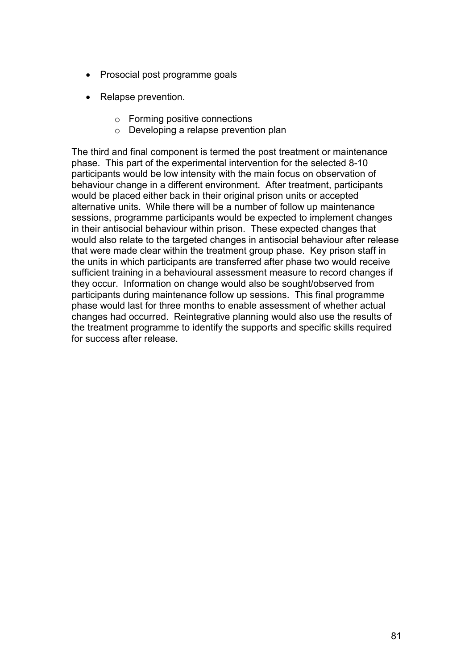- Prosocial post programme goals
- Relapse prevention.
	- o Forming positive connections
	- o Developing a relapse prevention plan

The third and final component is termed the post treatment or maintenance phase. This part of the experimental intervention for the selected 8-10 participants would be low intensity with the main focus on observation of behaviour change in a different environment. After treatment, participants would be placed either back in their original prison units or accepted alternative units. While there will be a number of follow up maintenance sessions, programme participants would be expected to implement changes in their antisocial behaviour within prison. These expected changes that would also relate to the targeted changes in antisocial behaviour after release that were made clear within the treatment group phase. Key prison staff in the units in which participants are transferred after phase two would receive sufficient training in a behavioural assessment measure to record changes if they occur. Information on change would also be sought/observed from participants during maintenance follow up sessions. This final programme phase would last for three months to enable assessment of whether actual changes had occurred. Reintegrative planning would also use the results of the treatment programme to identify the supports and specific skills required for success after release.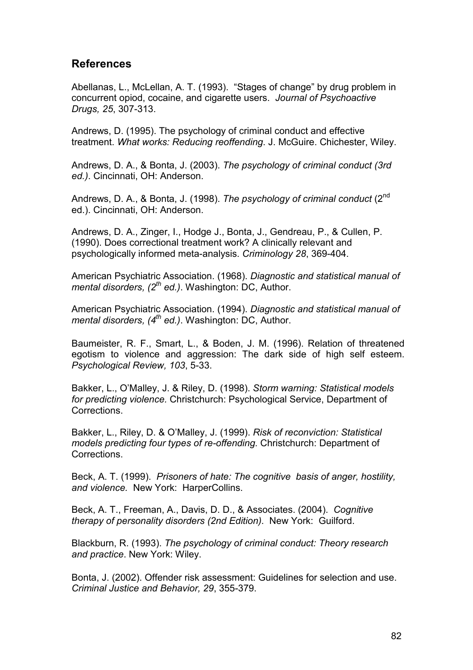# **References**

Abellanas, L., McLellan, A. T. (1993). "Stages of change" by drug problem in concurrent opiod, cocaine, and cigarette users. *Journal of Psychoactive Drugs, 25*, 307-313.

Andrews, D. (1995). The psychology of criminal conduct and effective treatment. *What works: Reducing reoffending*. J. McGuire. Chichester, Wiley.

Andrews, D. A., & Bonta, J. (2003). *The psychology of criminal conduct (3rd ed.)*. Cincinnati, OH: Anderson.

Andrews, D. A., & Bonta, J. (1998). *The psychology of criminal conduct* (2nd ed.). Cincinnati, OH: Anderson.

Andrews, D. A., Zinger, I., Hodge J., Bonta, J., Gendreau, P., & Cullen, P. (1990). Does correctional treatment work? A clinically relevant and psychologically informed meta-analysis. *Criminology 28*, 369-404.

American Psychiatric Association. (1968). *Diagnostic and statistical manual of mental disorders, (2th ed.)*. Washington: DC, Author.

American Psychiatric Association. (1994). *Diagnostic and statistical manual of mental disorders, (4th ed.)*. Washington: DC, Author.

Baumeister, R. F., Smart, L., & Boden, J. M. (1996). Relation of threatened egotism to violence and aggression: The dark side of high self esteem. *Psychological Review, 103*, 5-33.

Bakker, L., O'Malley, J. & Riley, D. (1998). *Storm warning: Statistical models for predicting violence.* Christchurch: Psychological Service, Department of Corrections.

Bakker, L., Riley, D. & O'Malley, J. (1999). *Risk of reconviction: Statistical models predicting four types of re-offending.* Christchurch: Department of Corrections.

Beck, A. T. (1999). *Prisoners of hate: The cognitive basis of anger, hostility, and violence.* New York: HarperCollins.

Beck, A. T., Freeman, A., Davis, D. D., & Associates. (2004). *Cognitive therapy of personality disorders (2nd Edition)*. New York: Guilford.

Blackburn, R. (1993). *The psychology of criminal conduct: Theory research and practice*. New York: Wiley.

Bonta, J. (2002). Offender risk assessment: Guidelines for selection and use. *Criminal Justice and Behavior, 29*, 355-379.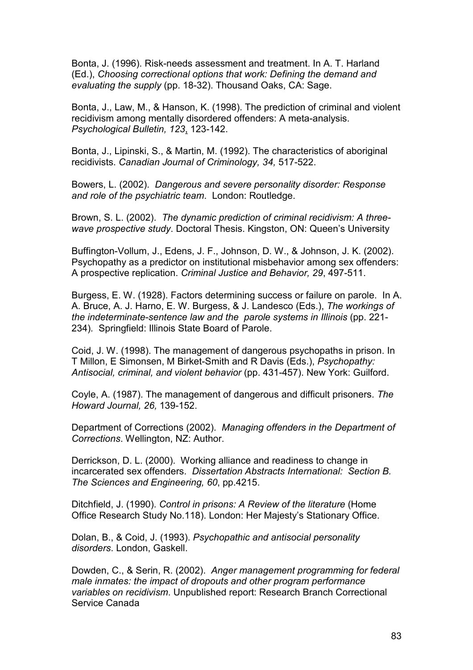Bonta, J. (1996). Risk-needs assessment and treatment. In A. T. Harland (Ed.), *Choosing correctional options that work: Defining the demand and evaluating the supply* (pp. 18-32). Thousand Oaks, CA: Sage.

Bonta, J., Law, M., & Hanson, K. (1998). The prediction of criminal and violent recidivism among mentally disordered offenders: A meta-analysis. *Psychological Bulletin, 123*, 123-142.

Bonta, J., Lipinski, S., & Martin, M. (1992). The characteristics of aboriginal recidivists. *Canadian Journal of Criminology, 34,* 517-522.

Bowers, L. (2002). *Dangerous and severe personality disorder: Response and role of the psychiatric team*. London: Routledge.

Brown, S. L. (2002). *The dynamic prediction of criminal recidivism: A threewave prospective study*. Doctoral Thesis. Kingston, ON: Queen's University

Buffington-Vollum, J., Edens, J. F., Johnson, D. W., & Johnson, J. K. (2002). Psychopathy as a predictor on institutional misbehavior among sex offenders: A prospective replication. *Criminal Justice and Behavior, 29*, 497-511.

Burgess, E. W. (1928). Factors determining success or failure on parole. In A. A. Bruce, A. J. Harno, E. W. Burgess, & J. Landesco (Eds.), *The workings of the indeterminate-sentence law and the parole systems in Illinois* (pp. 221- 234)*.* Springfield: Illinois State Board of Parole.

Coid, J. W. (1998). The management of dangerous psychopaths in prison. In T Millon, E Simonsen, M Birket-Smith and R Davis (Eds.), *Psychopathy: Antisocial, criminal, and violent behavior* (pp. 431-457). New York: Guilford.

Coyle, A. (1987). The management of dangerous and difficult prisoners. *The Howard Journal, 26,* 139-152.

Department of Corrections (2002). *Managing offenders in the Department of Corrections*. Wellington, NZ: Author.

Derrickson, D. L. (2000). Working alliance and readiness to change in incarcerated sex offenders. *Dissertation Abstracts International: Section B. The Sciences and Engineering, 60*, pp.4215.

Ditchfield, J. (1990). *Control in prisons: A Review of the literature* (Home Office Research Study No.118). London: Her Majesty's Stationary Office.

Dolan, B., & Coid, J. (1993). *Psychopathic and antisocial personality disorders*. London, Gaskell.

Dowden, C., & Serin, R. (2002). *Anger management programming for federal male inmates: the impact of dropouts and other program performance variables on recidivism*. Unpublished report: Research Branch Correctional Service Canada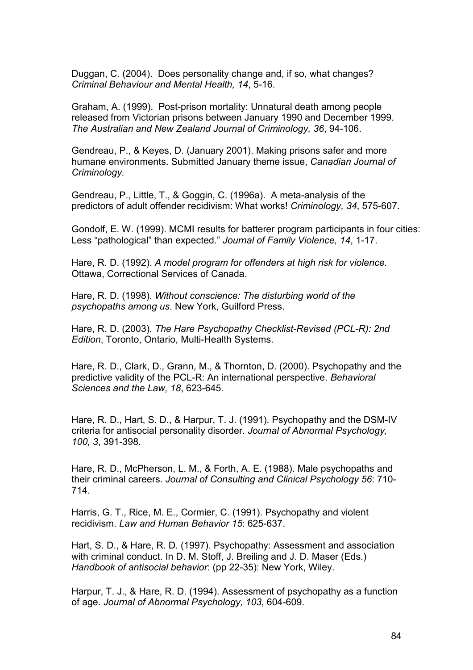Duggan, C. (2004). Does personality change and, if so, what changes? *Criminal Behaviour and Mental Health, 14*, 5-16.

Graham, A. (1999). Post-prison mortality: Unnatural death among people released from Victorian prisons between January 1990 and December 1999. *The Australian and New Zealand Journal of Criminology, 36*, 94-106.

Gendreau, P., & Keyes, D. (January 2001). Making prisons safer and more humane environments. Submitted January theme issue, *Canadian Journal of Criminology.* 

Gendreau, P., Little, T., & Goggin, C. (1996a). A meta-analysis of the predictors of adult offender recidivism: What works! *Criminology, 34*, 575-607.

Gondolf, E. W. (1999). MCMI results for batterer program participants in four cities: Less "pathological" than expected." *Journal of Family Violence, 14*, 1-17.

Hare, R. D. (1992). *A model program for offenders at high risk for violence.* Ottawa, Correctional Services of Canada.

Hare, R. D. (1998). *Without conscience: The disturbing world of the psychopaths among us*. New York, Guilford Press.

Hare, R. D. (2003). *The Hare Psychopathy Checklist-Revised (PCL-R): 2nd Edition*, Toronto, Ontario, Multi-Health Systems.

Hare, R. D., Clark, D., Grann, M., & Thornton, D. (2000). Psychopathy and the predictive validity of the PCL-R: An international perspective. *Behavioral Sciences and the Law, 18*, 623-645.

Hare, R. D., Hart, S. D., & Harpur, T. J. (1991). Psychopathy and the DSM-IV criteria for antisocial personality disorder. *Journal of Abnormal Psychology, 100, 3*, 391-398.

Hare, R. D., McPherson, L. M., & Forth, A. E. (1988). Male psychopaths and their criminal careers. *Journal of Consulting and Clinical Psychology 56*: 710- 714.

Harris, G. T., Rice, M. E., Cormier, C. (1991). Psychopathy and violent recidivism. *Law and Human Behavior 15*: 625-637.

Hart, S. D., & Hare, R. D. (1997). Psychopathy: Assessment and association with criminal conduct. In D. M. Stoff, J. Breiling and J. D. Maser (Eds.) *Handbook of antisocial behavior*: (pp 22-35): New York, Wiley.

Harpur, T. J., & Hare, R. D. (1994). Assessment of psychopathy as a function of age. *Journal of Abnormal Psychology, 103*, 604-609.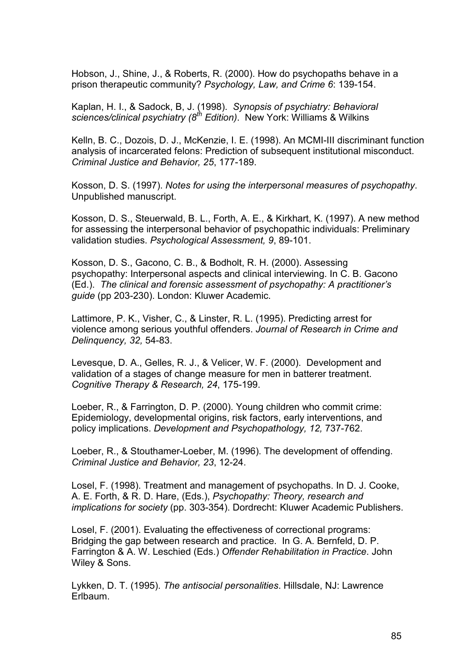Hobson, J., Shine, J., & Roberts, R. (2000). How do psychopaths behave in a prison therapeutic community? *Psychology, Law, and Crime 6*: 139-154.

Kaplan, H. I., & Sadock, B, J. (1998). *Synopsis of psychiatry: Behavioral sciences/clinical psychiatry (8th Edition)*. New York: Williams & Wilkins

Kelln, B. C., Dozois, D. J., McKenzie, I. E. (1998). An MCMI-III discriminant function analysis of incarcerated felons: Prediction of subsequent institutional misconduct. *Criminal Justice and Behavior, 25*, 177-189.

Kosson, D. S. (1997). *Notes for using the interpersonal measures of psychopathy*. Unpublished manuscript.

Kosson, D. S., Steuerwald, B. L., Forth, A. E., & Kirkhart, K. (1997). A new method for assessing the interpersonal behavior of psychopathic individuals: Preliminary validation studies. *Psychological Assessment, 9*, 89-101.

Kosson, D. S., Gacono, C. B., & Bodholt, R. H. (2000). Assessing psychopathy: Interpersonal aspects and clinical interviewing. In C. B. Gacono (Ed.). *The clinical and forensic assessment of psychopathy: A practitioner's guide* (pp 203-230). London: Kluwer Academic.

Lattimore, P. K., Visher, C., & Linster, R. L. (1995). Predicting arrest for violence among serious youthful offenders. *Journal of Research in Crime and Delinquency, 32,* 54-83.

Levesque, D. A., Gelles, R. J., & Velicer, W. F. (2000). Development and validation of a stages of change measure for men in batterer treatment. *Cognitive Therapy & Research, 24*, 175-199.

Loeber, R., & Farrington, D. P. (2000). Young children who commit crime: Epidemiology, developmental origins, risk factors, early interventions, and policy implications. *Development and Psychopathology, 12,* 737-762.

Loeber, R., & Stouthamer-Loeber, M. (1996). The development of offending. *Criminal Justice and Behavior, 23*, 12-24.

Losel, F. (1998). Treatment and management of psychopaths. In D. J. Cooke, A. E. Forth, & R. D. Hare, (Eds.), *Psychopathy: Theory, research and implications for society* (pp. 303-354). Dordrecht: Kluwer Academic Publishers.

Losel, F. (2001). Evaluating the effectiveness of correctional programs: Bridging the gap between research and practice. In G. A. Bernfeld, D. P. Farrington & A. W. Leschied (Eds.) *Offender Rehabilitation in Practice*. John Wiley & Sons.

Lykken, D. T. (1995). *The antisocial personalities*. Hillsdale, NJ: Lawrence Erlbaum.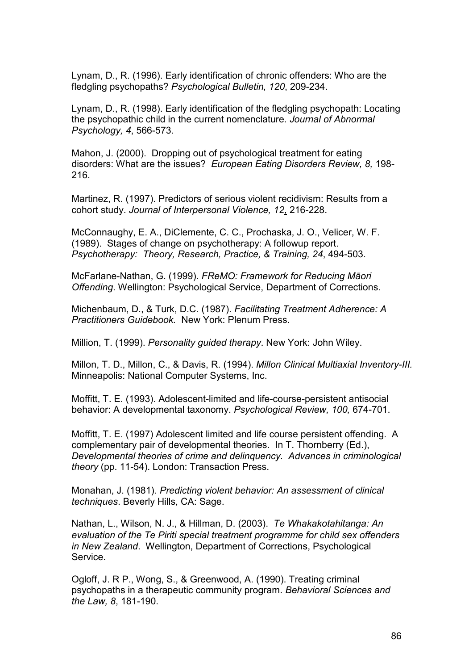Lynam, D., R. (1996). Early identification of chronic offenders: Who are the fledgling psychopaths? *Psychological Bulletin, 120*, 209-234.

Lynam, D., R. (1998). Early identification of the fledgling psychopath: Locating the psychopathic child in the current nomenclature. *Journal of Abnormal Psychology, 4*, 566-573.

Mahon, J. (2000). Dropping out of psychological treatment for eating disorders: What are the issues? *European Eating Disorders Review, 8,* 198- 216.

Martinez, R. (1997). Predictors of serious violent recidivism: Results from a cohort study. *Journal of Interpersonal Violence, 12*, 216-228.

McConnaughy, E. A., DiClemente, C. C., Prochaska, J. O., Velicer, W. F. (1989). Stages of change on psychotherapy: A followup report. *Psychotherapy: Theory, Research, Practice, & Training, 24*, 494-503.

McFarlane-Nathan, G. (1999). *FReMO: Framework for Reducing Māori Offending*. Wellington: Psychological Service, Department of Corrections.

Michenbaum, D., & Turk, D.C. (1987). *Facilitating Treatment Adherence: A Practitioners Guidebook.* New York: Plenum Press.

Million, T. (1999). *Personality guided therapy*. New York: John Wiley.

Millon, T. D., Millon, C., & Davis, R. (1994). *Millon Clinical Multiaxial Inventory-III.* Minneapolis: National Computer Systems, Inc.

Moffitt, T. E. (1993). Adolescent-limited and life-course-persistent antisocial behavior: A developmental taxonomy. *Psychological Review, 100,* 674-701.

Moffitt, T. E. (1997) Adolescent limited and life course persistent offending. A complementary pair of developmental theories. In T. Thornberry (Ed.), *Developmental theories of crime and delinquency. Advances in criminological theory* (pp. 11-54). London: Transaction Press.

Monahan, J. (1981). *Predicting violent behavior: An assessment of clinical techniques*. Beverly Hills, CA: Sage.

Nathan, L., Wilson, N. J., & Hillman, D. (2003). *Te Whakakotahitanga: An evaluation of the Te Piriti special treatment programme for child sex offenders in New Zealand*. Wellington, Department of Corrections, Psychological Service.

Ogloff, J. R P., Wong, S., & Greenwood, A. (1990). Treating criminal psychopaths in a therapeutic community program. *Behavioral Sciences and the Law, 8*, 181-190.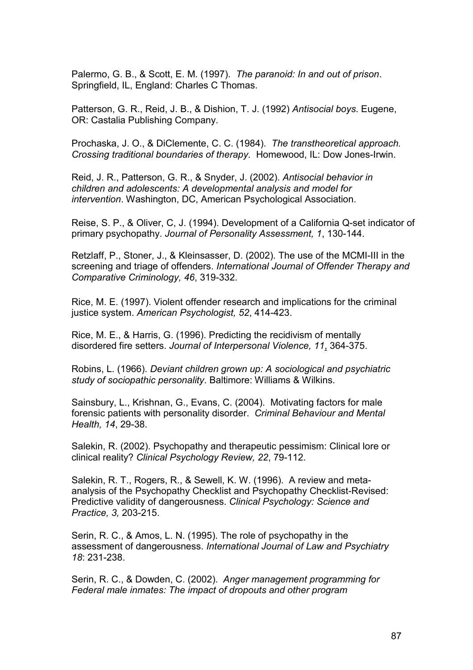Palermo, G. B., & Scott, E. M. (1997). *The paranoid: In and out of prison*. Springfield, IL, England: Charles C Thomas.

Patterson, G. R., Reid, J. B., & Dishion, T. J. (1992) *Antisocial boys*. Eugene, OR: Castalia Publishing Company.

Prochaska, J. O., & DiClemente, C. C. (1984). *The transtheoretical approach. Crossing traditional boundaries of therapy.* Homewood, IL: Dow Jones-Irwin.

Reid, J. R., Patterson, G. R., & Snyder, J. (2002). *Antisocial behavior in children and adolescents: A developmental analysis and model for intervention*. Washington, DC, American Psychological Association.

Reise, S. P., & Oliver, C, J. (1994). Development of a California Q-set indicator of primary psychopathy. *Journal of Personality Assessment, 1*, 130-144.

Retzlaff, P., Stoner, J., & Kleinsasser, D. (2002). The use of the MCMI-III in the screening and triage of offenders. *International Journal of Offender Therapy and Comparative Criminology, 46*, 319-332.

Rice, M. E. (1997). Violent offender research and implications for the criminal justice system. *American Psychologist, 52*, 414-423.

Rice, M. E., & Harris, G. (1996). Predicting the recidivism of mentally disordered fire setters. *Journal of Interpersonal Violence, 11*, 364-375.

Robins, L. (1966). *Deviant children grown up: A sociological and psychiatric study of sociopathic personality*. Baltimore: Williams & Wilkins.

Sainsbury, L., Krishnan, G., Evans, C. (2004). Motivating factors for male forensic patients with personality disorder. *Criminal Behaviour and Mental Health, 14*, 29-38.

Salekin, R. (2002). Psychopathy and therapeutic pessimism: Clinical lore or clinical reality? *Clinical Psychology Review, 22*, 79-112.

Salekin, R. T., Rogers, R., & Sewell, K. W. (1996). A review and metaanalysis of the Psychopathy Checklist and Psychopathy Checklist-Revised: Predictive validity of dangerousness. *Clinical Psychology: Science and Practice, 3,* 203-215.

Serin, R. C., & Amos, L. N. (1995). The role of psychopathy in the assessment of dangerousness. *International Journal of Law and Psychiatry 18*: 231-238.

Serin, R. C., & Dowden, C. (2002). *Anger management programming for Federal male inmates: The impact of dropouts and other program*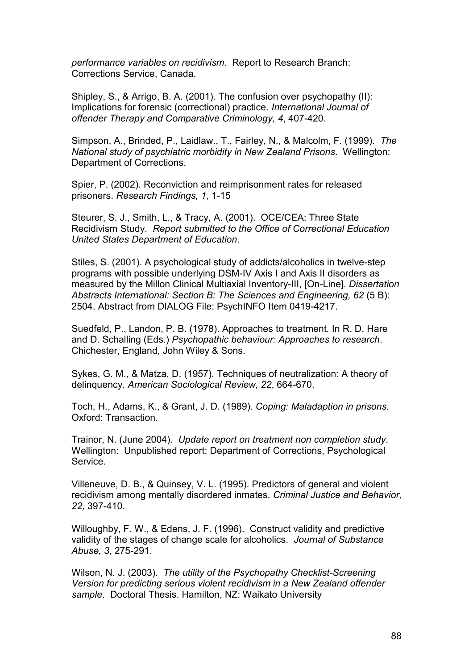*performance variables on recidivism*. Report to Research Branch: Corrections Service, Canada.

Shipley, S., & Arrigo, B. A. (2001). The confusion over psychopathy (II): Implications for forensic (correctional) practice. *International Journal of offender Therapy and Comparative Criminology, 4*, 407-420.

Simpson, A., Brinded, P., Laidlaw., T., Fairley, N., & Malcolm, F. (1999). *The National study of psychiatric morbidity in New Zealand Prisons*. Wellington: Department of Corrections.

Spier, P. (2002). Reconviction and reimprisonment rates for released prisoners. *Research Findings, 1,* 1-15

Steurer, S. J., Smith, L., & Tracy, A. (2001). OCE/CEA: Three State Recidivism Study. *Report submitted to the Office of Correctional Education United States Department of Education*.

Stiles, S. (2001). A psychological study of addicts/alcoholics in twelve-step programs with possible underlying DSM-IV Axis I and Axis II disorders as measured by the Millon Clinical Multiaxial Inventory-III, [On-Line]. *Dissertation Abstracts International: Section B: The Sciences and Engineering, 62* (5 B): 2504. Abstract from DIALOG File: PsychINFO Item 0419-4217.

Suedfeld, P., Landon, P. B. (1978). Approaches to treatment*.* In R. D. Hare and D. Schalling (Eds.) *Psychopathic behaviour: Approaches to research*. Chichester, England, John Wiley & Sons.

Sykes, G. M., & Matza, D. (1957). Techniques of neutralization: A theory of delinquency. *American Sociological Review, 22*, 664-670.

Toch, H., Adams, K., & Grant, J. D. (1989). *Coping: Maladaption in prisons.* Oxford: Transaction.

Trainor, N. (June 2004). *Update report on treatment non completion study*. Wellington: Unpublished report: Department of Corrections, Psychological Service.

Villeneuve, D. B., & Quinsey, V. L. (1995). Predictors of general and violent recidivism among mentally disordered inmates. *Criminal Justice and Behavior, 22,* 397-410.

Willoughby, F. W., & Edens, J. F. (1996). Construct validity and predictive validity of the stages of change scale for alcoholics. *Journal of Substance Abuse, 3*, 275-291.

Wilson, N. J. (2003). *The utility of the Psychopathy Checklist-Screening Version for predicting serious violent recidivism in a New Zealand offender sample*. Doctoral Thesis. Hamilton, NZ: Waikato University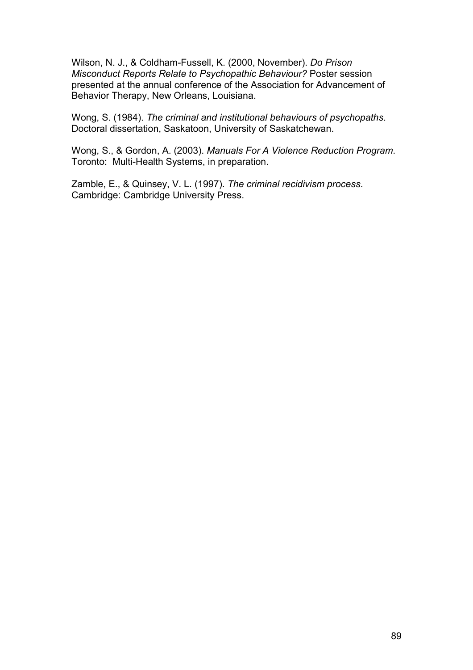Wilson, N. J., & Coldham-Fussell, K. (2000, November). *Do Prison Misconduct Reports Relate to Psychopathic Behaviour?* Poster session presented at the annual conference of the Association for Advancement of Behavior Therapy, New Orleans, Louisiana.

Wong, S. (1984). *The criminal and institutional behaviours of psychopaths*. Doctoral dissertation, Saskatoon, University of Saskatchewan.

Wong, S., & Gordon, A. (2003). *Manuals For A Violence Reduction Program*. Toronto: Multi-Health Systems, in preparation.

Zamble, E., & Quinsey, V. L. (1997). *The criminal recidivism process*. Cambridge: Cambridge University Press.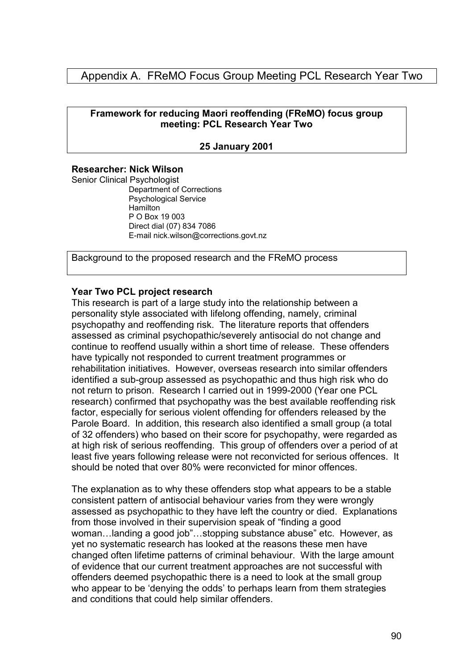# Appendix A. FReMO Focus Group Meeting PCL Research Year Two

## **Framework for reducing Maori reoffending (FReMO) focus group meeting: PCL Research Year Two**

#### **25 January 2001**

#### **Researcher: Nick Wilson**

Senior Clinical Psychologist Department of Corrections Psychological Service **Hamilton** P O Box 19 003 Direct dial (07) 834 7086 E-mail nick.wilson@corrections.govt.nz

Background to the proposed research and the FReMO process

#### **Year Two PCL project research**

This research is part of a large study into the relationship between a personality style associated with lifelong offending, namely, criminal psychopathy and reoffending risk. The literature reports that offenders assessed as criminal psychopathic/severely antisocial do not change and continue to reoffend usually within a short time of release. These offenders have typically not responded to current treatment programmes or rehabilitation initiatives. However, overseas research into similar offenders identified a sub-group assessed as psychopathic and thus high risk who do not return to prison. Research I carried out in 1999-2000 (Year one PCL research) confirmed that psychopathy was the best available reoffending risk factor, especially for serious violent offending for offenders released by the Parole Board. In addition, this research also identified a small group (a total of 32 offenders) who based on their score for psychopathy, were regarded as at high risk of serious reoffending. This group of offenders over a period of at least five years following release were not reconvicted for serious offences. It should be noted that over 80% were reconvicted for minor offences.

The explanation as to why these offenders stop what appears to be a stable consistent pattern of antisocial behaviour varies from they were wrongly assessed as psychopathic to they have left the country or died. Explanations from those involved in their supervision speak of "finding a good woman…landing a good job"…stopping substance abuse" etc. However, as yet no systematic research has looked at the reasons these men have changed often lifetime patterns of criminal behaviour. With the large amount of evidence that our current treatment approaches are not successful with offenders deemed psychopathic there is a need to look at the small group who appear to be 'denving the odds' to perhaps learn from them strategies and conditions that could help similar offenders.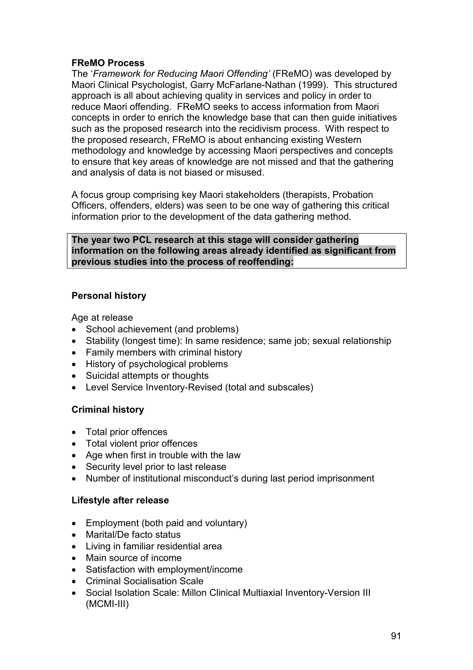# **FReMO Process**

The '*Framework for Reducing Maori Offending'* (FReMO) was developed by Maori Clinical Psychologist, Garry McFarlane-Nathan (1999). This structured approach is all about achieving quality in services and policy in order to reduce Maori offending. FReMO seeks to access information from Maori concepts in order to enrich the knowledge base that can then guide initiatives such as the proposed research into the recidivism process. With respect to the proposed research, FReMO is about enhancing existing Western methodology and knowledge by accessing Maori perspectives and concepts to ensure that key areas of knowledge are not missed and that the gathering and analysis of data is not biased or misused.

A focus group comprising key Maori stakeholders (therapists, Probation Officers, offenders, elders) was seen to be one way of gathering this critical information prior to the development of the data gathering method.

### **The year two PCL research at this stage will consider gathering information on the following areas already identified as significant from previous studies into the process of reoffending:**

# **Personal history**

Age at release

- School achievement (and problems)
- Stability (longest time): In same residence; same job; sexual relationship
- Family members with criminal history
- History of psychological problems
- Suicidal attempts or thoughts
- Level Service Inventory-Revised (total and subscales)

# **Criminal history**

- Total prior offences
- Total violent prior offences
- Age when first in trouble with the law
- Security level prior to last release
- Number of institutional misconduct's during last period imprisonment

## **Lifestyle after release**

- Employment (both paid and voluntary)
- Marital/De facto status
- Living in familiar residential area
- Main source of income
- Satisfaction with employment/income
- Criminal Socialisation Scale
- Social Isolation Scale: Millon Clinical Multiaxial Inventory-Version III (MCMI-III)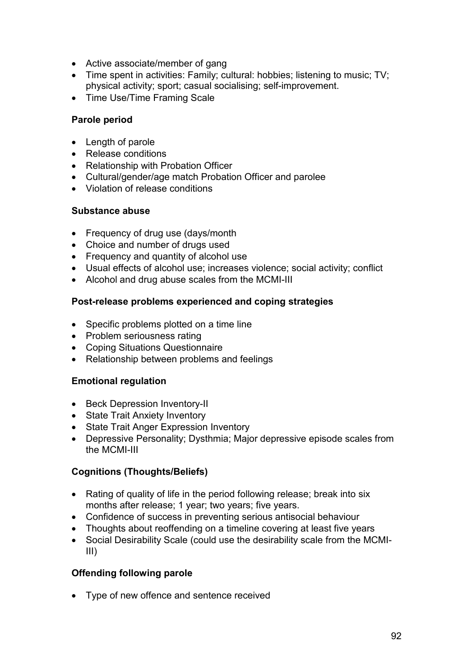- Active associate/member of gang
- Time spent in activities: Family; cultural: hobbies; listening to music; TV; physical activity; sport; casual socialising; self-improvement.
- Time Use/Time Framing Scale

## **Parole period**

- Length of parole
- Release conditions
- Relationship with Probation Officer
- Cultural/gender/age match Probation Officer and parolee
- Violation of release conditions

## **Substance abuse**

- Frequency of drug use (days/month
- Choice and number of drugs used
- Frequency and quantity of alcohol use
- Usual effects of alcohol use; increases violence; social activity; conflict
- Alcohol and drug abuse scales from the MCMI-III

# **Post-release problems experienced and coping strategies**

- Specific problems plotted on a time line
- Problem seriousness rating
- Coping Situations Questionnaire
- Relationship between problems and feelings

## **Emotional regulation**

- Beck Depression Inventory-II
- State Trait Anxiety Inventory
- State Trait Anger Expression Inventory
- Depressive Personality; Dysthmia; Major depressive episode scales from the MCMI-III

# **Cognitions (Thoughts/Beliefs)**

- Rating of quality of life in the period following release; break into six months after release; 1 year; two years; five years.
- Confidence of success in preventing serious antisocial behaviour
- Thoughts about reoffending on a timeline covering at least five years
- Social Desirability Scale (could use the desirability scale from the MCMI-III)

## **Offending following parole**

• Type of new offence and sentence received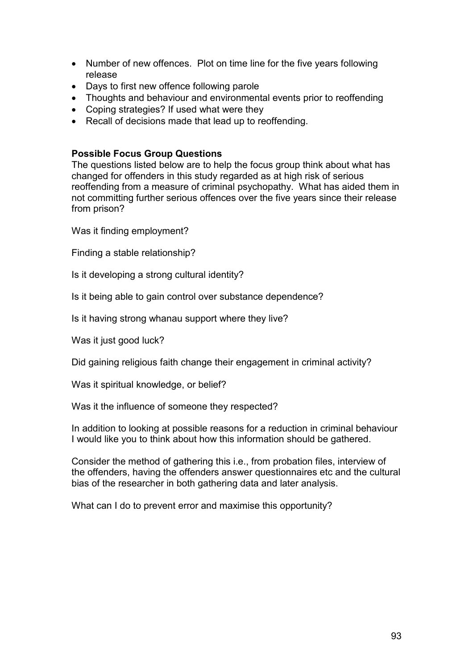- Number of new offences. Plot on time line for the five years following release
- Days to first new offence following parole
- Thoughts and behaviour and environmental events prior to reoffending
- Coping strategies? If used what were they
- Recall of decisions made that lead up to reoffending.

### **Possible Focus Group Questions**

The questions listed below are to help the focus group think about what has changed for offenders in this study regarded as at high risk of serious reoffending from a measure of criminal psychopathy. What has aided them in not committing further serious offences over the five years since their release from prison?

Was it finding employment?

Finding a stable relationship?

Is it developing a strong cultural identity?

Is it being able to gain control over substance dependence?

Is it having strong whanau support where they live?

Was it just good luck?

Did gaining religious faith change their engagement in criminal activity?

Was it spiritual knowledge, or belief?

Was it the influence of someone they respected?

In addition to looking at possible reasons for a reduction in criminal behaviour I would like you to think about how this information should be gathered.

Consider the method of gathering this i.e., from probation files, interview of the offenders, having the offenders answer questionnaires etc and the cultural bias of the researcher in both gathering data and later analysis.

What can I do to prevent error and maximise this opportunity?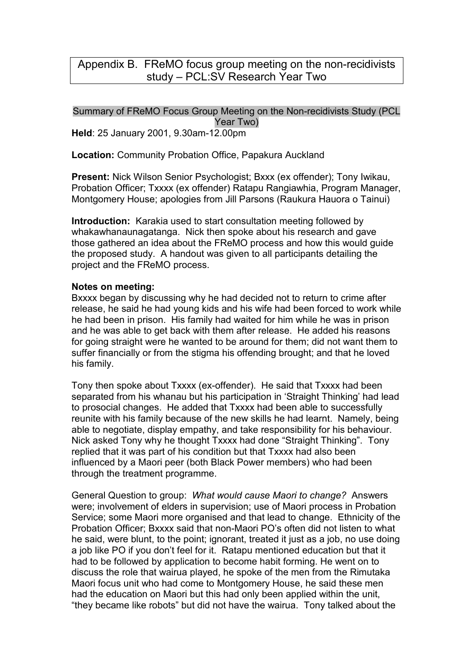# Appendix B. FReMO focus group meeting on the non-recidivists study – PCL:SV Research Year Two

## Summary of FReMO Focus Group Meeting on the Non-recidivists Study (PCL Year Two)

**Held**: 25 January 2001, 9.30am-12.00pm

**Location:** Community Probation Office, Papakura Auckland

**Present:** Nick Wilson Senior Psychologist; Bxxx (ex offender); Tony Iwikau, Probation Officer; Txxxx (ex offender) Ratapu Rangiawhia, Program Manager, Montgomery House; apologies from Jill Parsons (Raukura Hauora o Tainui)

**Introduction:** Karakia used to start consultation meeting followed by whakawhanaunagatanga. Nick then spoke about his research and gave those gathered an idea about the FReMO process and how this would guide the proposed study. A handout was given to all participants detailing the project and the FReMO process.

## **Notes on meeting:**

Bxxxx began by discussing why he had decided not to return to crime after release, he said he had young kids and his wife had been forced to work while he had been in prison. His family had waited for him while he was in prison and he was able to get back with them after release. He added his reasons for going straight were he wanted to be around for them; did not want them to suffer financially or from the stigma his offending brought; and that he loved his family.

Tony then spoke about Txxxx (ex-offender). He said that Txxxx had been separated from his whanau but his participation in 'Straight Thinking' had lead to prosocial changes. He added that Txxxx had been able to successfully reunite with his family because of the new skills he had learnt. Namely, being able to negotiate, display empathy, and take responsibility for his behaviour. Nick asked Tony why he thought Txxxx had done "Straight Thinking". Tony replied that it was part of his condition but that Txxxx had also been influenced by a Maori peer (both Black Power members) who had been through the treatment programme.

General Question to group: *What would cause Maori to change?* Answers were; involvement of elders in supervision; use of Maori process in Probation Service; some Maori more organised and that lead to change. Ethnicity of the Probation Officer; Bxxxx said that non-Maori PO's often did not listen to what he said, were blunt, to the point; ignorant, treated it just as a job, no use doing a job like PO if you don't feel for it. Ratapu mentioned education but that it had to be followed by application to become habit forming. He went on to discuss the role that wairua played, he spoke of the men from the Rimutaka Maori focus unit who had come to Montgomery House, he said these men had the education on Maori but this had only been applied within the unit, "they became like robots" but did not have the wairua. Tony talked about the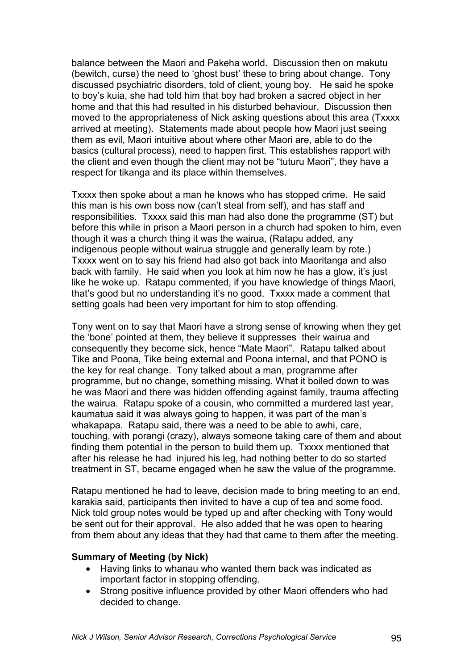balance between the Maori and Pakeha world. Discussion then on makutu (bewitch, curse) the need to 'ghost bust' these to bring about change. Tony discussed psychiatric disorders, told of client, young boy. He said he spoke to boy's kuia, she had told him that boy had broken a sacred object in her home and that this had resulted in his disturbed behaviour. Discussion then moved to the appropriateness of Nick asking questions about this area (Txxxx arrived at meeting). Statements made about people how Maori just seeing them as evil, Maori intuitive about where other Maori are, able to do the basics (cultural process), need to happen first. This establishes rapport with the client and even though the client may not be "tuturu Maori", they have a respect for tikanga and its place within themselves.

Txxxx then spoke about a man he knows who has stopped crime. He said this man is his own boss now (can't steal from self), and has staff and responsibilities. Txxxx said this man had also done the programme (ST) but before this while in prison a Maori person in a church had spoken to him, even though it was a church thing it was the wairua, (Ratapu added, any indigenous people without wairua struggle and generally learn by rote.) Txxxx went on to say his friend had also got back into Maoritanga and also back with family. He said when you look at him now he has a glow, it's just like he woke up. Ratapu commented, if you have knowledge of things Maori, that's good but no understanding it's no good. Txxxx made a comment that setting goals had been very important for him to stop offending.

Tony went on to say that Maori have a strong sense of knowing when they get the 'bone' pointed at them, they believe it suppresses their wairua and consequently they become sick, hence "Mate Maori". Ratapu talked about Tike and Poona, Tike being external and Poona internal, and that PONO is the key for real change. Tony talked about a man, programme after programme, but no change, something missing. What it boiled down to was he was Maori and there was hidden offending against family, trauma affecting the wairua. Ratapu spoke of a cousin, who committed a murdered last year, kaumatua said it was always going to happen, it was part of the man's whakapapa. Ratapu said, there was a need to be able to awhi, care, touching, with porangi (crazy), always someone taking care of them and about finding them potential in the person to build them up. Txxxx mentioned that after his release he had injured his leg, had nothing better to do so started treatment in ST, became engaged when he saw the value of the programme.

Ratapu mentioned he had to leave, decision made to bring meeting to an end, karakia said, participants then invited to have a cup of tea and some food. Nick told group notes would be typed up and after checking with Tony would be sent out for their approval. He also added that he was open to hearing from them about any ideas that they had that came to them after the meeting.

#### **Summary of Meeting (by Nick)**

- Having links to whanau who wanted them back was indicated as important factor in stopping offending.
- Strong positive influence provided by other Maori offenders who had decided to change.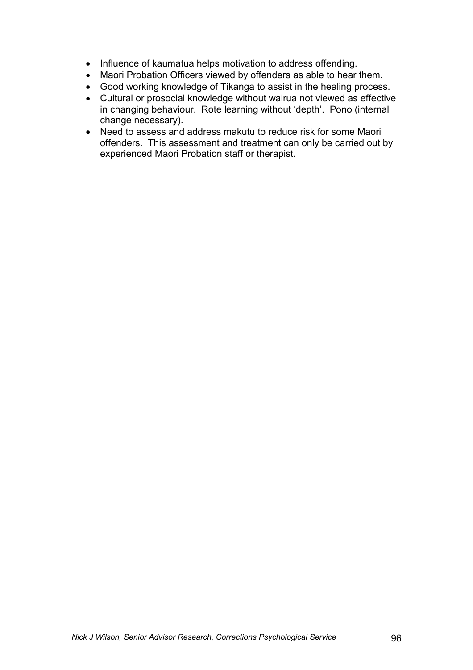- Influence of kaumatua helps motivation to address offending.
- Maori Probation Officers viewed by offenders as able to hear them.
- Good working knowledge of Tikanga to assist in the healing process.
- Cultural or prosocial knowledge without wairua not viewed as effective in changing behaviour. Rote learning without 'depth'. Pono (internal change necessary).
- Need to assess and address makutu to reduce risk for some Maori offenders. This assessment and treatment can only be carried out by experienced Maori Probation staff or therapist.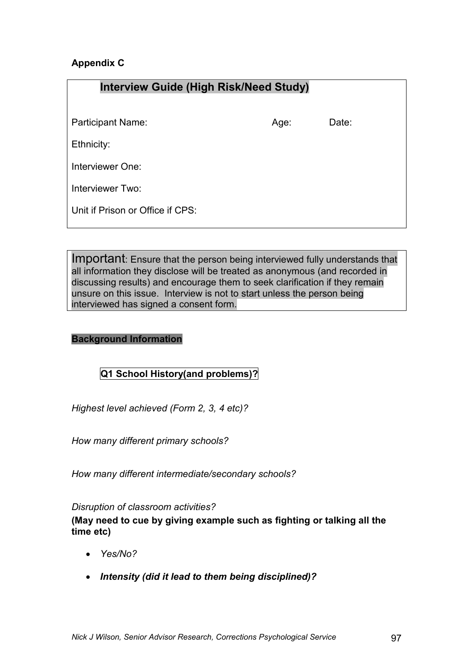# **Appendix C**

| <b>Interview Guide (High Risk/Need Study)</b> |      |       |  |
|-----------------------------------------------|------|-------|--|
|                                               |      |       |  |
| <b>Participant Name:</b>                      | Age: | Date: |  |
| Ethnicity:                                    |      |       |  |
| Interviewer One:                              |      |       |  |
| Interviewer Two:                              |      |       |  |
| Unit if Prison or Office if CPS:              |      |       |  |

Important: Ensure that the person being interviewed fully understands that all information they disclose will be treated as anonymous (and recorded in discussing results) and encourage them to seek clarification if they remain unsure on this issue. Interview is not to start unless the person being interviewed has signed a consent form.

## **Background Information**

# **Q1 School History(and problems)?**

*Highest level achieved (Form 2, 3, 4 etc)?* 

*How many different primary schools?* 

*How many different intermediate/secondary schools?* 

### *Disruption of classroom activities?*

**(May need to cue by giving example such as fighting or talking all the time etc)** 

- *Yes/No?*
- *Intensity (did it lead to them being disciplined)?*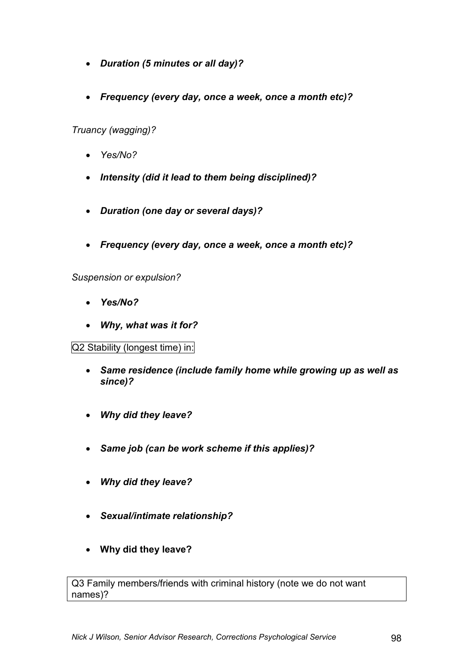- *Duration (5 minutes or all day)?*
- *Frequency (every day, once a week, once a month etc)?*

*Truancy (wagging)?* 

- *Yes/No?*
- *Intensity (did it lead to them being disciplined)?*
- *Duration (one day or several days)?*
- *Frequency (every day, once a week, once a month etc)?*

*Suspension or expulsion?* 

- *Yes/No?*
- *Why, what was it for?*

Q2 Stability (longest time) in:

- *Same residence (include family home while growing up as well as since)?*
- *Why did they leave?*
- *Same job (can be work scheme if this applies)?*
- *Why did they leave?*
- *Sexual/intimate relationship?*
- **Why did they leave?**

Q3 Family members/friends with criminal history (note we do not want names)?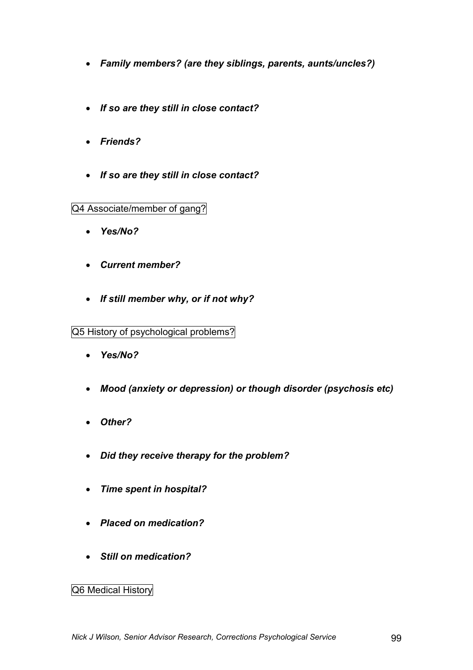- *Family members? (are they siblings, parents, aunts/uncles?)*
- *If so are they still in close contact?*
- *Friends?*
- *If so are they still in close contact?*

Q4 Associate/member of gang?

- *Yes/No?*
- *Current member?*
- *If still member why, or if not why?*

Q5 History of psychological problems?

- *Yes/No?*
- *Mood (anxiety or depression) or though disorder (psychosis etc)*
- *Other?*
- *Did they receive therapy for the problem?*
- *Time spent in hospital?*
- *Placed on medication?*
- *Still on medication?*

# Q6 Medical History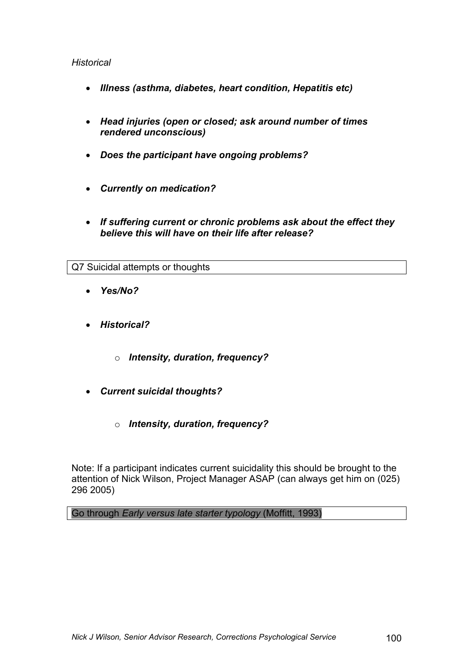## *Historical*

- *Illness (asthma, diabetes, heart condition, Hepatitis etc)*
- *Head injuries (open or closed; ask around number of times rendered unconscious)*
- *Does the participant have ongoing problems?*
- *Currently on medication?*
- *If suffering current or chronic problems ask about the effect they believe this will have on their life after release?*

Q7 Suicidal attempts or thoughts

- *Yes/No?*
- *Historical?* 
	- o *Intensity, duration, frequency?*
- *Current suicidal thoughts?* 
	- o *Intensity, duration, frequency?*

Note: If a participant indicates current suicidality this should be brought to the attention of Nick Wilson, Project Manager ASAP (can always get him on (025) 296 2005)

Go through *Early versus late starter typology* (Moffitt, 1993)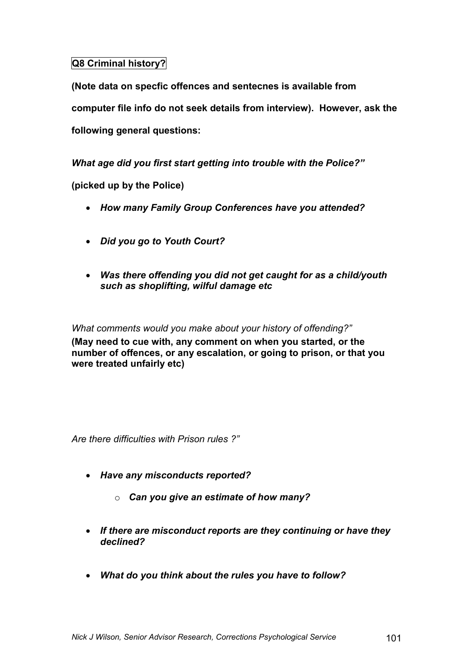# **Q8 Criminal history?**

**(Note data on specfic offences and sentecnes is available from computer file info do not seek details from interview). However, ask the following general questions:** 

*What age did you first start getting into trouble with the Police?"* 

**(picked up by the Police)** 

- *How many Family Group Conferences have you attended?*
- *Did you go to Youth Court?*
- *Was there offending you did not get caught for as a child/youth such as shoplifting, wilful damage etc*

*What comments would you make about your history of offending?"*  **(May need to cue with, any comment on when you started, or the number of offences, or any escalation, or going to prison, or that you were treated unfairly etc)** 

*Are there difficulties with Prison rules ?"* 

- *Have any misconducts reported?*
	- o *Can you give an estimate of how many?*
- *If there are misconduct reports are they continuing or have they declined?*
- *What do you think about the rules you have to follow?*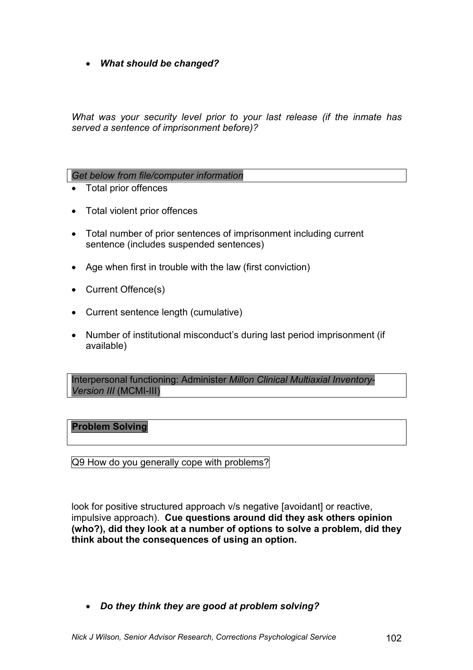• *What should be changed?* 

*What was your security level prior to your last release (if the inmate has served a sentence of imprisonment before)?* 

### *Get below from file/computer information*

- Total prior offences
- Total violent prior offences
- Total number of prior sentences of imprisonment including current sentence (includes suspended sentences)
- Age when first in trouble with the law (first conviction)
- Current Offence(s)
- Current sentence length (cumulative)
- Number of institutional misconduct's during last period imprisonment (if available)

Interpersonal functioning: Administer *Millon Clinical Multiaxial Inventory-Version III* (MCMI-III)

#### **Problem Solving**

Q9 How do you generally cope with problems?

look for positive structured approach v/s negative [avoidant] or reactive, impulsive approach). **Cue questions around did they ask others opinion (who?), did they look at a number of options to solve a problem, did they think about the consequences of using an option.** 

• *Do they think they are good at problem solving?*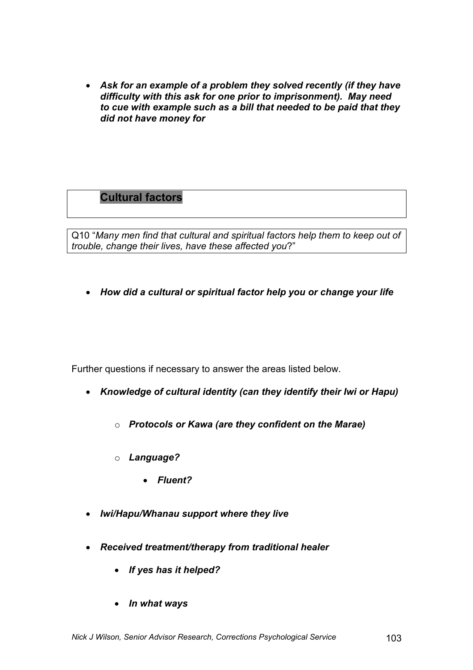• *Ask for an example of a problem they solved recently (if they have difficulty with this ask for one prior to imprisonment). May need to cue with example such as a bill that needed to be paid that they did not have money for* 

# **Cultural factors**

Q10 "*Many men find that cultural and spiritual factors help them to keep out of trouble, change their lives, have these affected you*?"

• *How did a cultural or spiritual factor help you or change your life*

Further questions if necessary to answer the areas listed below.

- *Knowledge of cultural identity (can they identify their Iwi or Hapu)* 
	- o *Protocols or Kawa (are they confident on the Marae)*
	- o *Language?* 
		- *Fluent?*
- *Iwi/Hapu/Whanau support where they live*
- *Received treatment/therapy from traditional healer* 
	- *If yes has it helped?*
	- *In what ways*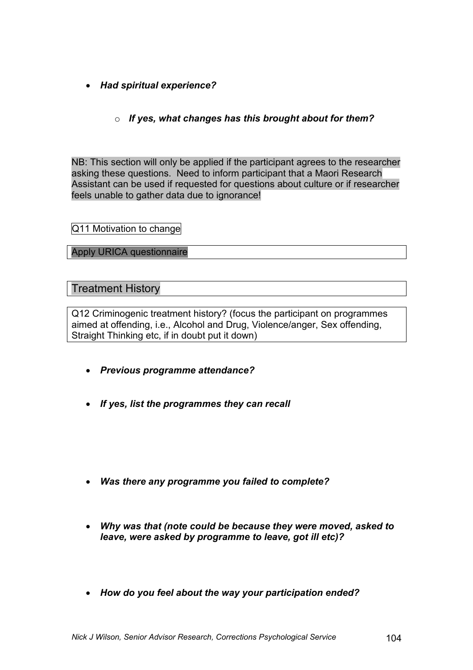- *Had spiritual experience?* 
	- o *If yes, what changes has this brought about for them?*

NB: This section will only be applied if the participant agrees to the researcher asking these questions. Need to inform participant that a Maori Research Assistant can be used if requested for questions about culture or if researcher feels unable to gather data due to ignorance!

Q11 Motivation to change

Apply URICA questionnaire

Treatment History

Q12 Criminogenic treatment history? (focus the participant on programmes aimed at offending, i.e., Alcohol and Drug, Violence/anger, Sex offending, Straight Thinking etc, if in doubt put it down)

- *Previous programme attendance?*
- *If yes, list the programmes they can recall*
- *Was there any programme you failed to complete?*
- *Why was that (note could be because they were moved, asked to leave, were asked by programme to leave, got ill etc)?*
- *How do you feel about the way your participation ended?*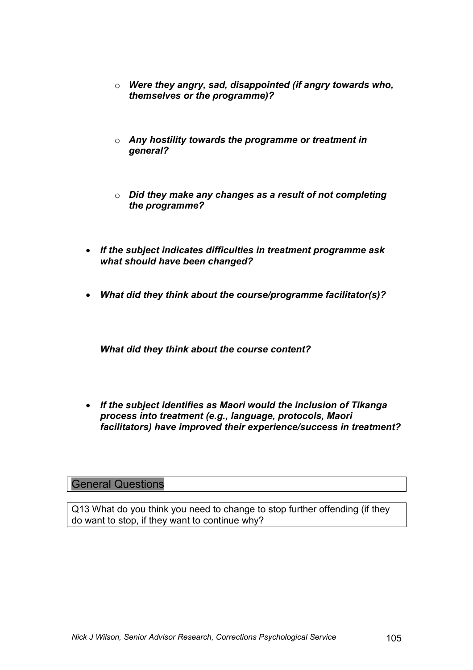- o *Were they angry, sad, disappointed (if angry towards who, themselves or the programme)?*
- o *Any hostility towards the programme or treatment in general?*
- o *Did they make any changes as a result of not completing the programme?*
- *If the subject indicates difficulties in treatment programme ask what should have been changed?*
- *What did they think about the course/programme facilitator(s)?*

*What did they think about the course content?* 

• *If the subject identifies as Maori would the inclusion of Tikanga process into treatment (e.g., language, protocols, Maori facilitators) have improved their experience/success in treatment?* 

## General Questions

Q13 What do you think you need to change to stop further offending (if they do want to stop, if they want to continue why?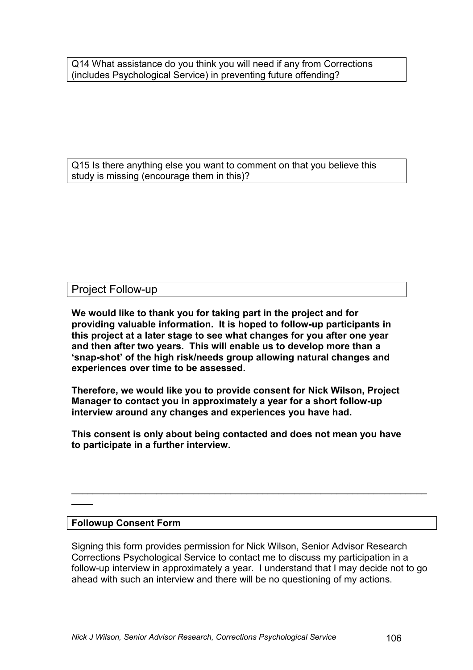Q14 What assistance do you think you will need if any from Corrections (includes Psychological Service) in preventing future offending?

Q15 Is there anything else you want to comment on that you believe this study is missing (encourage them in this)?

## Project Follow-up

**We would like to thank you for taking part in the project and for providing valuable information. It is hoped to follow-up participants in this project at a later stage to see what changes for you after one year and then after two years. This will enable us to develop more than a 'snap-shot' of the high risk/needs group allowing natural changes and experiences over time to be assessed.** 

**Therefore, we would like you to provide consent for Nick Wilson, Project Manager to contact you in approximately a year for a short follow-up interview around any changes and experiences you have had.** 

**This consent is only about being contacted and does not mean you have to participate in a further interview.** 

#### **Followup Consent Form**

 $\mathcal{L}$ 

Signing this form provides permission for Nick Wilson, Senior Advisor Research Corrections Psychological Service to contact me to discuss my participation in a follow-up interview in approximately a year. I understand that I may decide not to go ahead with such an interview and there will be no questioning of my actions.

 $\mathcal{L}_\mathcal{L} = \mathcal{L}_\mathcal{L} = \mathcal{L}_\mathcal{L} = \mathcal{L}_\mathcal{L} = \mathcal{L}_\mathcal{L} = \mathcal{L}_\mathcal{L} = \mathcal{L}_\mathcal{L} = \mathcal{L}_\mathcal{L} = \mathcal{L}_\mathcal{L} = \mathcal{L}_\mathcal{L} = \mathcal{L}_\mathcal{L} = \mathcal{L}_\mathcal{L} = \mathcal{L}_\mathcal{L} = \mathcal{L}_\mathcal{L} = \mathcal{L}_\mathcal{L} = \mathcal{L}_\mathcal{L} = \mathcal{L}_\mathcal{L}$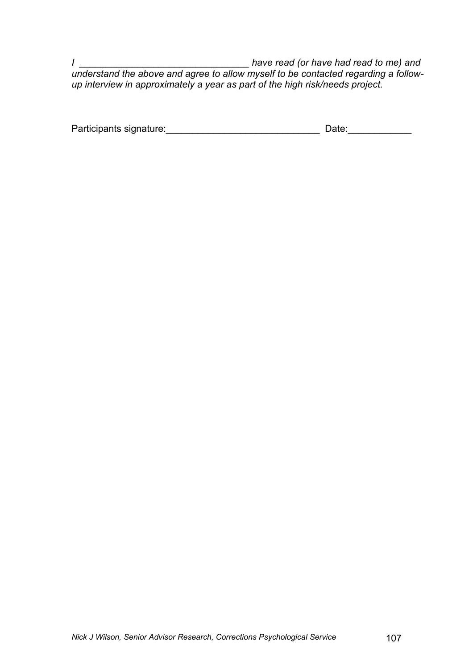*I \_\_\_\_\_\_\_\_\_\_\_\_\_\_\_\_\_\_\_\_\_\_\_\_\_\_\_\_\_\_\_\_ have read (or have had read to me) and understand the above and agree to allow myself to be contacted regarding a followup interview in approximately a year as part of the high risk/needs project.* 

| Participants signature: | Date: |
|-------------------------|-------|
|                         |       |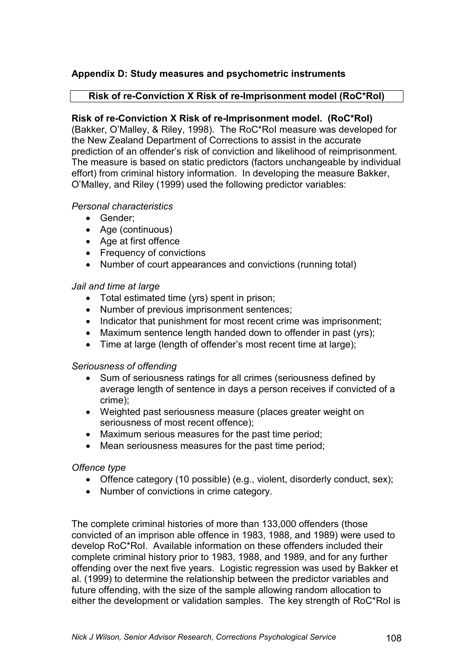## **Appendix D: Study measures and psychometric instruments**

### **Risk of re-Conviction X Risk of re-Imprisonment model (RoC\*RoI)**

### **Risk of re-Conviction X Risk of re-Imprisonment model. (RoC\*RoI)**

(Bakker, O'Malley, & Riley, 1998). The RoC\*RoI measure was developed for the New Zealand Department of Corrections to assist in the accurate prediction of an offender's risk of conviction and likelihood of reimprisonment. The measure is based on static predictors (factors unchangeable by individual effort) from criminal history information.In developing the measure Bakker, O'Malley, and Riley (1999) used the following predictor variables:

#### *Personal characteristics*

- Gender;
- Age (continuous)
- Age at first offence
- Frequency of convictions
- Number of court appearances and convictions (running total)

#### *Jail and time at large*

- Total estimated time (yrs) spent in prison;
- Number of previous imprisonment sentences:
- Indicator that punishment for most recent crime was imprisonment;
- Maximum sentence length handed down to offender in past (yrs);
- Time at large (length of offender's most recent time at large);

#### *Seriousness of offending*

- Sum of seriousness ratings for all crimes (seriousness defined by average length of sentence in days a person receives if convicted of a crime);
- Weighted past seriousness measure (places greater weight on seriousness of most recent offence);
- Maximum serious measures for the past time period;
- Mean seriousness measures for the past time period;

### *Offence type*

- Offence category (10 possible) (e.g., violent, disorderly conduct, sex);
- Number of convictions in crime category.

The complete criminal histories of more than 133,000 offenders (those convicted of an imprison able offence in 1983, 1988, and 1989) were used to develop RoC\*RoI. Available information on these offenders included their complete criminal history prior to 1983, 1988, and 1989, and for any further offending over the next five years. Logistic regression was used by Bakker et al. (1999) to determine the relationship between the predictor variables and future offending, with the size of the sample allowing random allocation to either the development or validation samples. The key strength of RoC\*RoI is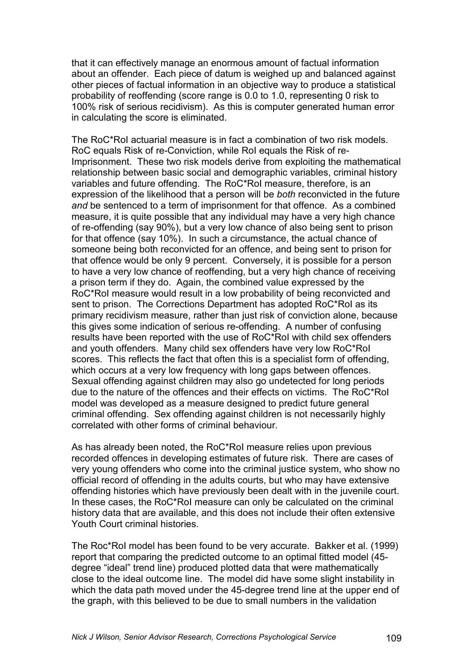that it can effectively manage an enormous amount of factual information about an offender. Each piece of datum is weighed up and balanced against other pieces of factual information in an objective way to produce a statistical probability of reoffending (score range is 0.0 to 1.0, representing 0 risk to 100% risk of serious recidivism). As this is computer generated human error in calculating the score is eliminated.

The RoC\*RoI actuarial measure is in fact a combination of two risk models. RoC equals Risk of re-Conviction, while RoI equals the Risk of re-Imprisonment. These two risk models derive from exploiting the mathematical relationship between basic social and demographic variables, criminal history variables and future offending. The RoC\*RoI measure, therefore, is an expression of the likelihood that a person will be *both* reconvicted in the future *and* be sentenced to a term of imprisonment for that offence. As a combined measure, it is quite possible that any individual may have a very high chance of re-offending (say 90%), but a very low chance of also being sent to prison for that offence (say 10%). In such a circumstance, the actual chance of someone being both reconvicted for an offence, and being sent to prison for that offence would be only 9 percent. Conversely, it is possible for a person to have a very low chance of reoffending, but a very high chance of receiving a prison term if they do. Again, the combined value expressed by the RoC\*RoI measure would result in a low probability of being reconvicted and sent to prison. The Corrections Department has adopted RoC\*RoI as its primary recidivism measure, rather than just risk of conviction alone, because this gives some indication of serious re-offending. A number of confusing results have been reported with the use of RoC\*RoI with child sex offenders and youth offenders. Many child sex offenders have very low RoC\*RoI scores. This reflects the fact that often this is a specialist form of offending, which occurs at a very low frequency with long gaps between offences. Sexual offending against children may also go undetected for long periods due to the nature of the offences and their effects on victims. The RoC\*RoI model was developed as a measure designed to predict future general criminal offending. Sex offending against children is not necessarily highly correlated with other forms of criminal behaviour.

As has already been noted, the RoC\*RoI measure relies upon previous recorded offences in developing estimates of future risk. There are cases of very young offenders who come into the criminal justice system, who show no official record of offending in the adults courts, but who may have extensive offending histories which have previously been dealt with in the juvenile court. In these cases, the RoC\*RoI measure can only be calculated on the criminal history data that are available, and this does not include their often extensive Youth Court criminal histories.

The Roc\*RoI model has been found to be very accurate. Bakker et al. (1999) report that comparing the predicted outcome to an optimal fitted model (45 degree "ideal" trend line) produced plotted data that were mathematically close to the ideal outcome line. The model did have some slight instability in which the data path moved under the 45-degree trend line at the upper end of the graph, with this believed to be due to small numbers in the validation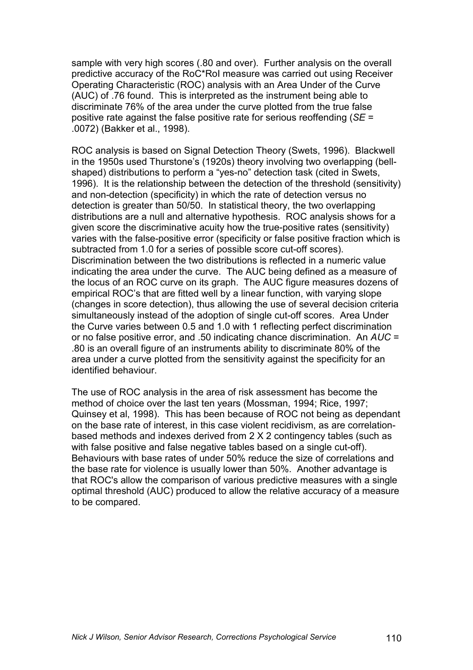sample with very high scores (.80 and over). Further analysis on the overall predictive accuracy of the RoC\*RoI measure was carried out using Receiver Operating Characteristic (ROC) analysis with an Area Under of the Curve (AUC) of .76 found. This is interpreted as the instrument being able to discriminate 76% of the area under the curve plotted from the true false positive rate against the false positive rate for serious reoffending (*SE* = .0072) (Bakker et al., 1998).

ROC analysis is based on Signal Detection Theory (Swets, 1996). Blackwell in the 1950s used Thurstone's (1920s) theory involving two overlapping (bellshaped) distributions to perform a "yes-no" detection task (cited in Swets, 1996). It is the relationship between the detection of the threshold (sensitivity) and non-detection (specificity) in which the rate of detection versus no detection is greater than 50/50. In statistical theory, the two overlapping distributions are a null and alternative hypothesis. ROC analysis shows for a given score the discriminative acuity how the true-positive rates (sensitivity) varies with the false-positive error (specificity or false positive fraction which is subtracted from 1.0 for a series of possible score cut-off scores). Discrimination between the two distributions is reflected in a numeric value indicating the area under the curve. The AUC being defined as a measure of the locus of an ROC curve on its graph. The AUC figure measures dozens of empirical ROC's that are fitted well by a linear function, with varying slope (changes in score detection), thus allowing the use of several decision criteria simultaneously instead of the adoption of single cut-off scores. Area Under the Curve varies between 0.5 and 1.0 with 1 reflecting perfect discrimination or no false positive error, and .50 indicating chance discrimination. An *AUC* = .80 is an overall figure of an instruments ability to discriminate 80% of the area under a curve plotted from the sensitivity against the specificity for an identified behaviour.

The use of ROC analysis in the area of risk assessment has become the method of choice over the last ten years (Mossman, 1994; Rice, 1997; Quinsey et al, 1998). This has been because of ROC not being as dependant on the base rate of interest, in this case violent recidivism, as are correlationbased methods and indexes derived from 2 X 2 contingency tables (such as with false positive and false negative tables based on a single cut-off). Behaviours with base rates of under 50% reduce the size of correlations and the base rate for violence is usually lower than 50%. Another advantage is that ROC's allow the comparison of various predictive measures with a single optimal threshold (AUC) produced to allow the relative accuracy of a measure to be compared.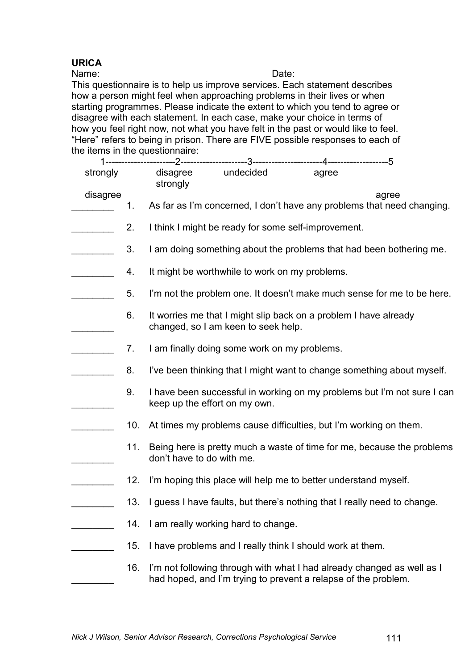# **URICA**

Name: Date:

This questionnaire is to help us improve services. Each statement describes how a person might feel when approaching problems in their lives or when starting programmes. Please indicate the extent to which you tend to agree or disagree with each statement. In each case, make your choice in terms of how you feel right now, not what you have felt in the past or would like to feel. "Here" refers to being in prison. There are FIVE possible responses to each of the items in the questionnaire:

| strongly |     | disagree<br>strongly      | undecided                                                                                                                                | agree |                                                                                 |
|----------|-----|---------------------------|------------------------------------------------------------------------------------------------------------------------------------------|-------|---------------------------------------------------------------------------------|
| disagree | 1.  |                           |                                                                                                                                          |       | agree<br>As far as I'm concerned, I don't have any problems that need changing. |
|          | 2.  |                           | I think I might be ready for some self-improvement.                                                                                      |       |                                                                                 |
|          | 3.  |                           |                                                                                                                                          |       | I am doing something about the problems that had been bothering me.             |
|          | 4.  |                           | It might be worthwhile to work on my problems.                                                                                           |       |                                                                                 |
|          | 5.  |                           |                                                                                                                                          |       | I'm not the problem one. It doesn't make much sense for me to be here.          |
|          | 6.  |                           | It worries me that I might slip back on a problem I have already<br>changed, so I am keen to seek help.                                  |       |                                                                                 |
|          | 7.  |                           | I am finally doing some work on my problems.                                                                                             |       |                                                                                 |
|          | 8.  |                           |                                                                                                                                          |       | I've been thinking that I might want to change something about myself.          |
|          | 9.  |                           | keep up the effort on my own.                                                                                                            |       | I have been successful in working on my problems but I'm not sure I can         |
|          | 10. |                           | At times my problems cause difficulties, but I'm working on them.                                                                        |       |                                                                                 |
|          | 11. | don't have to do with me. |                                                                                                                                          |       | Being here is pretty much a waste of time for me, because the problems          |
|          | 12. |                           | I'm hoping this place will help me to better understand myself.                                                                          |       |                                                                                 |
|          | 13. |                           | I guess I have faults, but there's nothing that I really need to change.                                                                 |       |                                                                                 |
|          | 14. |                           | I am really working hard to change.                                                                                                      |       |                                                                                 |
|          | 15. |                           | I have problems and I really think I should work at them.                                                                                |       |                                                                                 |
|          | 16. |                           | I'm not following through with what I had already changed as well as I<br>had hoped, and I'm trying to prevent a relapse of the problem. |       |                                                                                 |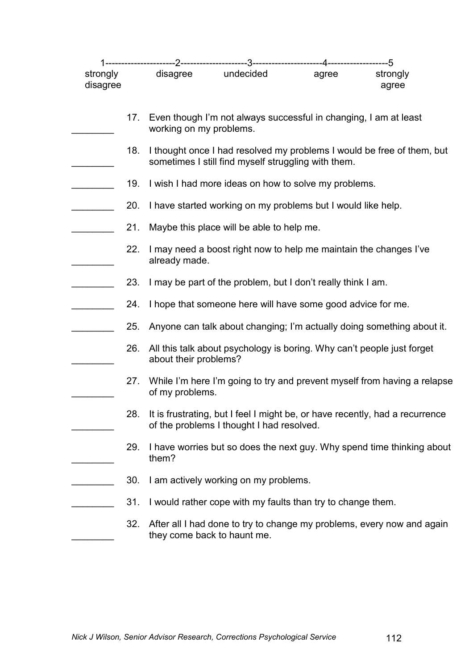| strongly<br>disagree |     | disagree                | undecided                                                              | agree | strongly<br>agree                                                            |
|----------------------|-----|-------------------------|------------------------------------------------------------------------|-------|------------------------------------------------------------------------------|
|                      | 17. | working on my problems. | Even though I'm not always successful in changing, I am at least       |       |                                                                              |
|                      | 18. |                         | sometimes I still find myself struggling with them.                    |       | I thought once I had resolved my problems I would be free of them, but       |
|                      | 19. |                         | I wish I had more ideas on how to solve my problems.                   |       |                                                                              |
|                      | 20. |                         | I have started working on my problems but I would like help.           |       |                                                                              |
|                      | 21. |                         | Maybe this place will be able to help me.                              |       |                                                                              |
|                      | 22. | already made.           | I may need a boost right now to help me maintain the changes I've      |       |                                                                              |
|                      | 23. |                         | I may be part of the problem, but I don't really think I am.           |       |                                                                              |
|                      | 24. |                         | I hope that someone here will have some good advice for me.            |       |                                                                              |
|                      | 25. |                         |                                                                        |       | Anyone can talk about changing; I'm actually doing something about it.       |
|                      | 26. | about their problems?   | All this talk about psychology is boring. Why can't people just forget |       |                                                                              |
|                      | 27. | of my problems.         |                                                                        |       | While I'm here I'm going to try and prevent myself from having a relapse     |
|                      | 28. |                         | of the problems I thought I had resolved.                              |       | It is frustrating, but I feel I might be, or have recently, had a recurrence |
|                      | 29. | them?                   |                                                                        |       | I have worries but so does the next guy. Why spend time thinking about       |
|                      | 30. |                         | I am actively working on my problems.                                  |       |                                                                              |
|                      | 31. |                         | I would rather cope with my faults than try to change them.            |       |                                                                              |
|                      | 32. |                         | they come back to haunt me.                                            |       | After all I had done to try to change my problems, every now and again       |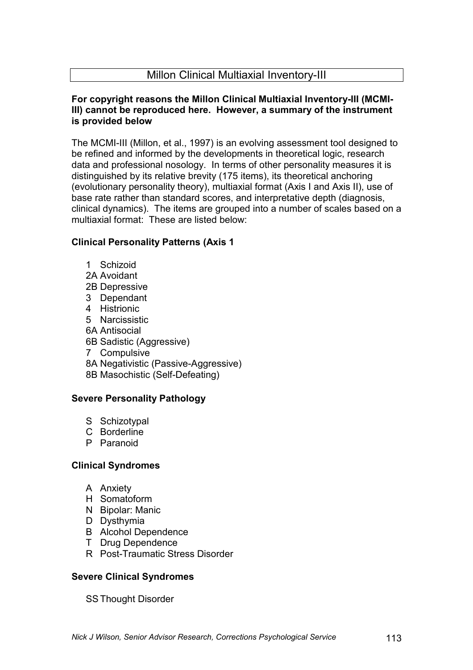## Millon Clinical Multiaxial Inventory-III

## **For copyright reasons the Millon Clinical Multiaxial Inventory-III (MCMI-III) cannot be reproduced here. However, a summary of the instrument is provided below**

The MCMI-III (Millon, et al., 1997) is an evolving assessment tool designed to be refined and informed by the developments in theoretical logic, research data and professional nosology. In terms of other personality measures it is distinguished by its relative brevity (175 items), its theoretical anchoring (evolutionary personality theory), multiaxial format (Axis I and Axis II), use of base rate rather than standard scores, and interpretative depth (diagnosis, clinical dynamics). The items are grouped into a number of scales based on a multiaxial format: These are listed below:

## **Clinical Personality Patterns (Axis 1**

- 1 Schizoid
- 2A Avoidant
- 2B Depressive
- 3 Dependant
- 4 Histrionic
- 5 Narcissistic
- 6A Antisocial
- 6B Sadistic (Aggressive)
- 7 Compulsive
- 8A Negativistic (Passive-Aggressive)
- 8B Masochistic (Self-Defeating)

## **Severe Personality Pathology**

- S Schizotypal
- C Borderline
- P Paranoid

## **Clinical Syndromes**

- A Anxiety
- H Somatoform
- N Bipolar: Manic
- D Dysthymia
- B Alcohol Dependence
- T Drug Dependence
- R Post-Traumatic Stress Disorder

## **Severe Clinical Syndromes**

SS Thought Disorder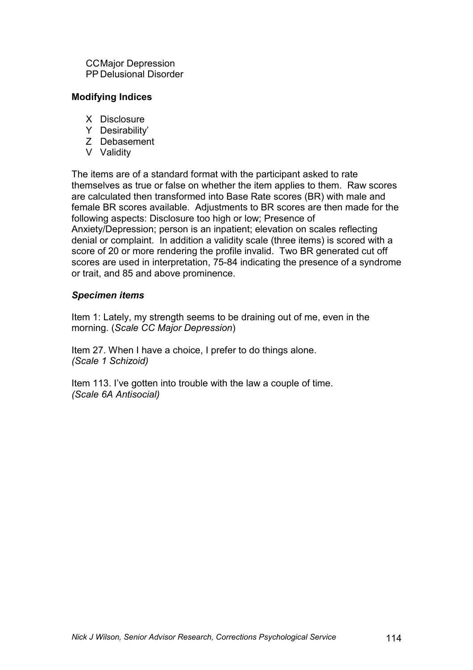CC Major Depression PP Delusional Disorder

#### **Modifying Indices**

- X Disclosure
- Y Desirability'
- Z Debasement
- V Validity

The items are of a standard format with the participant asked to rate themselves as true or false on whether the item applies to them. Raw scores are calculated then transformed into Base Rate scores (BR) with male and female BR scores available. Adjustments to BR scores are then made for the following aspects: Disclosure too high or low; Presence of Anxiety/Depression; person is an inpatient; elevation on scales reflecting denial or complaint. In addition a validity scale (three items) is scored with a score of 20 or more rendering the profile invalid. Two BR generated cut off scores are used in interpretation, 75-84 indicating the presence of a syndrome or trait, and 85 and above prominence.

## *Specimen items*

Item 1: Lately, my strength seems to be draining out of me, even in the morning. (*Scale CC Major Depression*)

Item 27. When I have a choice, I prefer to do things alone. *(Scale 1 Schizoid)* 

Item 113. I've gotten into trouble with the law a couple of time. *(Scale 6A Antisocial)*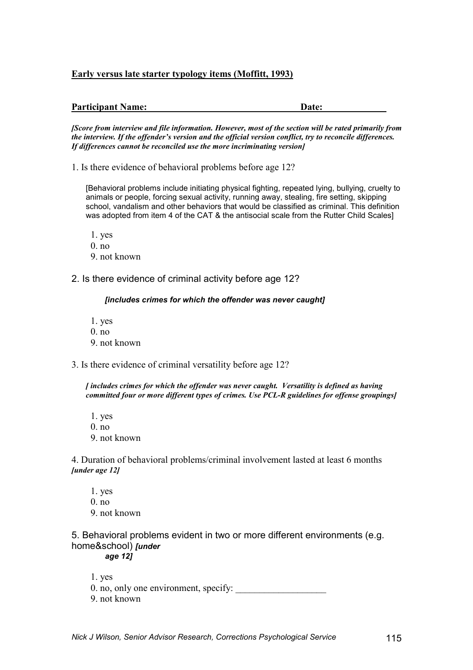#### **Early versus late starter typology items (Moffitt, 1993)**

| <b>Participant Name:</b><br><b>Date:</b> |  |
|------------------------------------------|--|
|------------------------------------------|--|

*[Score from interview and file information. However, most of the section will be rated primarily from the interview. If the offender's version and the official version conflict, try to reconcile differences. If differences cannot be reconciled use the more incriminating version]* 

1. Is there evidence of behavioral problems before age 12?

[Behavioral problems include initiating physical fighting, repeated lying, bullying, cruelty to animals or people, forcing sexual activity, running away, stealing, fire setting, skipping school, vandalism and other behaviors that would be classified as criminal. This definition was adopted from item 4 of the CAT & the antisocial scale from the Rutter Child Scales]

- 1. yes  $0.$  no
- 
- 9. not known

2. Is there evidence of criminal activity before age 12?

#### *[includes crimes for which the offender was never caught]*

- 1. yes
- $0$  no.
- 9. not known
- 3. Is there evidence of criminal versatility before age 12?

*[ includes crimes for which the offender was never caught. Versatility is defined as having committed four or more different types of crimes. Use PCL-R guidelines for offense groupings]* 

- 1. yes
- $0.$  no.
- 9. not known

4. Duration of behavioral problems/criminal involvement lasted at least 6 months *[under age 12]*

 1. yes  $0$  no. 9. not known

5. Behavioral problems evident in two or more different environments (e.g. home&school) *[under age 12]* 

- 
- 1. yes 0. no, only one environment, specify:
- 9. not known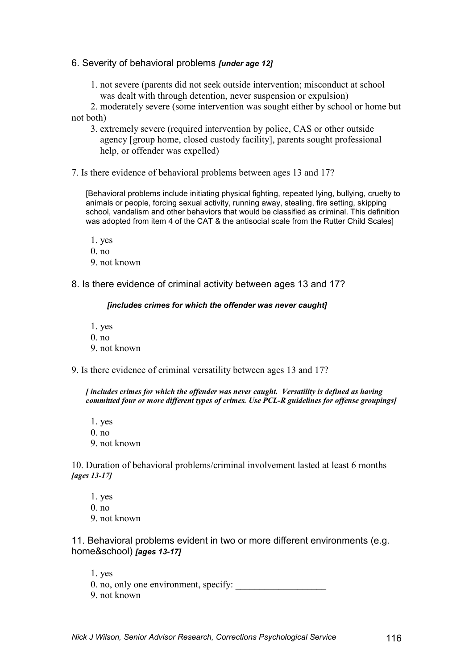#### 6. Severity of behavioral problems *[under age 12]*

 1. not severe (parents did not seek outside intervention; misconduct at school was dealt with through detention, never suspension or expulsion)

 2. moderately severe (some intervention was sought either by school or home but not both)

- 3. extremely severe (required intervention by police, CAS or other outside agency [group home, closed custody facility], parents sought professional help, or offender was expelled)
- 7. Is there evidence of behavioral problems between ages 13 and 17?

[Behavioral problems include initiating physical fighting, repeated lying, bullying, cruelty to animals or people, forcing sexual activity, running away, stealing, fire setting, skipping school, vandalism and other behaviors that would be classified as criminal. This definition was adopted from item 4 of the CAT & the antisocial scale from the Rutter Child Scales]

- 1. yes  $0.$  no.
- 9. not known

8. Is there evidence of criminal activity between ages 13 and 17?

#### *[includes crimes for which the offender was never caught]*

- 1. yes
- $0.$  no.
- 9. not known
- 9. Is there evidence of criminal versatility between ages 13 and 17?

*[ includes crimes for which the offender was never caught. Versatility is defined as having committed four or more different types of crimes. Use PCL-R guidelines for offense groupings]* 

 1. yes 0. no 9. not known

10. Duration of behavioral problems/criminal involvement lasted at least 6 months *[ages 13-17]*

 1. yes 0. no 9. not known

11. Behavioral problems evident in two or more different environments (e.g. home&school) *[ages 13-17]* 

 1. yes 0. no, only one environment, specify: 9. not known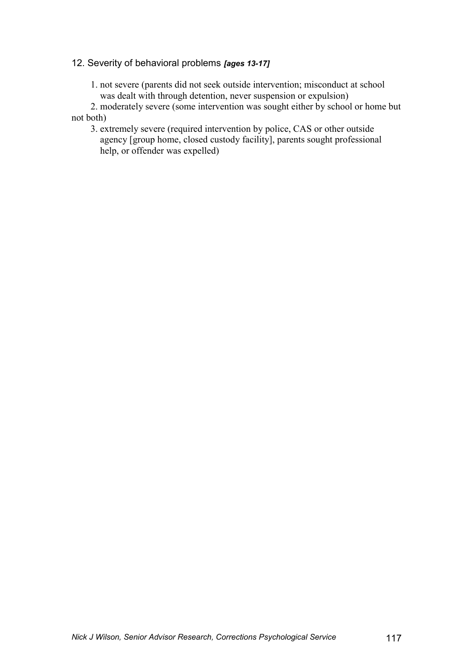### 12. Severity of behavioral problems *[ages 13-17]*

 1. not severe (parents did not seek outside intervention; misconduct at school was dealt with through detention, never suspension or expulsion)

 2. moderately severe (some intervention was sought either by school or home but not both)

 3. extremely severe (required intervention by police, CAS or other outside agency [group home, closed custody facility], parents sought professional help, or offender was expelled)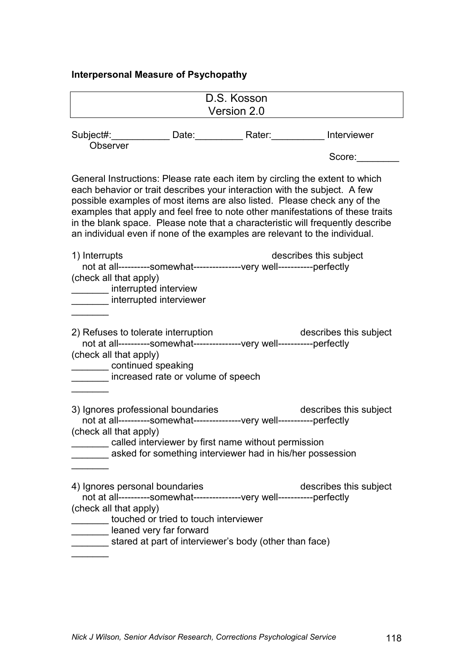# **Interpersonal Measure of Psychopathy**

|                                                                                                                                                                                                                                                                                                                    |                                       | D.S. Kosson                                                                                                      |                                                                                                                                                                  |
|--------------------------------------------------------------------------------------------------------------------------------------------------------------------------------------------------------------------------------------------------------------------------------------------------------------------|---------------------------------------|------------------------------------------------------------------------------------------------------------------|------------------------------------------------------------------------------------------------------------------------------------------------------------------|
|                                                                                                                                                                                                                                                                                                                    |                                       | Version 2.0                                                                                                      |                                                                                                                                                                  |
| Subject#: Date: Rater: Rater: Interviewer<br><b>Observer</b>                                                                                                                                                                                                                                                       |                                       |                                                                                                                  | Score:                                                                                                                                                           |
| General Instructions: Please rate each item by circling the extent to which<br>each behavior or trait describes your interaction with the subject. A few<br>possible examples of most items are also listed. Please check any of the<br>an individual even if none of the examples are relevant to the individual. |                                       |                                                                                                                  | examples that apply and feel free to note other manifestations of these traits<br>in the blank space. Please note that a characteristic will frequently describe |
| 1) Interrupts<br>not at all----------somewhat----------------very well-----------perfectly<br>(check all that apply)<br>interrupted interview<br>interrupted interviewer                                                                                                                                           |                                       |                                                                                                                  | describes this subject                                                                                                                                           |
| 2) Refuses to tolerate interruption<br>not at all----------somewhat---------------very well-----------perfectly<br>(check all that apply)<br>continued speaking<br>increased rate or volume of speech                                                                                                              |                                       |                                                                                                                  | describes this subject                                                                                                                                           |
| 3) Ignores professional boundaries<br>not at all----------somewhat----------------very well-----------perfectly<br>(check all that apply)                                                                                                                                                                          |                                       | called interviewer by first name without permission<br>asked for something interviewer had in his/her possession | describes this subject                                                                                                                                           |
| 4) Ignores personal boundaries<br>not at all----------somewhat---------------very well-----------perfectly<br>(check all that apply)<br>leaned very far forward                                                                                                                                                    | touched or tried to touch interviewer | stared at part of interviewer's body (other than face)                                                           | describes this subject                                                                                                                                           |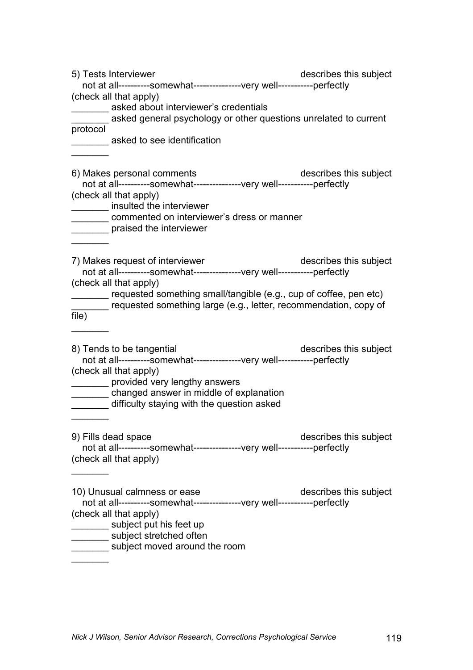| 5) Tests Interviewer                                                                                  | describes this subject                                           |
|-------------------------------------------------------------------------------------------------------|------------------------------------------------------------------|
| not at all----------somewhat----------------very well-----------perfectly                             |                                                                  |
| (check all that apply)                                                                                |                                                                  |
| asked about interviewer's credentials                                                                 |                                                                  |
| asked general psychology or other questions unrelated to current                                      |                                                                  |
| protocol                                                                                              |                                                                  |
| asked to see identification                                                                           |                                                                  |
|                                                                                                       |                                                                  |
|                                                                                                       |                                                                  |
| 6) Makes personal comments                                                                            | describes this subject                                           |
| not at all----------somewhat---------------very well-----------perfectly<br>(check all that apply)    |                                                                  |
| insulted the interviewer                                                                              |                                                                  |
| commented on interviewer's dress or manner                                                            |                                                                  |
| praised the interviewer                                                                               |                                                                  |
|                                                                                                       |                                                                  |
|                                                                                                       |                                                                  |
| 7) Makes request of interviewer                                                                       | describes this subject                                           |
| not at all----------somewhat---------------very well-----------perfectly                              |                                                                  |
| (check all that apply)                                                                                |                                                                  |
| requested something small/tangible (e.g., cup of coffee, pen etc)                                     |                                                                  |
|                                                                                                       | requested something large (e.g., letter, recommendation, copy of |
| file)                                                                                                 |                                                                  |
|                                                                                                       |                                                                  |
|                                                                                                       |                                                                  |
| 8) Tends to be tangential<br>not at all----------somewhat---------------very well-----------perfectly | describes this subject                                           |
| (check all that apply)                                                                                |                                                                  |
| provided very lengthy answers                                                                         |                                                                  |
| changed answer in middle of explanation                                                               |                                                                  |
| difficulty staying with the question asked                                                            |                                                                  |
|                                                                                                       |                                                                  |
|                                                                                                       |                                                                  |
| 9) Fills dead space                                                                                   | describes this subject                                           |
| not at all----------somewhat----------------very well-----------perfectly                             |                                                                  |
| (check all that apply)                                                                                |                                                                  |
|                                                                                                       |                                                                  |
|                                                                                                       |                                                                  |
| 10) Unusual calmness or ease                                                                          | describes this subject                                           |
| not at all----------somewhat----------------very well-----------perfectly<br>(check all that apply)   |                                                                  |
| subject put his feet up                                                                               |                                                                  |
| subject stretched often                                                                               |                                                                  |
| subject moved around the room                                                                         |                                                                  |
|                                                                                                       |                                                                  |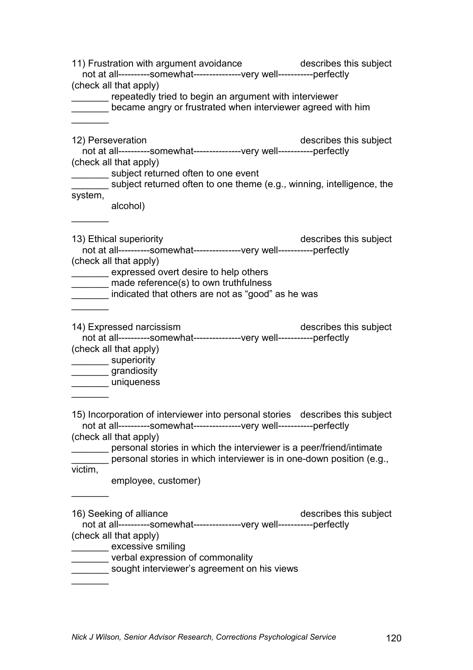11) Frustration with argument avoidance describes this subject not at all----------somewhat---------------very well-----------perfectly (check all that apply) **wightnally 19 and 10 Fernally tried to begin an argument with interviewer** became angry or frustrated when interviewer agreed with him  $\frac{1}{2}$ 12) Perseveration **describes this subject**  not at all----------somewhat---------------very well-----------perfectly (check all that apply) \_\_\_\_\_\_\_ subject returned often to one event subject returned often to one theme (e.g., winning, intelligence, the system, alcohol)  $\frac{1}{2}$ 13) Ethical superiority describes this subject not at all----------somewhat---------------very well-----------perfectly (check all that apply) \_\_\_\_\_\_\_ expressed overt desire to help others made reference(s) to own truthfulness \_\_\_\_\_\_\_ indicated that others are not as "good" as he was  $\frac{1}{2}$ 14) Expressed narcissism describes this subject not at all----------somewhat---------------very well-----------perfectly (check all that apply) \_\_\_\_\_\_\_\_\_\_\_ superiority \_\_\_\_\_\_\_ grandiosity \_\_\_\_\_\_\_ uniqueness  $\frac{1}{2}$ 15) Incorporation of interviewer into personal stories describes this subject not at all----------somewhat---------------very well-----------perfectly (check all that apply) **\_\_\_\_\_\_\_** personal stories in which the interviewer is a peer/friend/intimate \_\_\_\_\_\_\_ personal stories in which interviewer is in one-down position (e.g., victim, employee, customer)  $\frac{1}{2}$ 16) Seeking of alliance the control of the describes this subject not at all----------somewhat---------------very well-----------perfectly (check all that apply) \_\_\_\_\_\_\_ excessive smiling **werbal expression of commonality** sought interviewer's agreement on his views  $\frac{1}{2}$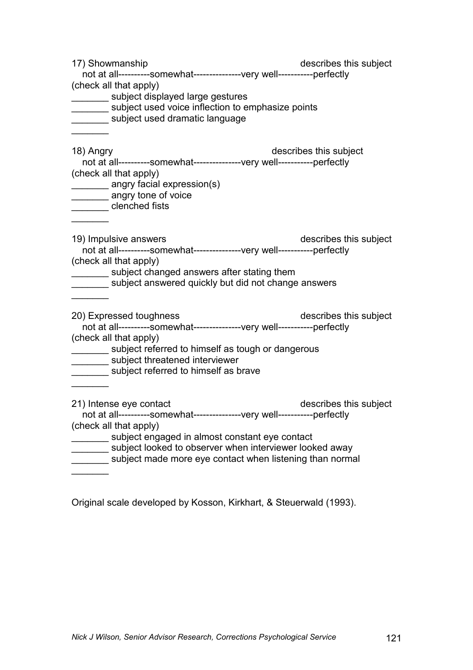| 17) Showmanship<br>not at all----------somewhat---------------very well-----------perfectly<br>(check all that apply)<br>_________ subject displayed large gestures<br>subject used voice inflection to emphasize points<br>subject used dramatic language                                             | describes this subject |
|--------------------------------------------------------------------------------------------------------------------------------------------------------------------------------------------------------------------------------------------------------------------------------------------------------|------------------------|
| 18) Angry<br>not at all----------somewhat---------------very well-----------perfectly<br>(check all that apply)<br>_________ angry facial expression(s)<br>angry tone of voice<br>clenched fists                                                                                                       | describes this subject |
| 19) Impulsive answers<br>not at all----------somewhat---------------very well-----------perfectly<br>(check all that apply)<br>subject changed answers after stating them<br>subject answered quickly but did not change answers                                                                       | describes this subject |
| 20) Expressed toughness<br>not at all----------somewhat---------------very well-----------perfectly<br>(check all that apply)<br>subject referred to himself as tough or dangerous<br>_________ subject threatened interviewer<br>subject referred to himself as brave                                 | describes this subject |
| 21) Intense eye contact<br>not at all----------somewhat---------------very well-----------perfectly<br>(check all that apply)<br>subject engaged in almost constant eye contact<br>subject looked to observer when interviewer looked away<br>subject made more eye contact when listening than normal | describes this subject |

Original scale developed by Kosson, Kirkhart, & Steuerwald (1993).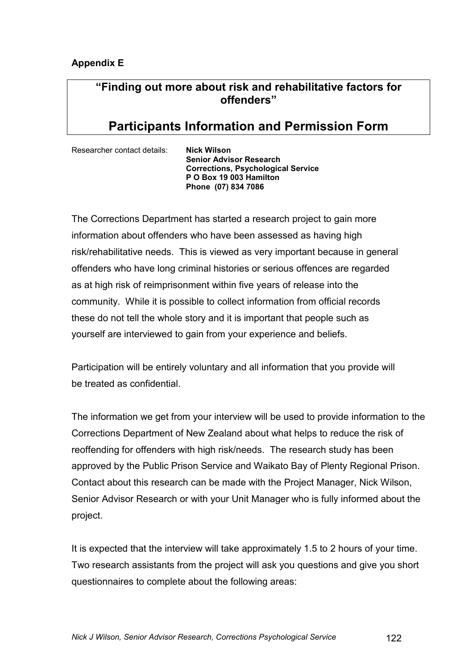## **Appendix E**

# **"Finding out more about risk and rehabilitative factors for offenders"**

# **Participants Information and Permission Form**

Researcher contact details: **Nick Wilson** 

 **Senior Advisor Research Corrections, Psychological Service P O Box 19 003 Hamilton Phone (07) 834 7086** 

The Corrections Department has started a research project to gain more information about offenders who have been assessed as having high risk/rehabilitative needs. This is viewed as very important because in general offenders who have long criminal histories or serious offences are regarded as at high risk of reimprisonment within five years of release into the community. While it is possible to collect information from official records these do not tell the whole story and it is important that people such as yourself are interviewed to gain from your experience and beliefs.

Participation will be entirely voluntary and all information that you provide will be treated as confidential.

The information we get from your interview will be used to provide information to the Corrections Department of New Zealand about what helps to reduce the risk of reoffending for offenders with high risk/needs. The research study has been approved by the Public Prison Service and Waikato Bay of Plenty Regional Prison. Contact about this research can be made with the Project Manager, Nick Wilson, Senior Advisor Research or with your Unit Manager who is fully informed about the project.

It is expected that the interview will take approximately 1.5 to 2 hours of your time. Two research assistants from the project will ask you questions and give you short questionnaires to complete about the following areas: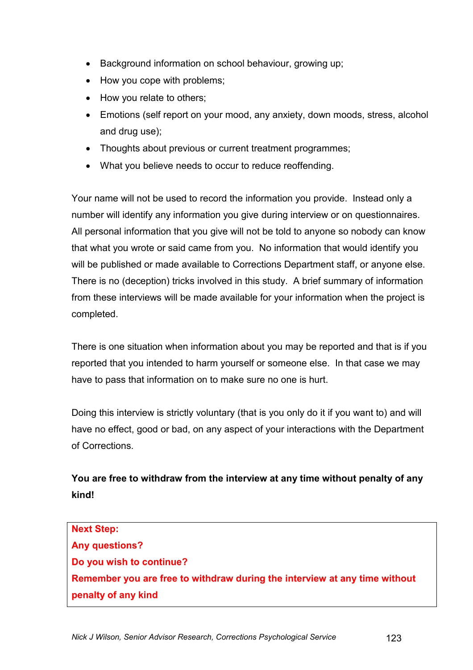- Background information on school behaviour, growing up;
- How you cope with problems;
- How you relate to others;
- Emotions (self report on your mood, any anxiety, down moods, stress, alcohol and drug use);
- Thoughts about previous or current treatment programmes;
- What you believe needs to occur to reduce reoffending.

Your name will not be used to record the information you provide. Instead only a number will identify any information you give during interview or on questionnaires. All personal information that you give will not be told to anyone so nobody can know that what you wrote or said came from you. No information that would identify you will be published or made available to Corrections Department staff, or anyone else. There is no (deception) tricks involved in this study. A brief summary of information from these interviews will be made available for your information when the project is completed.

There is one situation when information about you may be reported and that is if you reported that you intended to harm yourself or someone else. In that case we may have to pass that information on to make sure no one is hurt.

Doing this interview is strictly voluntary (that is you only do it if you want to) and will have no effect, good or bad, on any aspect of your interactions with the Department of Corrections.

**You are free to withdraw from the interview at any time without penalty of any kind!**

**Next Step: Any questions? Do you wish to continue? Remember you are free to withdraw during the interview at any time without penalty of any kind**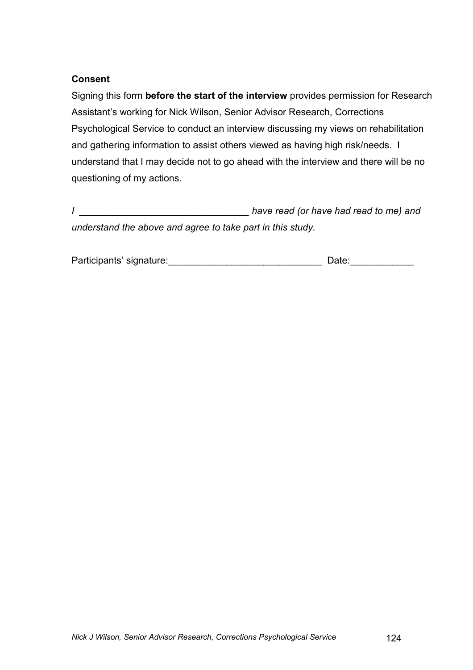## **Consent**

Signing this form **before the start of the interview** provides permission for Research Assistant's working for Nick Wilson, Senior Advisor Research, Corrections Psychological Service to conduct an interview discussing my views on rehabilitation and gathering information to assist others viewed as having high risk/needs. I understand that I may decide not to go ahead with the interview and there will be no questioning of my actions.

*I \_\_\_\_\_\_\_\_\_\_\_\_\_\_\_\_\_\_\_\_\_\_\_\_\_\_\_\_\_\_\_\_ have read (or have had read to me) and understand the above and agree to take part in this study.* 

| Participants' signature: | Date: |
|--------------------------|-------|
|                          |       |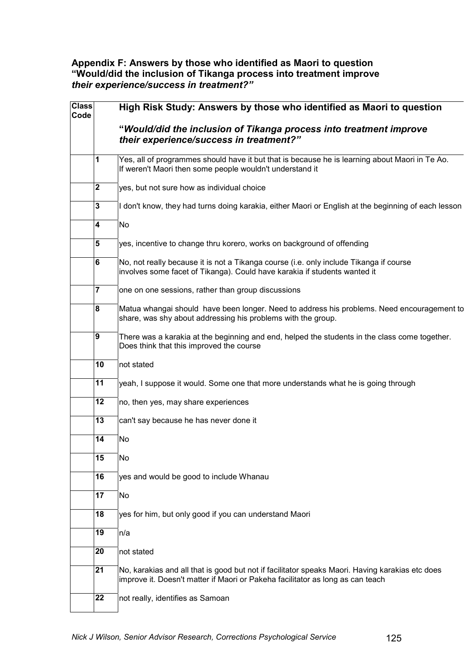## **Appendix F: Answers by those who identified as Maori to question "Would/did the inclusion of Tikanga process into treatment improve**  *their experience/success in treatment?"*

| <b>Class</b><br>Code |                | High Risk Study: Answers by those who identified as Maori to question                                                                                                             |
|----------------------|----------------|-----------------------------------------------------------------------------------------------------------------------------------------------------------------------------------|
|                      |                | "Would/did the inclusion of Tikanga process into treatment improve<br>their experience/success in treatment?"                                                                     |
|                      | 1              | Yes, all of programmes should have it but that is because he is learning about Maori in Te Ao.<br>If weren't Maori then some people wouldn't understand it                        |
|                      | $\mathbf 2$    | yes, but not sure how as individual choice                                                                                                                                        |
|                      | 3              | I don't know, they had turns doing karakia, either Maori or English at the beginning of each lesson                                                                               |
|                      | 4              | No                                                                                                                                                                                |
|                      | 5              | yes, incentive to change thru korero, works on background of offending                                                                                                            |
|                      | 6              | No, not really because it is not a Tikanga course (i.e. only include Tikanga if course<br>involves some facet of Tikanga). Could have karakia if students wanted it               |
|                      | $\overline{7}$ | one on one sessions, rather than group discussions                                                                                                                                |
|                      | 8              | Matua whangai should have been longer. Need to address his problems. Need encouragement to<br>share, was shy about addressing his problems with the group.                        |
|                      | 9              | There was a karakia at the beginning and end, helped the students in the class come together.<br>Does think that this improved the course                                         |
|                      | 10             | not stated                                                                                                                                                                        |
|                      | 11             | yeah, I suppose it would. Some one that more understands what he is going through                                                                                                 |
|                      | 12             | no, then yes, may share experiences                                                                                                                                               |
|                      | 13             | can't say because he has never done it                                                                                                                                            |
|                      | 14             | No                                                                                                                                                                                |
|                      | 15             | No                                                                                                                                                                                |
|                      | 16             | yes and would be good to include Whanau                                                                                                                                           |
|                      | 17             | No                                                                                                                                                                                |
|                      | 18             | yes for him, but only good if you can understand Maori                                                                                                                            |
|                      | 19             | n/a                                                                                                                                                                               |
|                      | 20             | not stated                                                                                                                                                                        |
|                      | 21             | No, karakias and all that is good but not if facilitator speaks Maori. Having karakias etc does<br>improve it. Doesn't matter if Maori or Pakeha facilitator as long as can teach |
|                      | 22             | not really, identifies as Samoan                                                                                                                                                  |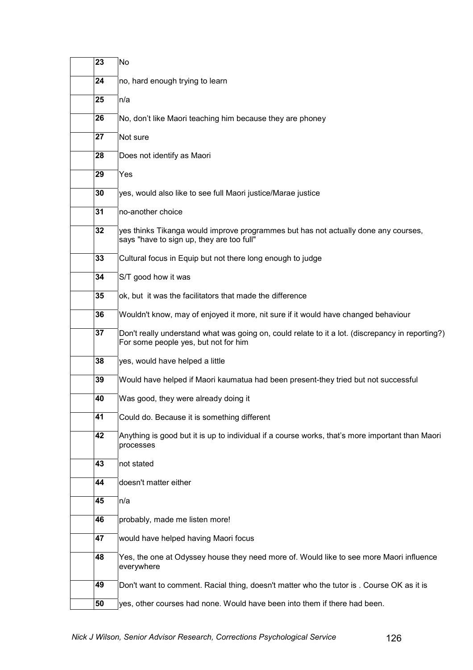| 23 | No                                                                                                                                       |
|----|------------------------------------------------------------------------------------------------------------------------------------------|
| 24 | no, hard enough trying to learn                                                                                                          |
| 25 | n/a                                                                                                                                      |
| 26 | No, don't like Maori teaching him because they are phoney                                                                                |
| 27 | Not sure                                                                                                                                 |
| 28 | Does not identify as Maori                                                                                                               |
| 29 | Yes                                                                                                                                      |
| 30 | yes, would also like to see full Maori justice/Marae justice                                                                             |
| 31 | no-another choice                                                                                                                        |
| 32 | yes thinks Tikanga would improve programmes but has not actually done any courses,<br>says "have to sign up, they are too full"          |
| 33 | Cultural focus in Equip but not there long enough to judge                                                                               |
| 34 | S/T good how it was                                                                                                                      |
| 35 | ok, but it was the facilitators that made the difference                                                                                 |
| 36 | Wouldn't know, may of enjoyed it more, nit sure if it would have changed behaviour                                                       |
| 37 | Don't really understand what was going on, could relate to it a lot. (discrepancy in reporting?)<br>For some people yes, but not for him |
| 38 | yes, would have helped a little                                                                                                          |
| 39 | Would have helped if Maori kaumatua had been present-they tried but not successful                                                       |
| 40 | Was good, they were already doing it                                                                                                     |
| 41 | Could do. Because it is something different                                                                                              |
| 42 | Anything is good but it is up to individual if a course works, that's more important than Maori<br>processes                             |
| 43 | not stated                                                                                                                               |
| 44 | doesn't matter either                                                                                                                    |
| 45 | n/a                                                                                                                                      |
| 46 | probably, made me listen more!                                                                                                           |
| 47 | would have helped having Maori focus                                                                                                     |
| 48 | Yes, the one at Odyssey house they need more of. Would like to see more Maori influence<br>everywhere                                    |
| 49 | Don't want to comment. Racial thing, doesn't matter who the tutor is. Course OK as it is                                                 |
| 50 | yes, other courses had none. Would have been into them if there had been.                                                                |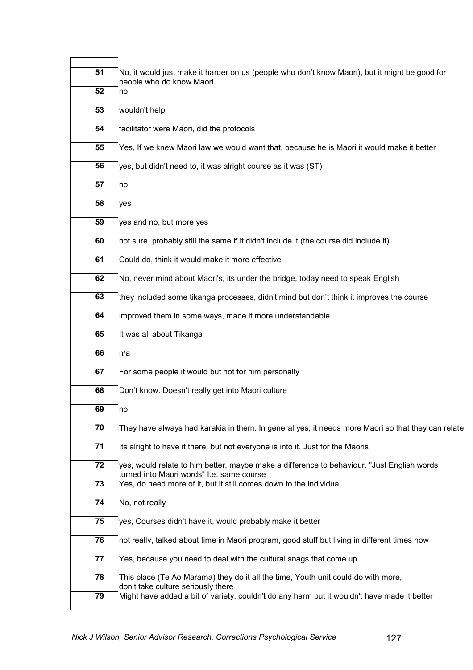| 51 | No, it would just make it harder on us (people who don't know Maori), but it might be good for<br>people who do know Maori              |
|----|-----------------------------------------------------------------------------------------------------------------------------------------|
| 52 | no                                                                                                                                      |
| 53 | wouldn't help                                                                                                                           |
| 54 | facilitator were Maori, did the protocols                                                                                               |
| 55 | Yes, If we knew Maori law we would want that, because he is Maori it would make it better                                               |
| 56 | yes, but didn't need to, it was alright course as it was (ST)                                                                           |
| 57 | no                                                                                                                                      |
| 58 | yes                                                                                                                                     |
| 59 | yes and no, but more yes                                                                                                                |
| 60 | not sure, probably still the same if it didn't include it (the course did include it)                                                   |
| 61 | Could do, think it would make it more effective                                                                                         |
| 62 | No, never mind about Maori's, its under the bridge, today need to speak English                                                         |
| 63 | they included some tikanga processes, didn't mind but don't think it improves the course                                                |
| 64 | improved them in some ways, made it more understandable                                                                                 |
| 65 | It was all about Tikanga                                                                                                                |
| 66 | n/a                                                                                                                                     |
| 67 | For some people it would but not for him personally                                                                                     |
| 68 | Don't know. Doesn't really get into Maori culture                                                                                       |
| 69 | no                                                                                                                                      |
| 70 | They have always had karakia in them. In general yes, it needs more Maori so that they can relate                                       |
| 71 | Its alright to have it there, but not everyone is into it. Just for the Maoris                                                          |
| 72 | yes, would relate to him better, maybe make a difference to behaviour. "Just English words<br>turned into Maori words" I.e. same course |
| 73 | Yes, do need more of it, but it still comes down to the individual                                                                      |
| 74 | No, not really                                                                                                                          |
| 75 | yes, Courses didn't have it, would probably make it better                                                                              |
| 76 | not really, talked about time in Maori program, good stuff but living in different times now                                            |
| 77 | Yes, because you need to deal with the cultural snags that come up                                                                      |
| 78 | This place (Te Ao Marama) they do it all the time, Youth unit could do with more,<br>don't take culture seriously there                 |
| 79 | Might have added a bit of variety, couldn't do any harm but it wouldn't have made it better                                             |
|    |                                                                                                                                         |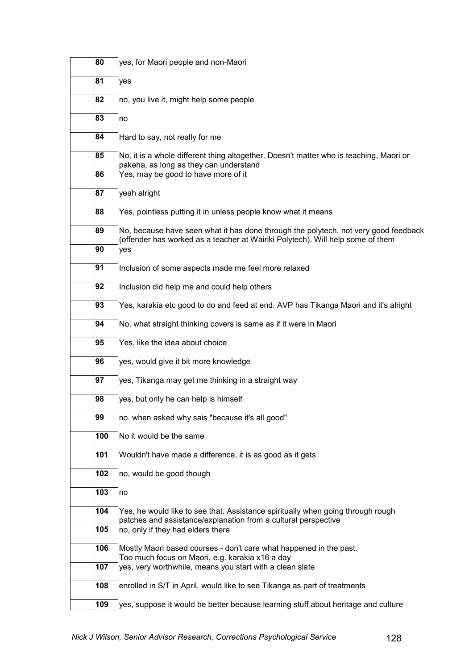| 80  | yes, for Maori people and non-Maori                                                                                                                                   |
|-----|-----------------------------------------------------------------------------------------------------------------------------------------------------------------------|
| 81  | yes                                                                                                                                                                   |
| 82  | no, you live it, might help some people                                                                                                                               |
| 83  | no                                                                                                                                                                    |
| 84  | Hard to say, not really for me                                                                                                                                        |
| 85  | No, it is a whole different thing altogether. Doesn't matter who is teaching, Maori or<br>pakeha, as long as they can understand                                      |
| 86  | Yes, may be good to have more of it                                                                                                                                   |
| 87  | yeah alright                                                                                                                                                          |
| 88  | Yes, pointless putting it in unless people know what it means                                                                                                         |
| 89  | No, because have seen what it has done through the polytech, not very good feedback<br>(offender has worked as a teacher at Wairiki Polytech). Will help some of them |
| 90  | yes                                                                                                                                                                   |
| 91  | Inclusion of some aspects made me feel more relaxed                                                                                                                   |
| 92  | Inclusion did help me and could help others                                                                                                                           |
| 93  | Yes, karakia etc good to do and feed at end. AVP has Tikanga Maori and it's alright                                                                                   |
| 94  | No, what straight thinking covers is same as if it were in Maori                                                                                                      |
| 95  | Yes, like the idea about choice                                                                                                                                       |
| 96  | yes, would give it bit more knowledge                                                                                                                                 |
| 97  | yes, Tikanga may get me thinking in a straight way                                                                                                                    |
| 98  | yes, but only he can help is himself                                                                                                                                  |
| 99  | no. when asked why sais "because it's all good"                                                                                                                       |
| 100 | No it would be the same                                                                                                                                               |
| 101 | Wouldn't have made a difference, it is as good as it gets                                                                                                             |
| 102 | no, would be good though                                                                                                                                              |
| 103 | no                                                                                                                                                                    |
| 104 | Yes, he would like to see that. Assistance spiritually when going through rough<br>patches and assistance/explanation from a cultural perspective                     |
| 105 | no, only if they had elders there                                                                                                                                     |
| 106 | Mostly Maori based courses - don't care what happened in the past.<br>Too much focus on Maori, e.g. karakia x16 a day                                                 |
| 107 | yes, very worthwhile, means you start with a clean slate                                                                                                              |
| 108 | enrolled in S/T in April, would like to see Tikanga as part of treatments                                                                                             |
| 109 | yes, suppose it would be better because learning stuff about heritage and culture                                                                                     |
|     |                                                                                                                                                                       |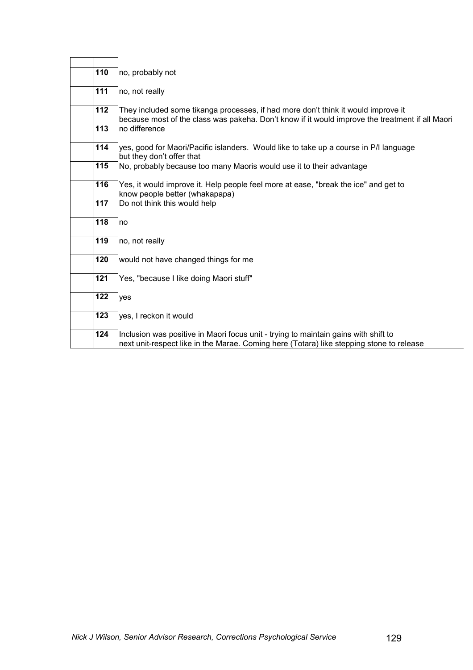| 110 | no, probably not                                                                                                                                                                     |
|-----|--------------------------------------------------------------------------------------------------------------------------------------------------------------------------------------|
| 111 | no, not really                                                                                                                                                                       |
| 112 | They included some tikanga processes, if had more don't think it would improve it<br>because most of the class was pakeha. Don't know if it would improve the treatment if all Maori |
| 113 | no difference                                                                                                                                                                        |
| 114 | yes, good for Maori/Pacific islanders. Would like to take up a course in P/I language<br>but they don't offer that                                                                   |
| 115 | No, probably because too many Maoris would use it to their advantage                                                                                                                 |
| 116 | Yes, it would improve it. Help people feel more at ease, "break the ice" and get to<br>know people better (whakapapa)                                                                |
| 117 | Do not think this would help                                                                                                                                                         |
| 118 | no                                                                                                                                                                                   |
| 119 | no, not really                                                                                                                                                                       |
| 120 | would not have changed things for me                                                                                                                                                 |
| 121 | Yes, "because I like doing Maori stuff"                                                                                                                                              |
| 122 | yes                                                                                                                                                                                  |
| 123 | yes, I reckon it would                                                                                                                                                               |
| 124 | Inclusion was positive in Maori focus unit - trying to maintain gains with shift to<br>next unit-respect like in the Marae. Coming here (Totara) like stepping stone to release      |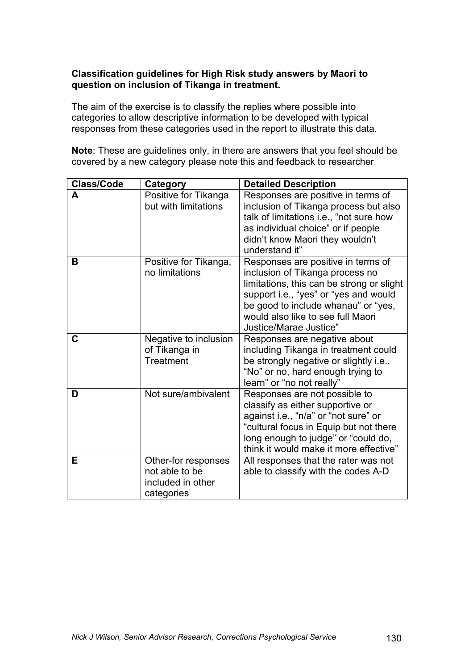## **Classification guidelines for High Risk study answers by Maori to question on inclusion of Tikanga in treatment.**

The aim of the exercise is to classify the replies where possible into categories to allow descriptive information to be developed with typical responses from these categories used in the report to illustrate this data.

**Note**: These are guidelines only, in there are answers that you feel should be covered by a new category please note this and feedback to researcher

| <b>Class/Code</b> | Category                                                                 | <b>Detailed Description</b>                                                                                                                                                                                                                                       |
|-------------------|--------------------------------------------------------------------------|-------------------------------------------------------------------------------------------------------------------------------------------------------------------------------------------------------------------------------------------------------------------|
| A                 | Positive for Tikanga<br>but with limitations                             | Responses are positive in terms of<br>inclusion of Tikanga process but also                                                                                                                                                                                       |
|                   |                                                                          | talk of limitations i.e., "not sure how<br>as individual choice" or if people<br>didn't know Maori they wouldn't<br>understand it"                                                                                                                                |
| в                 | Positive for Tikanga,<br>no limitations                                  | Responses are positive in terms of<br>inclusion of Tikanga process no<br>limitations, this can be strong or slight<br>support i.e., "yes" or "yes and would<br>be good to include whanau" or "yes,<br>would also like to see full Maori<br>Justice/Marae Justice" |
| C                 | Negative to inclusion<br>of Tikanga in<br>Treatment                      | Responses are negative about<br>including Tikanga in treatment could<br>be strongly negative or slightly i.e.,<br>"No" or no, hard enough trying to<br>learn" or "no not really"                                                                                  |
| D                 | Not sure/ambivalent                                                      | Responses are not possible to<br>classify as either supportive or<br>against i.e., "n/a" or "not sure" or<br>"cultural focus in Equip but not there<br>long enough to judge" or "could do,<br>think it would make it more effective"                              |
| E.                | Other-for responses<br>not able to be<br>included in other<br>categories | All responses that the rater was not<br>able to classify with the codes A-D                                                                                                                                                                                       |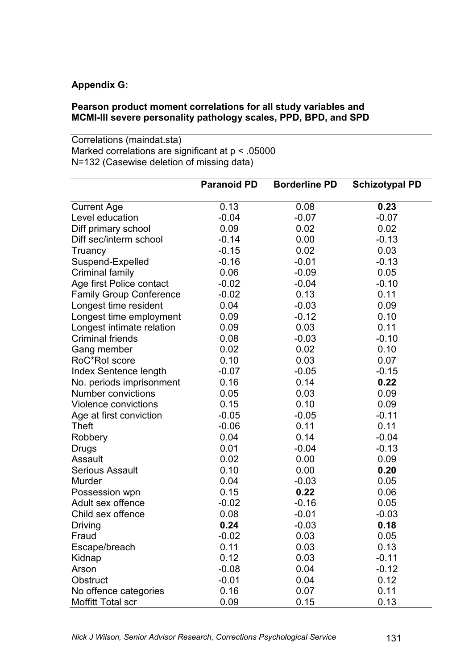## **Appendix G:**

## **Pearson product moment correlations for all study variables and MCMI-III severe personality pathology scales, PPD, BPD, and SPD**

Correlations (maindat.sta) Marked correlations are significant at  $p < .05000$ N=132 (Casewise deletion of missing data)

|                                | <b>Paranoid PD</b> | <b>Borderline PD</b> | <b>Schizotypal PD</b> |
|--------------------------------|--------------------|----------------------|-----------------------|
| <b>Current Age</b>             | 0.13               | 0.08                 | 0.23                  |
| Level education                | $-0.04$            | $-0.07$              | $-0.07$               |
| Diff primary school            | 0.09               | 0.02                 | 0.02                  |
| Diff sec/interm school         | $-0.14$            | 0.00                 | $-0.13$               |
| Truancy                        | $-0.15$            | 0.02                 | 0.03                  |
| Suspend-Expelled               | $-0.16$            | $-0.01$              | $-0.13$               |
| Criminal family                | 0.06               | $-0.09$              | 0.05                  |
| Age first Police contact       | $-0.02$            | $-0.04$              | $-0.10$               |
| <b>Family Group Conference</b> | $-0.02$            | 0.13                 | 0.11                  |
| Longest time resident          | 0.04               | $-0.03$              | 0.09                  |
| Longest time employment        | 0.09               | $-0.12$              | 0.10                  |
| Longest intimate relation      | 0.09               | 0.03                 | 0.11                  |
| <b>Criminal friends</b>        | 0.08               | $-0.03$              | $-0.10$               |
| Gang member                    | 0.02               | 0.02                 | 0.10                  |
| RoC*Rol score                  | 0.10               | 0.03                 | 0.07                  |
| Index Sentence length          | $-0.07$            | $-0.05$              | $-0.15$               |
| No. periods imprisonment       | 0.16               | 0.14                 | 0.22                  |
| <b>Number convictions</b>      | 0.05               | 0.03                 | 0.09                  |
| Violence convictions           | 0.15               | 0.10                 | 0.09                  |
| Age at first conviction        | $-0.05$            | $-0.05$              | $-0.11$               |
| Theft                          | $-0.06$            | 0.11                 | 0.11                  |
| Robbery                        | 0.04               | 0.14                 | $-0.04$               |
| <b>Drugs</b>                   | 0.01               | $-0.04$              | $-0.13$               |
| Assault                        | 0.02               | 0.00                 | 0.09                  |
| <b>Serious Assault</b>         | 0.10               | 0.00                 | 0.20                  |
| Murder                         | 0.04               | $-0.03$              | 0.05                  |
| Possession wpn                 | 0.15               | 0.22                 | 0.06                  |
| Adult sex offence              | $-0.02$            | $-0.16$              | 0.05                  |
| Child sex offence              | 0.08               | $-0.01$              | $-0.03$               |
| Driving                        | 0.24               | $-0.03$              | 0.18                  |
| Fraud                          | $-0.02$            | 0.03                 | 0.05                  |
| Escape/breach                  | 0.11               | 0.03                 | 0.13                  |
| Kidnap                         | 0.12               | 0.03                 | $-0.11$               |
| Arson                          | $-0.08$            | 0.04                 | $-0.12$               |
| Obstruct                       | $-0.01$            | 0.04                 | 0.12                  |
| No offence categories          | 0.16               | 0.07                 | 0.11                  |
| Moffitt Total scr              | 0.09               | 0.15                 | 0.13                  |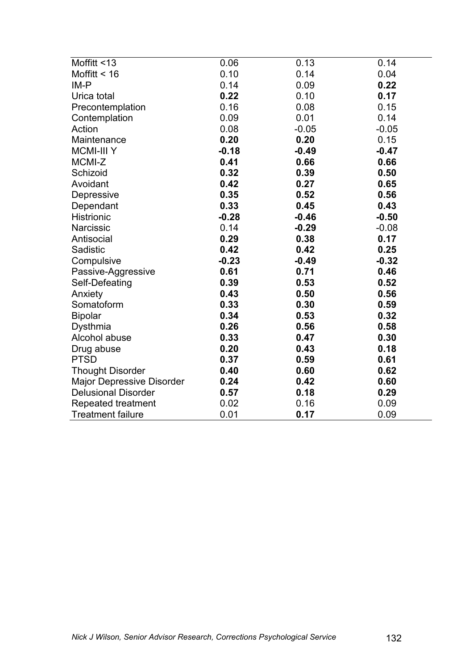| Moffitt <13                      | 0.06    | 0.13    | 0.14    |
|----------------------------------|---------|---------|---------|
| Moffitt $<$ 16                   | 0.10    | 0.14    | 0.04    |
| $IM-P$                           | 0.14    | 0.09    | 0.22    |
| Urica total                      | 0.22    | 0.10    | 0.17    |
| Precontemplation                 | 0.16    | 0.08    | 0.15    |
| Contemplation                    | 0.09    | 0.01    | 0.14    |
| Action                           | 0.08    | $-0.05$ | $-0.05$ |
| Maintenance                      | 0.20    | 0.20    | 0.15    |
| <b>MCMI-III Y</b>                | $-0.18$ | $-0.49$ | $-0.47$ |
| MCMI-Z                           | 0.41    | 0.66    | 0.66    |
| Schizoid                         | 0.32    | 0.39    | 0.50    |
| Avoidant                         | 0.42    | 0.27    | 0.65    |
| Depressive                       | 0.35    | 0.52    | 0.56    |
| Dependant                        | 0.33    | 0.45    | 0.43    |
| <b>Histrionic</b>                | $-0.28$ | $-0.46$ | $-0.50$ |
| <b>Narcissic</b>                 | 0.14    | $-0.29$ | $-0.08$ |
| Antisocial                       | 0.29    | 0.38    | 0.17    |
| Sadistic                         | 0.42    | 0.42    | 0.25    |
| Compulsive                       | $-0.23$ | $-0.49$ | $-0.32$ |
| Passive-Aggressive               | 0.61    | 0.71    | 0.46    |
| Self-Defeating                   | 0.39    | 0.53    | 0.52    |
| Anxiety                          | 0.43    | 0.50    | 0.56    |
| Somatoform                       | 0.33    | 0.30    | 0.59    |
| <b>Bipolar</b>                   | 0.34    | 0.53    | 0.32    |
| Dysthmia                         | 0.26    | 0.56    | 0.58    |
| Alcohol abuse                    | 0.33    | 0.47    | 0.30    |
| Drug abuse                       | 0.20    | 0.43    | 0.18    |
| <b>PTSD</b>                      | 0.37    | 0.59    | 0.61    |
| <b>Thought Disorder</b>          | 0.40    | 0.60    | 0.62    |
| <b>Major Depressive Disorder</b> | 0.24    | 0.42    | 0.60    |
| <b>Delusional Disorder</b>       | 0.57    | 0.18    | 0.29    |
| Repeated treatment               | 0.02    | 0.16    | 0.09    |
| <b>Treatment failure</b>         | 0.01    | 0.17    | 0.09    |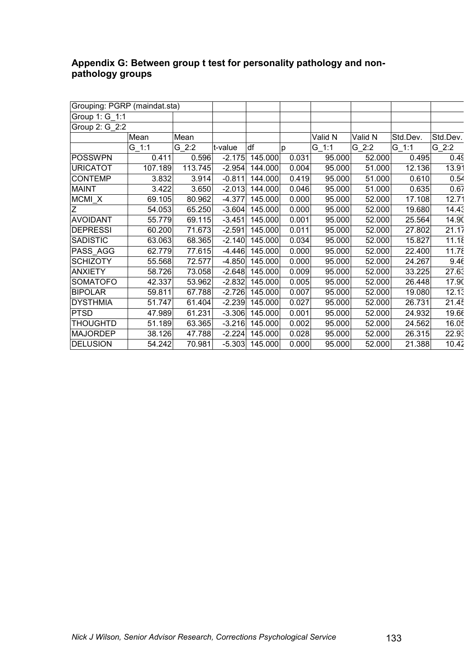## **Appendix G: Between group t test for personality pathology and nonpathology groups**

| Grouping: PGRP (maindat.sta) |           |         |          |         |       |         |         |          |          |
|------------------------------|-----------|---------|----------|---------|-------|---------|---------|----------|----------|
| Group 1: G_1:1               |           |         |          |         |       |         |         |          |          |
| Group 2: G 2:2               |           |         |          |         |       |         |         |          |          |
|                              | Mean      | Mean    |          |         |       | Valid N | Valid N | Std.Dev. | Std.Dev. |
|                              | $G_{1:1}$ | G 2:2   | t-value  | df      | p     | $G$ 1:1 | G 2:2   | $G_1:1$  | $G$ 2:2  |
| <b>POSSWPN</b>               | 0.411     | 0.596   | $-2.175$ | 145.000 | 0.031 | 95.000  | 52.000  | 0.495    | 0.49     |
| <b>URICATOT</b>              | 107.189   | 113.745 | $-2.954$ | 144.000 | 0.004 | 95.000  | 51.000  | 12.136   | 13.91    |
| <b>CONTEMP</b>               | 3.832     | 3.914   | $-0.811$ | 144.000 | 0.419 | 95.000  | 51.000  | 0.610    | 0.54     |
| <b>MAINT</b>                 | 3.422     | 3.650   | $-2.013$ | 144.000 | 0.046 | 95.000  | 51.000  | 0.635    | 0.67     |
| MCMI X                       | 69.105    | 80.962  | $-4.377$ | 145.000 | 0.000 | 95.000  | 52.000  | 17.108   | 12.71    |
| Ζ                            | 54.053    | 65.250  | $-3.604$ | 145.000 | 0.000 | 95.000  | 52.000  | 19.680   | 14.43    |
| <b>AVOIDANT</b>              | 55.779    | 69.115  | $-3.451$ | 145.000 | 0.001 | 95.000  | 52.000  | 25.564   | 14.90    |
| <b>DEPRESSI</b>              | 60.200    | 71.673  | $-2.591$ | 145.000 | 0.011 | 95.000  | 52.000  | 27.802   | 21.17    |
| <b>SADISTIC</b>              | 63.063    | 68.365  | $-2.140$ | 145.000 | 0.034 | 95.000  | 52.000  | 15.827   | 11.18    |
| PASS AGG                     | 62.779    | 77.615  | $-4.446$ | 145.000 | 0.000 | 95.000  | 52.000  | 22.400   | 11.78    |
| <b>SCHIZOTY</b>              | 55.568    | 72.577  | $-4.850$ | 145.000 | 0.000 | 95.000  | 52.000  | 24.267   | 9.46     |
| <b>ANXIETY</b>               | 58.726    | 73.058  | $-2.648$ | 145.000 | 0.009 | 95.000  | 52.000  | 33.225   | 27.63    |
| SOMATOFO                     | 42.337    | 53.962  | $-2.832$ | 145.000 | 0.005 | 95.000  | 52.000  | 26.448   | 17.90    |
| <b>BIPOLAR</b>               | 59.811    | 67.788  | $-2.726$ | 145.000 | 0.007 | 95.000  | 52.000  | 19.080   | 12.13    |
| <b>DYSTHMIA</b>              | 51.747    | 61.404  | $-2.239$ | 145.000 | 0.027 | 95.000  | 52.000  | 26.731   | 21.45    |
| <b>PTSD</b>                  | 47.989    | 61.231  | $-3.306$ | 145.000 | 0.001 | 95.000  | 52.000  | 24.932   | 19.66    |
| <b>THOUGHTD</b>              | 51.189    | 63.365  | $-3.216$ | 145.000 | 0.002 | 95.000  | 52.000  | 24.562   | 16.05    |
| <b>MAJORDEP</b>              | 38.126    | 47.788  | $-2.224$ | 145.000 | 0.028 | 95.000  | 52.000  | 26.315   | 22.93    |
| <b>DELUSION</b>              | 54.242    | 70.981  | $-5.303$ | 145.000 | 0.000 | 95.000  | 52.000  | 21.388   | 10.42    |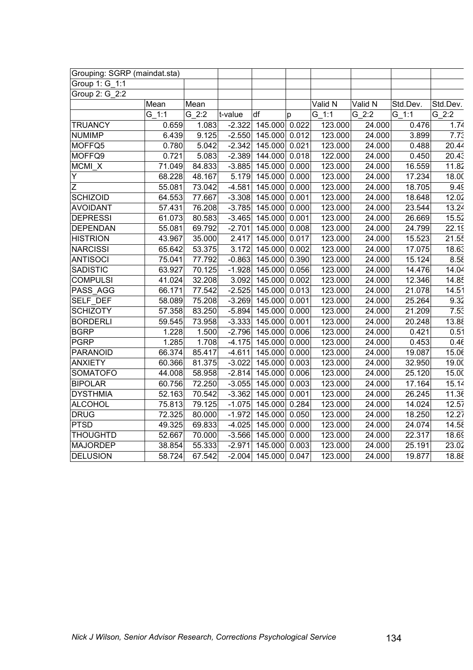| Grouping: SGRP (maindat.sta) |        |                     |          |                      |       |         |         |                     |          |
|------------------------------|--------|---------------------|----------|----------------------|-------|---------|---------|---------------------|----------|
| Group 1: G 1:1               |        |                     |          |                      |       |         |         |                     |          |
| Group 2: G_2:2               |        |                     |          |                      |       |         |         |                     |          |
|                              | Mean   | Mean                |          |                      |       | Valid N | Valid N | Std.Dev.            | Std.Dev. |
|                              | G 1:1  | $G_2:2$             | t-value  | df                   | p     | $G_1:1$ | $G_2:2$ | G 1:1               | $G_2:2$  |
| <b>TRUANCY</b>               | 0.659  | 1.083               | $-2.322$ | 145.000 0.022        |       | 123.000 | 24.000  | 0.476               | 1.74     |
| <b>NUMIMP</b>                | 6.439  | 9.125               | $-2.550$ | 145.000 0.012        |       | 123.000 | 24.000  | 3.899               | 7.73     |
| MOFFQ5                       | 0.780  | 5.042               | $-2.342$ | 145.000              | 0.021 | 123.000 | 24.000  | 0.488               | 20.44    |
| MOFFQ9                       | 0.721  | 5.083               | $-2.389$ | 144.000              | 0.018 | 122.000 | 24.000  | 0.450               | 20.43    |
| MCMI_X                       | 71.049 | 84.833              | $-3.885$ | 145.000              | 0.000 | 123.000 | 24.000  | 16.559              | 11.82    |
| Y                            | 68.228 | 48.167              | 5.179    | 145.000              | 0.000 | 123.000 | 24.000  | 17.234              | 18.00    |
| $\overline{Z}$               | 55.081 | 73.042              | $-4.581$ | 145.000              | 0.000 | 123.000 | 24.000  | 18.705              | 9.49     |
| <b>SCHIZOID</b>              | 64.553 | 77.667              | $-3.308$ | $\overline{145.000}$ | 0.001 | 123.000 | 24.000  | 18.648              | 12.02    |
| <b>AVOIDANT</b>              | 57.431 | 76.208              | $-3.785$ | 145.000              | 0.000 | 123.000 | 24.000  | 23.544              | 13.24    |
| <b>DEPRESSI</b>              | 61.073 | 80.583              | $-3.465$ | 145.000              | 0.001 | 123.000 | 24.000  | 26.669              | 15.52    |
| <b>DEPENDAN</b>              | 55.081 | 69.792              | $-2.701$ | 145.000              | 0.008 | 123.000 | 24.000  | 24.799              | 22.19    |
| <b>HISTRION</b>              | 43.967 | 35.000              | 2.417    | 145.000              | 0.017 | 123.000 | 24.000  | 15.523              | 21.55    |
| <b>NARCISSI</b>              | 65.642 | 53.375              | 3.172    | 145.000              | 0.002 | 123.000 | 24.000  | 17.075              | 18.63    |
| <b>ANTISOCI</b>              | 75.041 | 77.792              | $-0.863$ | 145.000              | 0.390 | 123.000 | 24.000  | 15.124              | 8.58     |
| <b>SADISTIC</b>              | 63.927 | 70.125              | $-1.928$ | 145.000              | 0.056 | 123.000 | 24.000  | 14.476              | 14.04    |
| <b>COMPULSI</b>              | 41.024 | 32.208              | 3.092    | 145.000              | 0.002 | 123.000 | 24.000  | 12.346              | 14.85    |
| PASS AGG                     | 66.171 | 77.542              | $-2.525$ | 145.000              | 0.013 | 123.000 | 24.000  | 21.078              | 14.51    |
| <b>SELF DEF</b>              | 58.089 | 75.208              | $-3.269$ | 145.000              | 0.001 | 123.000 | 24.000  | 25.264              | 9.32     |
| <b>SCHIZOTY</b>              | 57.358 | 83.250              | $-5.894$ | 145.000              | 0.000 | 123.000 | 24.000  | 21.209              | 7.53     |
| <b>BORDERLI</b>              | 59.545 | 73.958              | $-3.333$ | 145.000              | 0.001 | 123.000 | 24.000  | 20.248              | 13.88    |
| <b>BGRP</b>                  | 1.228  | 1.500               | $-2.796$ | 145.000              | 0.006 | 123.000 | 24.000  | 0.421               | 0.51     |
| <b>PGRP</b>                  | 1.285  | 1.708               | $-4.175$ | 145.000              | 0.000 | 123.000 | 24.000  | 0.453               | 0.46     |
| <b>PARANOID</b>              | 66.374 | 85.417              | $-4.611$ | 145.000              | 0.000 | 123.000 | 24.000  | 19.087              | 15.06    |
| <b>ANXIETY</b>               | 60.366 | 81.375              | $-3.022$ | 145.000              | 0.003 | 123.000 | 24.000  | 32.950              | 19.00    |
| <b>SOMATOFO</b>              | 44.008 | 58.958              | $-2.814$ | 145.000              | 0.006 | 123.000 | 24.000  | 25.120              | 15.00    |
| <b>BIPOLAR</b>               | 60.756 | $\overline{72.250}$ | $-3.055$ | 145.000              | 0.003 | 123.000 | 24.000  | 17.164              | 15.14    |
| <b>DYSTHMIA</b>              | 52.163 | 70.542              | $-3.362$ | 145.000              | 0.001 | 123.000 | 24.000  | 26.245              | 11.36    |
| <b>ALCOHOL</b>               | 75.813 | 79.125              | $-1.075$ | 145.000              | 0.284 | 123.000 | 24.000  | 14.024              | 12.57    |
| <b>DRUG</b>                  | 72.325 | 80.000              | $-1.972$ | 145.000              | 0.050 | 123.000 | 24.000  | 18.250              | 12.27    |
| <b>PTSD</b>                  | 49.325 | 69.833              | $-4.025$ | 145.000              | 0.000 | 123.000 | 24.000  | $\overline{24.074}$ | 14.58    |
| <b>THOUGHTD</b>              | 52.667 | 70.000              | $-3.566$ | 145.000              | 0.000 | 123.000 | 24.000  | 22.317              | 18.69    |
| <b>MAJORDEP</b>              | 38.854 | 55.333              | $-2.971$ | 145.000              | 0.003 | 123.000 | 24.000  | 25.191              | 23.02    |
| <b>DELUSION</b>              | 58.724 | 67.542              | $-2.004$ | 145.000              | 0.047 | 123.000 | 24.000  | 19.877              | 18.88    |